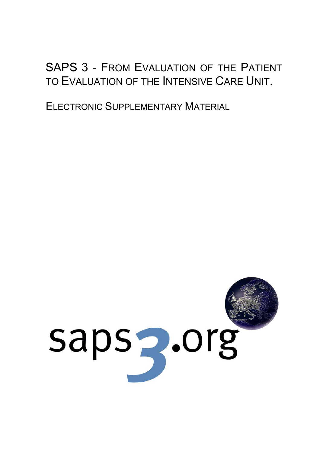# SAPS 3 - FROM EVALUATION OF THE PATIENT TO EVALUATION OF THE INTENSIVE CARE UNIT.

ELECTRONIC SUPPLEMENTARY MATERIAL

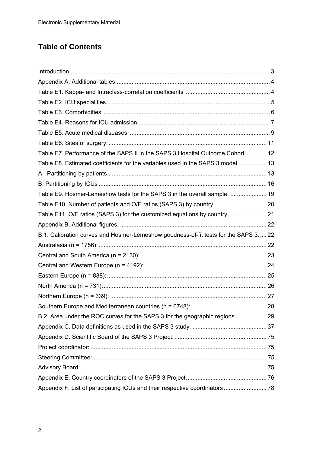# **Table of Contents**

| Table E7. Performance of the SAPS II in the SAPS 3 Hospital Outcome Cohort.  12     |  |
|-------------------------------------------------------------------------------------|--|
| Table E8. Estimated coefficients for the variables used in the SAPS 3 model.  13    |  |
|                                                                                     |  |
|                                                                                     |  |
| Table E9. Hosmer-Lemeshow tests for the SAPS 3 in the overall sample.  19           |  |
|                                                                                     |  |
| Table E11. O/E ratios (SAPS 3) for the customized equations by country.  21         |  |
|                                                                                     |  |
| B.1. Calibration curves and Hosmer-Lemeshow goodness-of-fit tests for the SAPS 3 22 |  |
|                                                                                     |  |
|                                                                                     |  |
|                                                                                     |  |
|                                                                                     |  |
|                                                                                     |  |
|                                                                                     |  |
|                                                                                     |  |
| B.2. Area under the ROC curves for the SAPS 3 for the geographic regions.  29       |  |
|                                                                                     |  |
|                                                                                     |  |
|                                                                                     |  |
|                                                                                     |  |
|                                                                                     |  |
|                                                                                     |  |
|                                                                                     |  |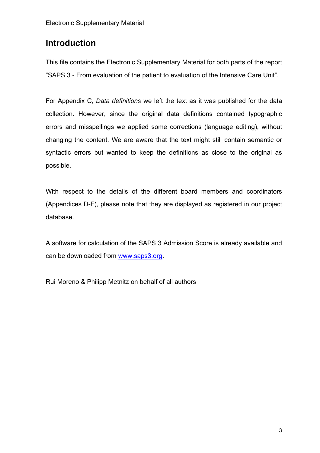# **Introduction**

This file contains the Electronic Supplementary Material for both parts of the report "SAPS 3 - From evaluation of the patient to evaluation of the Intensive Care Unit".

For Appendix C, *Data definitions* we left the text as it was published for the data collection. However, since the original data definitions contained typographic errors and misspellings we applied some corrections (language editing), without changing the content. We are aware that the text might still contain semantic or syntactic errors but wanted to keep the definitions as close to the original as possible.

With respect to the details of the different board members and coordinators (Appendices D-F), please note that they are displayed as registered in our project database.

A software for calculation of the SAPS 3 Admission Score is already available and can be downloaded from www.saps3.org.

Rui Moreno & Philipp Metnitz on behalf of all authors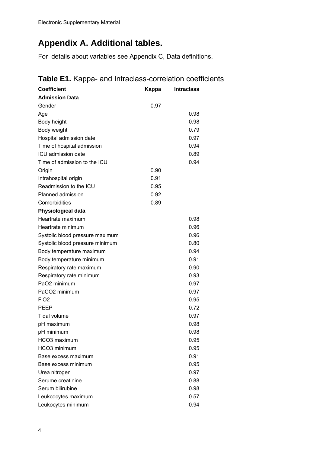# **Appendix A. Additional tables.**

For details about variables see Appendix C, Data definitions.

#### **Coefficient Coefficient Coefficient Coefficient Admission Data**  Gender 0.97  $\mathsf{Age} \hspace{1.5cm} 0.98$ Body height 0.98 Body weight **but a struck of the struck of the struck of the struck of the struck of the struck of the struck of the struck of the struck of the struck of the struck of the struck of the struck of the struck of the struck** Hospital admission date 0.97 Time of hospital admission 0.94 ICU admission date 0.89 Time of admission to the ICU 0.94 Origin 0.90 Intrahospital origin 0.91 Readmission to the ICU 0.95 Planned admission 0.92 Comorbidities 0.89 **Physiological data**  Heartrate maximum 0.98 Heartrate minimum 0.96 Systolic blood pressure maximum 0.96 Systolic blood pressure minimum 0.80 Body temperature maximum example of the USA contractor of the USA contractor of the USA contractor of the USA contractor of the USA contractor of the USA contractor of the USA contractor of the USA contractor of the USA co Body temperature minimum contract to the 0.91 Respiratory rate maximum 0.90 Respiratory rate minimum 0.93 PaO2 minimum 0.97 PaCO2 minimum 0.97  $FIO2$  0.95 PEEP 0.72 Tidal volume 0.97 pH maximum 0.98 pH minimum 0.98 HCO3 maximum 0.95 HCO3 minimum 0.95 Base excess maximum 0.91 Base excess minimum 0.95 Urea nitrogen 0.97 Serume creatinine 0.88 Serum bilirubine 0.98 Leukcocytes maximum 0.57 Leukocytes minimum 0.94

### **Table E1.** Kappa- and Intraclass-correlation coefficients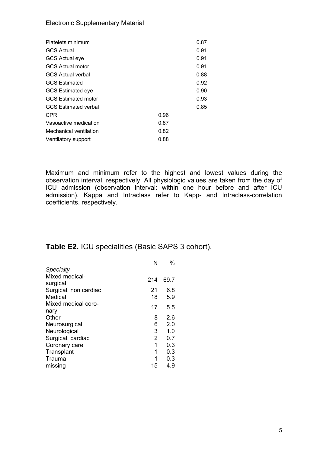#### Electronic Supplementary Material

| Platelets minimum           |      | 0.87 |
|-----------------------------|------|------|
| <b>GCS Actual</b>           |      | 0.91 |
| <b>GCS Actual eye</b>       |      | 0.91 |
| <b>GCS Actual motor</b>     |      | 0.91 |
| <b>GCS Actual verbal</b>    |      | 0.88 |
| <b>GCS Estimated</b>        |      | 0.92 |
| <b>GCS Estimated eye</b>    |      | 0.90 |
| <b>GCS Estimated motor</b>  |      | 0.93 |
| <b>GCS Estimated verbal</b> |      | 0.85 |
| <b>CPR</b>                  | 0.96 |      |
| Vasoactive medication       | 0.87 |      |
| Mechanical ventilation      | 0.82 |      |
| Ventilatory support         | 0.88 |      |
|                             |      |      |

Maximum and minimum refer to the highest and lowest values during the observation interval, respectively. All physiologic values are taken from the day of ICU admission (observation interval: within one hour before and after ICU admission). Kappa and Intraclass refer to Kapp- and Intraclass-correlation coefficients, respectively.

### **Table E2.** ICU specialities (Basic SAPS 3 cohort).

|                             | N              | $\%$ |
|-----------------------------|----------------|------|
| Specialty                   |                |      |
| Mixed medical-<br>surgical  | 214            | 69.7 |
| Surgical. non cardiac       | 21             | 6.8  |
| Medical                     | 18             | 5.9  |
| Mixed medical coro-<br>nary | 17             | 5.5  |
| Other                       | 8              | 2.6  |
| Neurosurgical               | 6              | 2.0  |
| Neurological                | 3              | 1.0  |
| Surgical. cardiac           | $\overline{2}$ | 0.7  |
| Coronary care               | 1              | 0.3  |
| Transplant                  | 1              | 0.3  |
| Trauma                      | 1              | 0.3  |
| missing                     | 15             | 4.9  |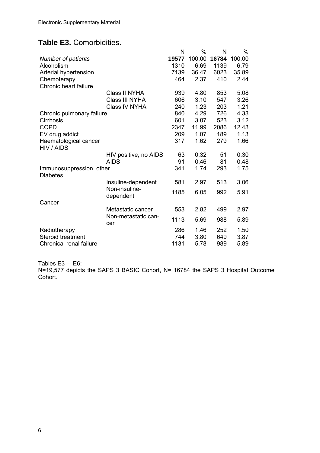### **Table E3.** Comorbidities.

|                                             |                             | N     | %      | N     | %      |
|---------------------------------------------|-----------------------------|-------|--------|-------|--------|
| <b>Number of patients</b>                   |                             | 19577 | 100.00 | 16784 | 100.00 |
| Alcoholism                                  |                             | 1310  | 6.69   | 1139  | 6.79   |
| Arterial hypertension                       |                             | 7139  | 36.47  | 6023  | 35.89  |
| Chemoterapy                                 |                             | 464   | 2.37   | 410   | 2.44   |
| Chronic heart failure                       |                             |       |        |       |        |
|                                             | Class II NYHA               | 939   | 4.80   | 853   | 5.08   |
|                                             | Class III NYHA              | 606   | 3.10   | 547   | 3.26   |
|                                             | Class IV NYHA               | 240   | 1.23   | 203   | 1.21   |
| Chronic pulmonary failure                   |                             | 840   | 4.29   | 726   | 4.33   |
| Cirrhosis                                   |                             | 601   | 3.07   | 523   | 3.12   |
| <b>COPD</b>                                 |                             | 2347  | 11.99  | 2086  | 12.43  |
| EV drug addict                              |                             | 209   | 1.07   | 189   | 1.13   |
| Haematological cancer<br>HIV / AIDS         |                             | 317   | 1.62   | 279   | 1.66   |
|                                             | 63<br>HIV positive, no AIDS |       | 0.32   | 51    | 0.30   |
|                                             | <b>AIDS</b>                 | 91    | 0.46   | 81    | 0.48   |
| Immunosuppression, other<br><b>Diabetes</b> |                             | 341   | 1.74   | 293   | 1.75   |
|                                             | Insuline-dependent          | 581   | 2.97   | 513   | 3.06   |
|                                             | Non-insuline-<br>dependent  | 1185  | 6.05   | 992   | 5.91   |
| Cancer                                      |                             |       |        |       |        |
|                                             | Metastatic cancer           | 553   | 2.82   | 499   | 2.97   |
|                                             | Non-metastatic can-<br>cer  | 1113  | 5.69   | 988   | 5.89   |
| Radiotherapy                                |                             | 286   | 1.46   | 252   | 1.50   |
| <b>Steroid treatment</b>                    |                             | 744   | 3.80   | 649   | 3.87   |
| Chronical renal failure                     |                             | 1131  | 5.78   | 989   | 5.89   |

Tables E3 – E6:

N=19,577 depicts the SAPS 3 BASIC Cohort, N= 16784 the SAPS 3 Hospital Outcome Cohort.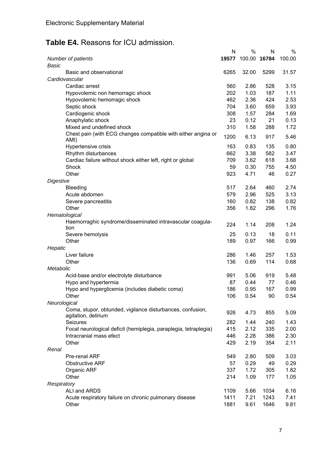# **Table E4.** Reasons for ICU admission.

|                                                                                   | N    | %                  | N    | %      |
|-----------------------------------------------------------------------------------|------|--------------------|------|--------|
| Number of patients<br>Basic                                                       |      | 19577 100.00 16784 |      | 100.00 |
| Basic and observational                                                           | 6265 | 32.00              | 5299 | 31.57  |
| Cardiovascular                                                                    |      |                    |      |        |
| Cardiac arrest                                                                    | 560  | 2.86               | 528  | 3.15   |
| Hypovolemic non hemorragic shock                                                  | 202  | 1.03               | 187  | 1.11   |
| Hypovolemic hemorragic shock                                                      | 462  | 2.36               | 424  | 2.53   |
| Septic shock                                                                      | 704  | 3.60               | 659  | 3.93   |
| Cardiogenic shock                                                                 | 308  | 1.57               | 284  | 1.69   |
| Anaphylatic shock                                                                 | 23   | 0.12               | 21   | 0.13   |
| Mixed and undefined shock                                                         | 310  | 1.58               | 288  | 1.72   |
| Chest pain (with ECG changes compatible with either angina or<br>AMI)             | 1200 | 6.13               | 917  | 5.46   |
| Hypertensive crisis                                                               | 163  | 0.83               | 135  | 0.80   |
| Rhythm disturbances                                                               | 662  | 3.38               | 582  | 3.47   |
| Cardiac failure without shock either left, right or global                        | 709  | 3.62               | 618  | 3.68   |
| Shock                                                                             | 59   | 0.30               | 755  | 4.50   |
| Other                                                                             | 923  | 4.71               | 46   | 0.27   |
| Digestive                                                                         |      |                    |      |        |
| <b>Bleeding</b>                                                                   | 517  | 2.64               | 460  | 2.74   |
| Acute abdomen                                                                     | 579  | 2.96               | 525  | 3.13   |
| Severe pancreatitis                                                               | 160  | 0.82               | 138  | 0.82   |
| Other                                                                             | 356  | 1.82               | 296  | 1.76   |
| Hematological                                                                     |      |                    |      |        |
| Haemorraghic syndrome/disseminated intravascular coagula-                         |      |                    |      |        |
| tion                                                                              | 224  | 1.14               | 208  | 1.24   |
| Severe hemolysis                                                                  | 25   | 0.13               | 18   | 0.11   |
| Other                                                                             | 189  | 0.97               | 166  | 0.99   |
| Hepatic                                                                           |      |                    |      |        |
| Liver failure                                                                     | 286  | 1.46               | 257  | 1.53   |
| Other                                                                             | 136  | 0.69               | 114  | 0.68   |
| Metabolic                                                                         |      |                    |      |        |
| Acid-base and/or electrolyte disturbance                                          | 991  | 5.06               | 919  | 5.48   |
| Hypo and hypertermia                                                              | 87   | 0.44               | 77   | 0.46   |
| Hypo and hyperglicemia (includes diabetic coma)                                   | 186  | 0.95               | 167  | 0.99   |
| Other                                                                             | 106  | 0.54               | 90   | 0.54   |
| Neurological                                                                      |      |                    |      |        |
| Coma, stupor, obtunded, vigilance disturbances, confusion,<br>agitation, delirium | 926  | 4.73               | 855  | 5.09   |
| Seizures                                                                          | 282  | 1.44               | 240  | 1.43   |
| Focal neurological deficit (hemiplegia, paraplegia, tetraplegia)                  | 415  | 2.12               | 335  | 2.00   |
| Intracranial mass efect                                                           | 446  | 2.28               | 386  | 2.30   |
| Other                                                                             | 429  | 2.19               | 354  | 2.11   |
| Renal                                                                             |      |                    |      |        |
| Pre-renal ARF                                                                     | 549  | 2.80               | 509  | 3.03   |
| <b>Obstructive ARF</b>                                                            | 57   | 0.29               | 49   | 0.29   |
| Organic ARF                                                                       | 337  | 1.72               | 305  | 1.82   |
| Other                                                                             | 214  | 1.09               | 177  | 1.05   |
| Respiratory                                                                       |      |                    |      |        |
| ALI and ARDS                                                                      | 1109 | 5.66               | 1034 | 6.16   |
| Acute respiratory failure on chronic pulmonary disease                            | 1411 | 7.21               | 1243 | 7.41   |
| Other                                                                             | 1881 | 9.61               | 1646 | 9.81   |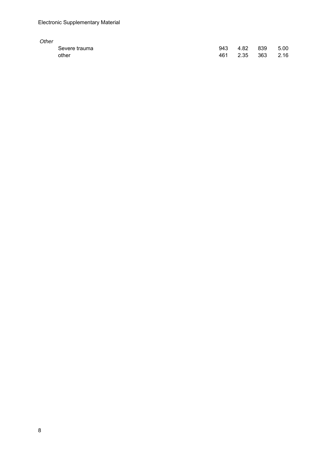| Other |               |     |          |     |      |
|-------|---------------|-----|----------|-----|------|
|       | Severe trauma | 943 | 4.82     | 839 | 5.00 |
|       | other         | 461 | 2.35 363 |     | 2.16 |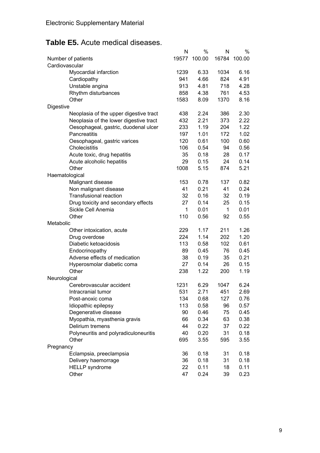# **Table E5.** Acute medical diseases.

|                                                        | N    | %            | Ν     | %      |
|--------------------------------------------------------|------|--------------|-------|--------|
| Number of patients                                     |      | 19577 100.00 | 16784 | 100.00 |
| Cardiovascular                                         |      |              |       |        |
| Myocardial infarction                                  | 1239 | 6.33         | 1034  | 6.16   |
| Cardiopathy                                            | 941  | 4.66         | 824   | 4.91   |
| Unstable angina                                        | 913  | 4.81         | 718   | 4.28   |
| Rhythm disturbances                                    | 858  | 4.38         | 761   | 4.53   |
| Other                                                  | 1583 | 8.09         | 1370  | 8.16   |
| Digestive                                              |      |              |       |        |
| Neoplasia of the upper digestive tract                 | 438  | 2.24         | 386   | 2.30   |
| Neoplasia of the lower digestive tract                 | 432  | 2.21         | 373   | 2.22   |
| Oesophageal, gastric, duodenal ulcer                   | 233  | 1.19         | 204   | 1.22   |
| Pancreatitis                                           | 197  | 1.01         | 172   | 1.02   |
| Oesophageal, gastric varices                           | 120  | 0.61         | 100   | 0.60   |
| Cholecistitis                                          | 106  | 0.54         | 94    | 0.56   |
| Acute toxic, drug hepatitis                            | 35   | 0.18         | 28    | 0.17   |
| Acute alcoholic hepatitis                              | 29   | 0.15         | 24    | 0.14   |
| Other                                                  | 1008 | 5.15         | 874   | 5.21   |
|                                                        |      |              |       |        |
| Haematological                                         | 153  | 0.78         | 137   | 0.82   |
| Malignant disease                                      | 41   | 0.21         | 41    | 0.24   |
| Non malignant disease<br><b>Transfusional reaction</b> | 32   | 0.16         | 32    | 0.19   |
|                                                        |      |              |       |        |
| Drug toxicity and secondary effects                    | 27   | 0.14         | 25    | 0.15   |
| Sickle Cell Anemia                                     | 1    | 0.01         | 1     | 0.01   |
| Other                                                  | 110  | 0.56         | 92    | 0.55   |
| Metabolic                                              |      |              |       |        |
| Other intoxication, acute                              | 229  | 1.17         | 211   | 1.26   |
| Drug overdose                                          | 224  | 1.14         | 202   | 1.20   |
| Diabetic ketoacidosis                                  | 113  | 0.58         | 102   | 0.61   |
| Endocrinopathy                                         | 89   | 0.45         | 76    | 0.45   |
| Adverse effects of medication                          | 38   | 0.19         | 35    | 0.21   |
| Hyperosmolar diabetic coma                             | 27   | 0.14         | 26    | 0.15   |
| Other                                                  | 238  | 1.22         | 200   | 1.19   |
| Neurological                                           |      |              |       |        |
| Cerebrovascular accident                               | 1231 | 6.29         | 1047  | 6.24   |
| Intracranial tumor                                     | 531  | 2.71         | 451   | 2.69   |
| Post-anoxic coma                                       | 134  | 0.68         | 127   | 0.76   |
| Idiopathic epilepsy                                    | 113  | 0.58         | 96    | 0.57   |
| Degenerative disease                                   | 90   | 0.46         | 75    | 0.45   |
| Myopathia, myasthenia gravis                           | 66   | 0.34         | 63    | 0.38   |
| Delirium tremens                                       | 44   | 0.22         | 37    | 0.22   |
| Polyneuritis and polyradiculoneuritis                  | 40   | 0.20         | 31    | 0.18   |
| Other                                                  | 695  | 3.55         | 595   | 3.55   |
| Pregnancy                                              |      |              |       |        |
| Eclampsia, preeclampsia                                | 36   | 0.18         | 31    | 0.18   |
| Delivery haemorrage                                    | 36   | 0.18         | 31    | 0.18   |
| <b>HELLP</b> syndrome                                  | 22   | 0.11         | 18    | 0.11   |
| Other                                                  | 47   | 0.24         | 39    | 0.23   |
|                                                        |      |              |       |        |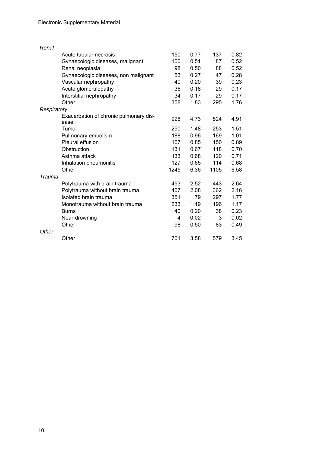| Renal       |                                                |      |      |      |      |
|-------------|------------------------------------------------|------|------|------|------|
|             | Acute tubular necrosis                         | 150  | 0.77 | 137  | 0.82 |
|             | Gynaecologic diseases, malignant               | 100  | 0.51 | 87   | 0.52 |
|             | Renal neoplasia                                | 98   | 0.50 | 88   | 0.52 |
|             | Gynaecologic diseases, non malignant           | 53   | 0.27 | 47   | 0.28 |
|             | Vascular nephropathy                           | 40   | 0.20 | 39   | 0.23 |
|             | Acute glomerulopathy                           | 36   | 0.18 | 29   | 0.17 |
|             | Interstitial nephropathy                       | 34   | 0.17 | 29   | 0.17 |
|             | Other                                          | 358  | 1.83 | 295  | 1.76 |
| Respiratory |                                                |      |      |      |      |
|             | Exacerbation of chronic pulmonary dis-<br>ease | 926  | 4.73 | 824  | 4.91 |
|             | Tumor                                          | 290  | 1.48 | 253  | 1.51 |
|             | Pulmonary embolism                             | 188  | 0.96 | 169  | 1.01 |
|             | Pleural effusion                               | 167  | 0.85 | 150  | 0.89 |
|             | Obstruction                                    | 131  | 0.67 | 118  | 0.70 |
|             | Asthma attack                                  | 133  | 0.68 | 120  | 0.71 |
|             | Inhalation pneumonitis                         | 127  | 0.65 | 114  | 0.68 |
|             | Other                                          | 1245 | 6.36 | 1105 | 6.58 |
| Trauma      |                                                |      |      |      |      |
|             | Polytrauma with brain trauma                   | 493  | 2.52 | 443  | 2.64 |
|             | Polytrauma without brain trauma                | 407  | 2.08 | 362  | 2.16 |
|             | Isolated brain trauma                          | 351  | 1.79 | 297  | 1.77 |
|             | Monotrauma without brain trauma                | 233  | 1.19 | 196  | 1.17 |
|             | <b>Burns</b>                                   | 40   | 0.20 | 38   | 0.23 |
|             | Near-drowning                                  | 4    | 0.02 | 3    | 0.02 |
|             | Other                                          | 98   | 0.50 | 83   | 0.49 |
| Other       |                                                |      |      |      |      |
|             | Other                                          | 701  | 3.58 | 579  | 3.45 |
|             |                                                |      |      |      |      |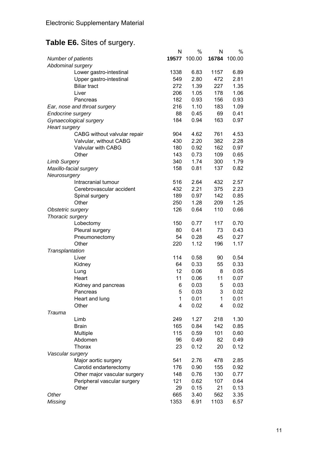# **Table E6.** Sites of surgery.

|                              | N    | %            | N     | %      |
|------------------------------|------|--------------|-------|--------|
| Number of patients           |      | 19577 100.00 | 16784 | 100.00 |
| Abdominal surgery            |      |              |       |        |
| Lower gastro-intestinal      | 1338 | 6.83         | 1157  | 6.89   |
| Upper gastro-intestinal      | 549  | 2.80         | 472   | 2.81   |
| <b>Biliar tract</b>          | 272  | 1.39         | 227   | 1.35   |
| Liver                        | 206  | 1.05         | 178   | 1.06   |
| Pancreas                     | 182  | 0.93         | 156   | 0.93   |
| Ear, nose and throat surgery | 216  | 1.10         | 183   | 1.09   |
| Endocrine surgery            | 88   | 0.45         | 69    | 0.41   |
| Gynaecological surgery       | 184  | 0.94         | 163   | 0.97   |
| <b>Heart surgery</b>         |      |              |       |        |
| CABG without valvular repair | 904  | 4.62         | 761   | 4.53   |
| Valvular, without CABG       | 430  | 2.20         | 382   | 2.28   |
| Valvular with CABG           | 180  | 0.92         | 162   | 0.97   |
| Other                        | 143  | 0.73         | 109   | 0.65   |
| <b>Limb Surgery</b>          | 340  | 1.74         | 300   | 1.79   |
| Maxillo-facial surgery       | 158  | 0.81         | 137   | 0.82   |
| Neurosurgery                 |      |              |       |        |
| Intracranial tumour          | 516  | 2.64         | 432   | 2.57   |
| Cerebrovascular accident     | 432  | 2.21         | 375   | 2.23   |
| Spinal surgery               | 189  | 0.97         | 142   | 0.85   |
| Other                        | 250  | 1.28         | 209   | 1.25   |
| Obstetric surgery            | 126  | 0.64         | 110   | 0.66   |
| Thoracic surgery             |      |              |       |        |
| Lobectomy                    | 150  | 0.77         | 117   | 0.70   |
| Pleural surgery              | 80   | 0.41         | 73    | 0.43   |
| Pneumonectomy                | 54   | 0.28         | 45    | 0.27   |
| Other                        | 220  | 1.12         | 196   | 1.17   |
| Transplantation              |      |              |       |        |
| Liver                        | 114  | 0.58         | 90    | 0.54   |
| Kidney                       | 64   | 0.33         | 55    | 0.33   |
| Lung                         | 12   | 0.06         | 8     | 0.05   |
| Heart                        | 11   | 0.06         | 11    | 0.07   |
| Kidney and pancreas          | 6    | 0.03         | 5     | 0.03   |
| Pancreas                     | 5    | 0.03         | 3     | 0.02   |
| Heart and lung               | 1    | 0.01         | 1     | 0.01   |
| Other                        | 4    | 0.02         | 4     | 0.02   |
| Trauma                       |      |              |       |        |
| Limb                         | 249  | 1.27         | 218   | 1.30   |
| <b>Brain</b>                 | 165  | 0.84         | 142   | 0.85   |
| Multiple                     | 115  | 0.59         | 101   | 0.60   |
| Abdomen                      | 96   | 0.49         | 82    | 0.49   |
| <b>Thorax</b>                | 23   | 0.12         | 20    | 0.12   |
| Vascular surgery             |      |              |       |        |
| Major aortic surgery         | 541  | 2.76         | 478   | 2.85   |
| Carotid endarterectomy       | 176  | 0.90         | 155   | 0.92   |
| Other major vascular surgery | 148  | 0.76         | 130   | 0.77   |
| Peripheral vascular surgery  | 121  | 0.62         | 107   | 0.64   |
| Other                        | 29   | 0.15         | 21    | 0.13   |
| Other                        | 665  | 3.40         | 562   | 3.35   |
| Missing                      | 1353 | 6.91         | 1103  | 6.57   |
|                              |      |              |       |        |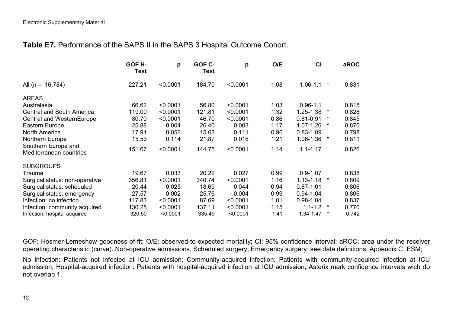### **Table E7.** Performance of the SAPS II in the SAPS 3 Hospital Outcome Cohort.

|                                                | GOF H-<br>Test | p        | GOF C-<br><b>Test</b> | p        | O/E  | CI            | aROC              |
|------------------------------------------------|----------------|----------|-----------------------|----------|------|---------------|-------------------|
| All (n = $16.784$ )                            | 227.21         | < 0.0001 | 184.70                | < 0.0001 | 1.08 | $1.06 - 1.1$  | $\star$<br>0.831  |
| <b>AREAS</b>                                   |                |          |                       |          |      |               |                   |
| Australasia                                    | 66.62          | < 0.0001 | 56.80                 | < 0.0001 | 1.03 | $0.96 - 1.1$  | 0.818             |
| <b>Central and South America</b>               | 119.00         | < 0.0001 | 121.81                | < 0.0001 | 1.32 | 1.25-1.38     | 0.828<br>*        |
| Central and WesternEurope                      | 80.70          | < 0.0001 | 46.70                 | < 0.0001 | 0.86 | $0.81 - 0.91$ | 0.845<br>$\star$  |
| Eastern Europe                                 | 25.88          | 0.004    | 26.40                 | 0.003    | 1.17 | $1.07 - 1.26$ | *<br>0.870        |
| North America                                  | 17.91          | 0.056    | 15.63                 | 0.111    | 0.96 | $0.83 - 1.09$ | 0.798             |
| Northern Europe                                | 15.53          | 0.114    | 21.87                 | 0.016    | 1.21 | 1.06-1.36     | 0.811<br>$^\star$ |
| Southern Europe and<br>Mediterranean countries | 151.67         | < 0.0001 | 144.75                | < 0.0001 | 1.14 | $1.1 - 1.17$  | 0.826             |
| <b>SUBGROUPS</b>                               |                |          |                       |          |      |               |                   |
| Trauma                                         | 19.67          | 0.033    | 20.22                 | 0.027    | 0.99 | $0.9 - 1.07$  | 0.838             |
| Surgical status: non-operative                 | 356.81         | < 0.0001 | 340.74                | < 0.0001 | 1.16 | $1.13 - 1.18$ | 0.809<br>*        |
| Surgical status: scheduled                     | 20.44          | 0.025    | 18.69                 | 0.044    | 0.94 | $0.87 - 1.01$ | 0.806             |
| Surgical status: emergency                     | 27.57          | 0.002    | 25.76                 | 0.004    | 0.99 | $0.94 - 1.04$ | 0.806             |
| Infection: no infection                        | 117.83         | < 0.0001 | 87.69                 | < 0.0001 | 1.01 | $0.98 - 1.04$ | 0.837             |
| Infection: community acquired                  | 130.28         | < 0.0001 | 137.11                | < 0.0001 | 1.15 | $1.1 - 1.2$   | 0.770<br>$\ast$   |
| Infection: hospital acquired                   | 320.50         | < 0.0001 | 335.49                | < 0.0001 | 1.41 | 1.34-1.47     | $\ast$<br>0.742   |

GOF: Hosmer-Lemeshow goodness-of-fit; O/E: observed-to-expected mortality; CI: 95% confidence interval; aROC: area under the receiver operating characteristic (curve). Non-operative admissions, Scheduled surgery, Emergency surgery: see data definitions, Appendix C, ESM;

No infection: Patients not infected at ICU admission; Community-acquired infection: Patients with community-acquired infection at ICU admission; Hospital-acquired infection: Patients with hospital-acquired infection at ICU admission; Asterix mark confidence intervals wich do not overlap 1.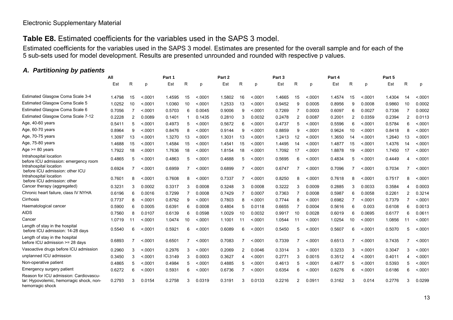#### Electronic Supplementary Material

#### **Table E8.** Estimated coefficients for the variables used in the SAPS 3 model.

Estimated coefficients for the variables used in the SAPS 3 model. Estimates are presented for the overall sample and for each of the 5 sub-sets used for model development. Results are presented unrounded and rounded with respective p values.

#### *A. Partitioning by patients*

|                                                                                                        | All    |    |         | Part 1 |    |         | Part 2 |    |          | Part 3 |    |         | Part 4 |                |         | Part 5 |                |         |
|--------------------------------------------------------------------------------------------------------|--------|----|---------|--------|----|---------|--------|----|----------|--------|----|---------|--------|----------------|---------|--------|----------------|---------|
|                                                                                                        | Est    | R  | p       | Est    | R  | D       | Est    | R  | p        | Est    | R  | р       | Est    | R              | p       | Est    | R              | D       |
| Estimated Glasgow Coma Scale 3-4                                                                       | 1.4798 | 15 | < 0.001 | 1.4595 | 15 | < 0.001 | 1.5802 | 16 | < 0.0001 | 1.4665 | 15 | < 0001  | 1.4574 | 15             | < 0.001 | 1.4304 | 14             | < 0.001 |
| Estimated Glasgow Coma Scale 5                                                                         | 1.0252 | 10 | < .0001 | 1.0360 | 10 | < .0001 | 1.2533 | 13 | < .0001  | 0.9452 | 9  | 0.0005  | 0.8956 | 9              | 0.0008  | 0.9860 | 10             | 0.0002  |
| Estimated Glasgow Coma Scale 6                                                                         | 0.7056 | 7  | < 0001  | 0.5703 | 6  | 0.0045  | 0.9006 | 9  | < 0001   | 0.7269 | 7  | 0.0003  | 0.6097 | 6              | 0.0027  | 0.7336 |                | 0.0002  |
| Estimated Glasgow Coma Scale 7-12                                                                      | 0.2228 | 2  | 0.0089  | 0.1401 | -1 | 0.1435  | 0.2810 | 3  | 0.0032   | 0.2478 | 2  | 0.0087  | 0.2001 | $\overline{2}$ | 0.0359  | 0.2394 | $\overline{2}$ | 0.0113  |
| Age, 40-60 years                                                                                       | 0.5411 | 5  | < 0001  | 0.4973 | 5  | < 0001  | 0.5672 | 6  | < 0001   | 0.4737 | 5  | < .0001 | 0.5596 | 6              | < 0001  | 0.5784 | 6              | < .0001 |
| Age, 60-70 years                                                                                       | 0.8964 | 9  | < 0001  | 0.8476 | 8  | < 0001  | 0.9144 | 9  | < 0001   | 0.8859 | 9  | < 0001  | 0.9624 | 10             | < 0001  | 0.8418 | 8              | < 0001  |
| Age, 70-75 years                                                                                       | 1.3097 | 13 | < 0.001 | 1.3270 | 13 | < .0001 | 1.3031 | 13 | < .0001  | 1.2413 | 12 | < 0001  | 1.3650 | 14             | < 0001  | 1.2640 | 13             | < .0001 |
| Age, 75-80 years                                                                                       | 1.4688 | 15 | < 0001  | 1.4584 | 15 | < 0001  | 1.4541 | 15 | < 0001   | 1.4495 | 14 | < 0001  | 1.4877 | 15             | < 0001  | 1.4376 | 14             | < .0001 |
| Age $>= 80$ years                                                                                      | 1.7922 | 18 | < 0001  | 1.7636 | 18 | < 0001  | 1.8154 | 18 | < 0001   | 1.7092 | 17 | < 0001  | 1.8878 | 19             | < 0001  | 1.7450 | 17             | < 0001  |
| Intrahospital location<br>before ICU admission: emergency room                                         | 0.4865 | 5  | < 0001  | 0.4863 | 5  | < 0001  | 0.4688 | 5  | < 0001   | 0.5695 | 6  | < 0001  | 0.4834 | 5              | < 0001  | 0.4449 | 4              | < 0001  |
| Intrahospital location<br>before ICU admission: other ICU                                              | 0.6924 |    | < 0001  | 0.6959 | 7  | < 0001  | 0.6899 | 7  | < 0001   | 0.6747 |    | < 0001  | 0.7096 | 7              | < 0001  | 0.7034 |                | < 0001  |
| Intrahospital location<br>before ICU admission: other                                                  | 0.7601 | 8  | < 0001  | 0.7608 | 8  | < 0001  | 0.7337 | 7  | < 0001   | 0.8250 | 8  | < 0001  | 0.7618 | 8              | < 0001  | 0.7517 | 8              | < 0001  |
| Cancer therapy (aggregated)                                                                            | 0.3231 | 3  | 0.0002  | 0.3317 | 3  | 0.0008  | 0.3248 | 3  | 0.0008   | 0.3222 | 3  | 0.0009  | 0.2885 | 3              | 0.0033  | 0.3584 |                | 0.0003  |
| Chronic heart failure, class IV NYHA                                                                   | 0.6196 | 6  | 0.0016  | 0.7299 | 7  | 0.0008  | 0.7429 | 7  | 0.0007   | 0.7363 | 7  | 0.0008  | 0.5987 | 6              | 0.0058  | 0.2261 | 2              | 0.3214  |
| Cirrhosis                                                                                              | 0.7737 | 8  | < 0001  | 0.8762 | 9  | < 0001  | 0.7803 | 8  | < 0001   | 0.7744 | 8  | < 0001  | 0.6982 | 7              | < 0001  | 0.7379 |                | < 0001  |
| Haematological cancer                                                                                  | 0.5900 | 6  | 0.0005  | 0.6391 | 6  | 0.0008  | 0.4804 | 5  | 0.0118   | 0.6655 | 7  | 0.0004  | 0.5616 | 6              | 0.003   | 0.6108 | 6              | 0.0013  |
| <b>AIDS</b>                                                                                            | 0.7560 | 8  | 0.0107  | 0.6139 | 6  | 0.0598  | 1.0029 | 10 | 0.0032   | 0.9917 | 10 | 0.0028  | 0.6019 | 6              | 0.0695  | 0.6177 | 6              | 0.0611  |
| Cancer                                                                                                 | 1.0719 | 11 | < 0.001 | 1.0474 | 10 | < 0001  | 1.1001 | 11 | < 0001   | 1.0544 | 11 | < 0001  | 1.0254 | 10             | < .0001 | 1.0856 | 11             | < .0001 |
| Length of stay in the hospital<br>before ICU admission: 14-28 days                                     | 0.5540 | 6  | < 0001  | 0.5921 | 6  | < 0001  | 0.6089 | 6  | < 0001   | 0.5450 | 5  | < .0001 | 0.5607 | 6              | < 0001  | 0.5070 | 5              | < .0001 |
| Length of stay in the hospital<br>before ICU admission >= 28 days                                      | 0.6893 | 7  | < 0001  | 0.6501 | 7  | < 0.001 | 0.7083 | 7  | < 0001   | 0.7339 | 7  | < 0001  | 0.6513 | 7              | < 0001  | 0.7435 |                | < 0.001 |
| Vasoactive drugs before ICU admission                                                                  | 0.2960 | 3  | < 0001  | 0.2976 | 3  | < .0001 | 0.2069 | 2  | 0.0046   | 0.3314 | 3  | < 0001  | 0.3233 | 3              | < 0001  | 0.3047 | 3              | < 0001  |
| unplanned ICU admission                                                                                | 0.3450 | 3  | < 0.001 | 0.3149 | 3  | 0.0003  | 0.3627 | 4  | < 0001   | 0.2771 | 3  | 0.0015  | 0.3512 | $\overline{4}$ | < .0001 | 0.4011 | 4              | < .0001 |
| Non-operative patient                                                                                  | 0.4865 | 5  | < 0001  | 0.4984 | 5  | < 0001  | 0.4885 | 5  | < 0001   | 0.4613 | 5  | < 0001  | 0.4677 | 5              | < 0001  | 0.5393 | 5              | < 0001  |
| Emergency surgery patient                                                                              | 0.6272 | 6  | < 0001  | 0.5931 | 6  | < 0.001 | 0.6736 | 7  | < 0001   | 0.6354 | 6  | < 0001  | 0.6276 | 6              | < 0001  | 0.6186 | 6              | < .0001 |
| Reason for ICU admission: Cardiovascu-<br>lar: Hypovolemic, hemorragic shock, non-<br>hemorragic shock | 0.2793 | 3  | 0.0154  | 0.2758 | 3  | 0.0319  | 0.3191 | 3  | 0.0133   | 0.2216 | 2  | 0.0911  | 0.3162 | 3              | 0.014   | 0.2776 | 3              | 0.0299  |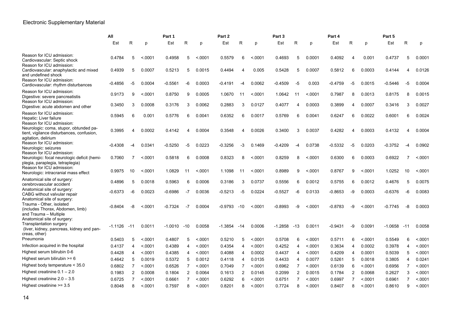|                                                                                                                      | All<br>Part 1 |                         |         |                | Part 2         |        |                | Part 3                  |         |           | Part 4                  |        |           | Part 5                |        |           |              |         |
|----------------------------------------------------------------------------------------------------------------------|---------------|-------------------------|---------|----------------|----------------|--------|----------------|-------------------------|---------|-----------|-------------------------|--------|-----------|-----------------------|--------|-----------|--------------|---------|
|                                                                                                                      | Est           | R                       | p       | Est            | R              | D      | Est            | R                       | p       | Est       | R                       | D      | Est       | R                     | p      | Est       | R            | D       |
| Reason for ICU admission:<br>Cardiovascular: Septic shock<br>Reason for ICU admission:                               | 0.4784        | 5                       | < 0001  | 0.4958         | 5              | < 0001 | 0.5579         | 6                       | < 0001  | 0.4693    | 5                       | 0.0001 | 0.4092    | $\overline{4}$        | 0.001  | 0.4737    | 5            | 0.0001  |
| Cardiovascular: anaphylactic and mixed<br>and undefined shock<br>Reason for ICU admission:                           | 0.4939        | 5                       | 0.0007  | 0.5213         | 5              | 0.0015 | 0.4494         | $\overline{\mathbf{4}}$ | 0.005   | 0.5428    | 5                       | 0.0007 | 0.5812    | 6                     | 0.0003 | 0.4144    | 4            | 0.0126  |
| Cardiovascular: rhythm disturbances                                                                                  | -0.4856       | -5                      | 0.0004  | $-0.5561$      | -6             | 0.0003 | -0.4191        | -4                      | 0.0062  | $-0.4509$ | -5                      | 0.003  | $-0.4759$ | -5                    | 0.0015 | $-0.5446$ | -5           | 0.0004  |
| Reason for ICU admission:<br>Digestive: severe pancreatistis                                                         | 0.9173        | 9                       | < 0001  | 0.8750         | 9              | 0.0005 | 1.0670         | 11                      | < 0001  | 1.0642    | 11                      | < 0001 | 0.7987    | 8                     | 0.0013 | 0.8175    | 8            | 0.0015  |
| Reason for ICU admission:<br>Digestive: acute abdomen and other                                                      | 0.3450        | 3                       | 0.0008  | 0.3176         | 3              | 0.0062 | 0.2883         | 3                       | 0.0127  | 0.4077    | 4                       | 0.0003 | 0.3899    | $\boldsymbol{\Delta}$ | 0.0007 | 0.3416    | 3            | 0.0027  |
| Reason for ICU admission:<br>Hepatic: Liver failure<br>Reason for ICU admission:                                     | 0.5945        | 6                       | 0.001   | 0.5776         | 6              | 0.0041 | 0.6352         | 6                       | 0.0017  | 0.5769    | 6                       | 0.0041 | 0.6247    | 6                     | 0.0022 | 0.6001    | 6            | 0.0024  |
| Neurologic: coma, stupor, obtunded pa-<br>tient, vigilance disturbances, confusion,<br>agitation, delirium           | 0.3995        |                         | 0.0002  | 0.4142         | 4              | 0.0004 | 0.3548         | 4                       | 0.0026  | 0.3400    | 3                       | 0.0037 | 0.4282    |                       | 0.0003 | 0.4132    |              | 0.0004  |
| Reason for ICU admission:<br>Neurologic: seizures<br>Reason for ICU admission:                                       | $-0.4308$     |                         | 0.0341  | $-0.5250$      | -5             | 0.0223 | -0.3256        | -3                      | 0.1469  | -0.4209   | -4                      | 0.0738 | $-0.5332$ | -5                    | 0.0203 | $-0.3752$ | -4           | 0.0902  |
| Neurologic: focal neurologic deficit (hemi-<br>plegia, paraplegia, tetraplegia)                                      | 0.7060        |                         | < 0001  | 0.5818         | 6              | 0.0008 | 0.8323         | 8                       | < 0001  | 0.8259    | 8                       | < 0001 | 0.6300    | 6                     | 0.0003 | 0.6922    | 7            | < 0001  |
| Reason for ICU admission:<br>Neurologic: intracranial mass effect                                                    | 0.9975        | 10                      | < 0001  | 1.0829         | 11             | < 0001 | 1.1098         | 11                      | < .0001 | 0.8989    | 9                       | < 0001 | 0.8767    | 9                     | < 0001 | 1.0252    | 10           | < 0001  |
| Anatomical site of surgery:<br>cerebrovascular accident                                                              | 0.4896        | 5                       | 0.0018  | 0.5963         | 6              | 0.0006 | 0.3186         | 3                       | 0.0737  | 0.5556    | 6                       | 0.0012 | 0.5755    | 6                     | 0.0012 | 0.4676    | 5            | 0.0075  |
| Anatomical site of surgery:<br>CABG without valvular repair<br>Anatomical site of surgery:                           | $-0.6373$     | $-6$                    | 0.0023  | $-0.6986$      | $-7$           | 0.0036 | $-0.5213$      | $-5$                    | 0.0224  | $-0.5527$ | -6                      | 0.0133 | $-0.8653$ | -9                    | 0.0003 | $-0.6376$ | -6           | 0.0083  |
| Trauma - Other, isolated<br>(includes Thorax, Abdomen, limb)<br>and Trauma - Multiple                                | $-0.8404$     | -8                      | < 0001  | $-0.7324$      | -7             | 0.0004 | $-0.9793 - 10$ |                         | < 0001  | $-0.8993$ | -9                      | < 0001 | $-0.8783$ | -9                    | < 0001 | $-0.7745$ | -8           | 0.0003  |
| Anatomical site of surgery:<br>Transplantation surgery<br>(liver, kidney, pancreas, kidney and pan-<br>creas, other) | -1.1126       | -1                      | 0.0011  | $-1.0010 - 10$ |                | 0.0058 | $-1.3854$      | $-14$                   | 0.0006  | $-1.2858$ | -13                     | 0.0011 | $-0.9431$ | -9                    | 0.0091 | $-1.0658$ | -11          | 0.0058  |
| Pneumonia                                                                                                            | 0.5403        | 5                       | < 0001  | 0.4807         | 5              | < 0001 | 0.5210         | 5                       | < 0001  | 0.5708    | 6                       | < 0001 | 0.5711    | 6                     | < 0001 | 0.5549    | 6            | < 0001  |
| Infection acquired in the hospital                                                                                   | 0.4137        | $\overline{4}$          | < 0001  | 0.4389         | 4              | < 0001 | 0.4354         | 4                       | < 0001  | 0.4252    | $\overline{\mathbf{4}}$ | < 0001 | 0.3634    | $\overline{4}$        | 0.0002 | 0.3978    | 4            | < .0001 |
| Highest serum bilirubin 0-6                                                                                          | 0.4428        | $\overline{\mathbf{4}}$ | < 0001  | 0.4385         | 4              | < 0001 | 0.4088         | 4                       | 0.0002  | 0.4437    | $\overline{\mathbf{4}}$ | < 0001 | 0.4209    | $\overline{4}$        | 0.0001 | 0.5039    | 5            | < 0001  |
| Highest serum bilirubin >= 6                                                                                         | 0.4642        | 5                       | 0.0019  | 0.5372         | 5              | 0.0012 | 0.4118         | 4                       | 0.0135  | 0.4433    | $\overline{4}$          | 0.0077 | 0.5261    | 5                     | 0.0018 | 0.3805    | 4            | 0.0241  |
| Highest body temperature < 35.0                                                                                      | 0.6802        | $\overline{7}$          | < 0001  | 0.6526         | $\overline{7}$ | < 0001 | 0.7049         | $\overline{7}$          | < 0001  | 0.6962    | 7                       | < 0001 | 0.6139    | 6                     | < 0001 | 0.6956    | 7            | < .0001 |
| Highest creatinine $0.1 - 2.0$                                                                                       | 0.1983        | 2                       | 0.0008  | 0.1804         | $\overline{2}$ | 0.0064 | 0.1613         | 2                       | 0.0145  | 0.2099    | $\overline{2}$          | 0.0015 | 0.1784    | 2                     | 0.0068 | 0.2627    | 3            | < .0001 |
| Highest creatinine $2.0 - 3.5$                                                                                       | 0.6725        |                         | < 0001  | 0.6661         | 7              | < 0001 | 0.6292         | 6                       | < 0001  | 0.6751    |                         | < 0001 | 0.6997    |                       | < 0001 | 0.6961    |              | < .0001 |
| Highest creatinine $>= 3.5$                                                                                          | 0.8048        | 8                       | < 0.001 | 0.7597         | 8              | < 0001 | 0.8201         | 8                       | < 0001  | 0.7724    | 8                       | < 0001 | 0.8407    | 8                     | < 0001 | 0.8610    | $\mathbf{Q}$ | < 0001  |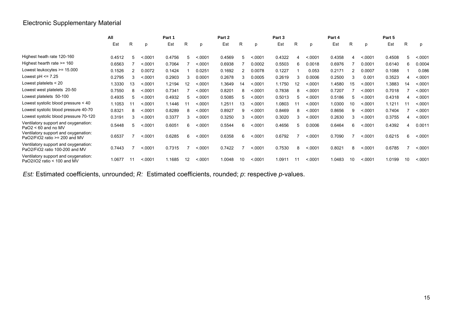# Electronic Supplementary Material

|                                                                        | All    |    |          | Part 1 |    |         | Part 2 |    |         | Part 3 |    |         | Part 4 |    |         | Part 5 |    |        |
|------------------------------------------------------------------------|--------|----|----------|--------|----|---------|--------|----|---------|--------|----|---------|--------|----|---------|--------|----|--------|
|                                                                        | Est    | R  | D        | Est    | R  | p       | Est    | R  | р       | Est    | R  | р       | Est    | R  | р       | Est    | R  | D      |
| Highest heath rate 120-160                                             | 0.4512 | 5  | < 0001   | 0.4756 | 5  | .0001   | 0.4569 | 5  | < 0001  | 0.4322 |    | < 0001  | 0.4358 |    | < 0001  | 0.4508 | 5  | < 0001 |
| Highest hearth rate >= 160                                             | 0.6563 |    | < 0001   | 0.7064 |    | < 0001  | 0.6938 |    | 0.0002  | 0.5503 | 6  | 0.0018  | 0.6976 |    | 0.0001  | 0.6140 | 6  | 0.0004 |
| Lowest leukocytes $>= 15.000$                                          | 0.1526 |    | 0.0072   | 0.1424 |    | 0.0251  | 0.1692 |    | 0.0078  | 0.1227 |    | 0.053   | 0.2171 |    | 0.0007  | 0.1088 |    | 0.086  |
| Lowest $pH \le 7.25$                                                   | 0.2795 |    | < 0.0001 | 0.2903 | 3  | 0.0001  | 0.2678 |    | 0.0005  | 0.2619 |    | 0.0006  | 0.2500 | 3  | 0.001   | 0.3523 |    | < 0001 |
| Lowest platelets $<$ 20                                                | .3330  | 13 | < 0001   | 1.2194 | 12 | < 0001  | 1.3649 | 14 | < 0001  | 1.1750 | 12 | < 0001  | 1.4580 | 15 | < 0001  | 1.3883 | 14 | < 0001 |
| Lowest west platelets 20-50                                            | 0.7550 |    | .0001    | 0.7341 |    | < 0.001 | 0.8201 | 8  | < 0001  | 0.7838 | 8  | < 0.001 | 0.7207 |    | < 0001  | 0.7018 |    | < 0001 |
| Lowest platelets 50-100                                                | 0.4935 | 5  | < 0001   | 0.4932 | 5  | < 0001  | 0.5085 |    | < 0001  | 0.5013 |    | < 0001  | 0.5186 | 5  | < 0001  | 0.4318 |    | < 0001 |
| Lowest systolic blood pressure < 40                                    | 1.1053 |    | < 0001   | 1.1446 |    | < 0001  | 1.2511 | 13 | < 0001  | 1.0803 |    | < .0001 | 1.0300 | 10 | < 0001  | 1.1211 |    | < 0001 |
| Lowest systolic blood pressure 40-70                                   | 0.8321 | 8  | < 0.0001 | 0.8289 | 8  | < 0.001 | 0.8927 | 9  | < .0001 | 0.8469 | 8  | < 0001  | 0.8656 | 9  | < .0001 | 0.7404 |    | < 0001 |
| Lowest systolic blood pressure 70-120                                  | 0.3191 | 3  | < 0001   | 0.3377 | 3  | .0001   | 0.3250 | 3  | < 0001  | 0.3020 | 3  | < 0001  | 0.2630 | 3  | < .0001 | 0.3755 |    | < 0001 |
| Ventilatory support and oxygenation:<br>$PaO2 < 60$ and no MV          | 0.5448 | 5  | .0001    | 0.6051 | 6  | < 0001  | 0.5544 | 6  | < 0001  | 0.4656 | 5  | 0.0006  | 0.6464 | 6. | < 0001  | 0.4392 |    | 0.0011 |
| Ventilatory support and oxygenation:<br>PaO2/FiO2 ratio >= 200 and MV  | 0.6537 |    | < 0001   | 0.6285 | 6  | < 0001  | 0.6358 | 6  | < 0001  | 0.6792 |    | < 0001  | 0.7090 |    | < 0001  | 0.6215 | 6  | < 0001 |
| Ventilatory support and oxygenation:<br>PaO2/FiO2 ratio 100-200 and MV | 0.7443 |    | < 0001   | 0.7315 |    | < 0001  | 0.7422 |    | < 0001  | 0.7530 | 8  | < 0001  | 0.8021 | 8  | < 0001  | 0.6785 |    | < 0001 |
| Ventilatory support and oxygenation:<br>PaO2/iO2 ratio < 100 and MV    | 1.0677 |    | < 0001   | 1.1685 | 12 | < 0001  | 1.0048 | 10 | < 0001  | 1.0911 |    | < 0001  | 1.0483 | 10 | < 0001  | 1.0199 |    | < 0001 |

*Est:* Estimated coefficients, unrounded; *R:* Estimated coefficients, rounded; *p*: respective *p*-values.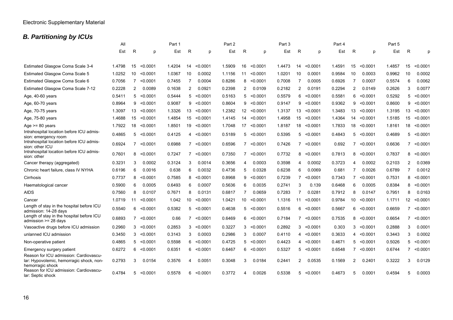# *B. Partitioning by ICUs*

|                                                                                                        | All    |                |                   | Part 1 |             |                   | Part 2 |                         |                   | Part 3 |    |                   | Part 4 |                |                   | Part 5 |                |                   |
|--------------------------------------------------------------------------------------------------------|--------|----------------|-------------------|--------|-------------|-------------------|--------|-------------------------|-------------------|--------|----|-------------------|--------|----------------|-------------------|--------|----------------|-------------------|
|                                                                                                        | Est    | R              | p                 | Est    | R           | p                 | Est    | R                       | p                 | Est    | R  | p                 | Est    | R              | p                 | Est    | R              | p                 |
|                                                                                                        |        |                |                   |        |             |                   |        |                         |                   |        |    |                   |        |                |                   |        |                |                   |
| Estimated Glasgow Coma Scale 3-4                                                                       | 1.4798 | 15             | < 0.0001          | 1.4204 | 14          | < 0.0001          | 1.5909 | 16                      | < 0.0001          | 1.4473 | 14 | < 0.0001          | 1.4591 | 15             | < 0.0001          | 1.4857 | 15             | < 0.0001          |
| Estimated Glasgow Coma Scale 5                                                                         | 1.0252 | 10             | < 0.0001          | 1.0367 | 10          | 0.0002            | 1.1156 | 11                      | < 0.0001          | 1.0201 | 10 | 0.0001            | 0.9584 | 10             | 0.0003            | 0.9962 | 10             | 0.0002            |
| Estimated Glasgow Coma Scale 6                                                                         | 0.7056 | $\overline{7}$ | < 0.0001          | 0.7455 | 7           | 0.0004            | 0.8286 | 8                       | < 0.0001          | 0.7008 | -7 | 0.0005            | 0.6926 | -7             | 0.0007            | 0.5574 | 6              | 0.0062            |
| Estimated Glasgow Coma Scale 7-12                                                                      | 0.2228 | $\overline{2}$ | 0.0089            | 0.1638 | 2           | 0.0921            | 0.2398 | 2                       | 0.0109            | 0.2182 | 2  | 0.0191            | 0.2294 | $\overline{2}$ | 0.0149            | 0.2626 | 3              | 0.0077            |
| Age, 40-60 years                                                                                       | 0.5411 |                | $5 \times 0.0001$ | 0.5444 |             | $5 \le 0.0001$    | 0.5163 |                         | $5 \times 0.0001$ | 0.5579 | 6  | $<$ 0.0001        | 0.5581 | 6              | < 0.0001          | 0.5292 | 5              | < 0.0001          |
| Age, 60-70 years                                                                                       | 0.8964 | 9              | < 0.0001          | 0.9087 | 9           | < 0.0001          | 0.8604 | 9                       | < 0.0001          | 0.9147 | 9  | < 0.0001          | 0.9362 | 9              | < 0.0001          | 0.8600 | 9              | < 0.0001          |
| Age, 70-75 years                                                                                       | 1.3097 | 13             | < 0.0001          | 1.3326 | 13          | < 0.0001          | 1.2382 | 12                      | < 0.0001          | 1.3137 | 13 | < 0.0001          | 1.3483 | 13             | < 0.0001          | 1.3195 | 13             | < 0.0001          |
| Age, 75-80 years                                                                                       | 1.4688 |                | 15 < 0.0001       | 1.4854 | 15          | < 0.0001          | 1.4145 | 14                      | < 0.0001          | 1.4958 | 15 | < 0.0001          | 1.4364 | 14             | < 0.0001          | 1.5185 | 15             | < 0.0001          |
| Age $>= 80$ years                                                                                      | 1.7922 | 18             | < 0.0001          | 1.8501 | 19          | < 0.0001          | 1.7048 | 17                      | < 0.0001          | 1.8187 | 18 | < 0.0001          | 1.7833 | 18             | < 0.0001          | 1.8161 | 18             | < 0.0001          |
| Intrahospital location before ICU admis-<br>sion: emergency room                                       | 0.4865 |                | 5 < 0.0001        | 0.4125 |             | $4 \le 0.0001$    | 0.5189 |                         | $5 \le 0.0001$    | 0.5395 |    | $5 \le 0.0001$    | 0.4843 |                | $5 \le 0.0001$    | 0.4689 |                | 5 < 0.0001        |
| Intrahospital location before ICU admis-<br>sion: other ICU                                            | 0.6924 |                | $7 \times 0.0001$ | 0.6988 |             | $7 \times 0.0001$ | 0.6596 |                         | $7 \times 0.0001$ | 0.7426 |    | $7 \times 0.0001$ | 0.692  |                | $7 \times 0.0001$ | 0.6636 |                | $7 \times 0.0001$ |
| Intrahospital location before ICU admis-<br>sion: other                                                | 0.7601 | 8              | < 0.0001          | 0.7247 |             | $7 \times 0.0001$ | 0.7350 |                         | $7 \times 0.0001$ | 0.7732 | 8  | < 0.0001          | 0.7813 | 8              | < 0.0001          | 0.7837 | 8              | < 0.0001          |
| Cancer therapy (aggregated)                                                                            | 0.3231 | 3              | 0.0002            | 0.3124 | 3           | 0.0014            | 0.3656 | $\overline{\mathbf{4}}$ | 0.0003            | 0.3598 | 4  | 0.0002            | 0.3723 | 4              | 0.0002            | 0.2103 | 2              | 0.0369            |
| Chronic heart failure, class IV NYHA                                                                   | 0.6196 | 6              | 0.0016            | 0.638  | 6           | 0.0032            | 0.4736 | 5                       | 0.0328            | 0.6238 | 6  | 0.0069            | 0.681  | 7              | 0.0026            | 0.6789 | 7              | 0.0012            |
| Cirrhosis                                                                                              | 0.7737 | 8              | < 0.0001          | 0.7585 | 8           | < 0.0001          | 0.8968 | 9                       | < 0.0001          | 0.7239 |    | $7 \times 0.0001$ | 0.7343 |                | $7 \times 0.0001$ | 0.7531 | 8              | < 0.0001          |
| Haematological cancer                                                                                  | 0.5900 | 6              | 0.0005            | 0.6493 | 6           | 0.0007            | 0.5636 | 6                       | 0.0035            | 0.2741 | 3  | 0.139             | 0.6468 | 6              | 0.0005            | 0.8384 | 8              | < 0.0001          |
| AIDS                                                                                                   | 0.7560 | 8              | 0.0107            | 0.7671 | 8           | 0.0131            | 0.6817 | 7                       | 0.0659            | 0.7283 | -7 | 0.0281            | 0.7912 | 8              | 0.0147            | 0.7951 | 8              | 0.0163            |
| Cancer                                                                                                 | 1.0719 | 11             | < 0.0001          | 1.042  | 10          | < 0.0001          | 1.0421 | 10                      | < 0.0001          | 1.1316 | 11 | < 0.0001          | 0.9784 | 10             | < 0.0001          | 1.1711 | 12             | < 0.0001          |
| Length of stay in the hospital before ICU<br>admission: 14-28 days                                     | 0.5540 | 6              | < 0.0001          | 0.5382 | $5^{\circ}$ | < 0.0001          | 0.4638 |                         | $5 \le 0.0001$    | 0.5516 | 6  | < 0.0001          | 0.5667 | 6              | < 0.0001          | 0.6659 | $\overline{7}$ | < 0.0001          |
| Length of stay in the hospital before ICU<br>admission $>= 28$ days                                    | 0.6893 | $\overline{7}$ | < 0.0001          | 0.66   |             | $7 \times 0.0001$ | 0.6469 | 6                       | < 0.0001          | 0.7184 |    | 7 < 0.0001        | 0.7535 | 8              | < 0.0001          | 0.6654 | $\overline{7}$ | < 0.0001          |
| Vasoactive drugs before ICU admission                                                                  | 0.2960 | 3              | < 0.0001          | 0.2853 | 3           | < 0.0001          | 0.3227 | 3                       | < 0.0001          | 0.2892 |    | $3 \le 0.0001$    | 0.303  | 3              | < 0.0001          | 0.2888 | 3              | 0.0001            |
| unlanned ICU admission                                                                                 | 0.3450 | 3              | < 0.0001          | 0.3143 | 3           | 0.0003            | 0.2986 | 3                       | 0.0007            | 0.4110 |    | 4 < 0.0001        | 0.3633 |                | 4 < 0.0001        | 0.3443 | 3              | 0.0002            |
| Non-operative patient                                                                                  | 0.4865 | 5              | < 0.0001          | 0.5598 | 6           | < 0.0001          | 0.4725 | 5                       | < 0.0001          | 0.4423 |    | 4 < 0.0001        | 0.4671 |                | 5 < 0.0001        | 0.5026 | 5              | < 0.0001          |
| Emergency surgery patient                                                                              | 0.6272 | 6              | < 0.0001          | 0.6351 | 6           | < 0.0001          | 0.6467 | 6                       | < 0.0001          | 0.5327 |    | 5 < 0.0001        | 0.6548 | $\overline{7}$ | < 0.0001          | 0.6744 | 7              | < 0.0001          |
| Reason for ICU admission: Cardiovascu-<br>lar: Hypovolemic, hemorragic shock, non-<br>hemorragic shock | 0.2793 | 3              | 0.0154            | 0.3576 | 4           | 0.0051            | 0.3048 | 3                       | 0.0184            | 0.2441 | 2  | 0.0535            | 0.1569 | 2              | 0.2401            | 0.3222 | 3              | 0.0129            |
| Reason for ICU admission: Cardiovascu-<br>lar: Septic shock                                            | 0.4784 |                | 5 < 0.0001        | 0.5578 | 6           | < 0.0001          | 0.3772 | Δ                       | 0.0026            | 0.5338 |    | $5$ < 0.0001      | 0.4673 | 5              | 0.0001            | 0.4594 | 5              | 0.0003            |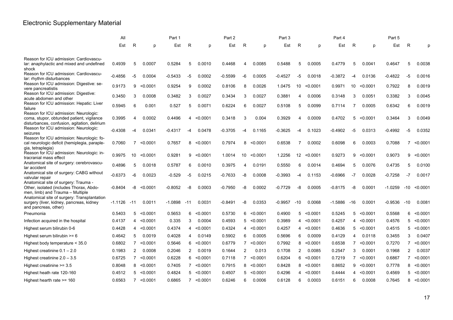# Electronic Supplementary Material

|                                                                                                                                    | All       |                |                       | Part 1    |                |                   | Part 2    |                |                   | Part 3    |                |              | Part 4    |                |                   | Part 5    |                |            |
|------------------------------------------------------------------------------------------------------------------------------------|-----------|----------------|-----------------------|-----------|----------------|-------------------|-----------|----------------|-------------------|-----------|----------------|--------------|-----------|----------------|-------------------|-----------|----------------|------------|
|                                                                                                                                    | Est       | R              | p                     | Est       | R              | p                 | Est       | R              | p                 | Est       | R              | D            | Est       | R              | D                 | Est       | R              | n          |
|                                                                                                                                    |           |                |                       |           |                |                   |           |                |                   |           |                |              |           |                |                   |           |                |            |
| Reason for ICU admission: Cardiovascu-<br>lar: anaphylactic and mixed and undefined<br>shock                                       | 0.4939    | 5              | 0.0007                | 0.5284    | 5              | 0.0010            | 0.4468    | 4              | 0.0085            | 0.5488    | 5              | 0.0005       | 0.4779    | 5              | 0.0041            | 0.4647    | 5              | 0.0038     |
| Reason for ICU admission: Cardiovascu-<br>lar: rhythm disturbances                                                                 | $-0.4856$ | -5             | 0.0004                | $-0.5433$ | $-5$           | 0.0002            | $-0.5599$ | -6             | 0.0005            | $-0.4527$ | $-5$           | 0.0018       | $-0.3872$ | -4             | 0.0136            | $-0.4822$ | $-5$           | 0.0016     |
| Reason for ICU admission: Digestive: se-<br>vere pancreatistis                                                                     | 0.9173    | 9              | < 0.0001              | 0.9254    | 9              | 0.0002            | 0.8106    | 8              | 0.0026            | 1.0475    | 10             | < 0.0001     | 0.9971    | 10             | < 0.0001          | 0.7922    | 8              | 0.0019     |
| Reason for ICU admission: Digestive:<br>acute abdomen and other                                                                    | 0.3450    | 3              | 0.0008                | 0.3482    | 3              | 0.0027            | 0.3434    | 3              | 0.0027            | 0.3881    | 4              | 0.0006       | 0.3148    | 3              | 0.0051            | 0.3382    | 3              | 0.0045     |
| Reason for ICU admission: Hepatic: Liver<br>failure                                                                                | 0.5945    | 6              | 0.001                 | 0.527     | 5              | 0.0071            | 0.6224    | 6              | 0.0027            | 0.5108    | 5              | 0.0099       | 0.7114    | 7              | 0.0005            | 0.6342    | 6              | 0.0019     |
| Reason for ICU admission: Neurologic:<br>coma, stupor, obtunded patient, vigilance<br>disturbances, confusion, agitation, delirium | 0.3995    | 4              | 0.0002                | 0.4496    | 4              | < 0.0001          | 0.3418    | 3              | 0.004             | 0.3929    | 4              | 0.0009       | 0.4702    | 5              | < 0.0001          | 0.3464    | 3              | 0.0049     |
| Reason for ICU admission: Neurologic:<br>seizures                                                                                  | -0.4308   | -4             | .0341<br><sup>0</sup> | -0.4317   | -4             | 0.0478            | -0.3705   | -4             | 0.1165            | $-0.3625$ | -4             | 0.1023       | $-0.4902$ | -5             | 0.0313            | $-0.4992$ | -5             | 0.0352     |
| Reason for ICU admission: Neurologic: fo-<br>cal neurologic deficit (hemiplegia, paraple-<br>gia, tetraplegia)                     | 0.7060    | $\overline{7}$ | < 0.0001              | 0.7657    |                | 8 < 0.0001        | 0.7974    | 8              | < 0.0001          | 0.6538    | $\overline{7}$ | 0.0002       | 0.6098    | 6              | 0.0003            | 0.7088    |                | 7 < 0.0001 |
| Reason for ICU admission: Neurologic: in-<br>tracranial mass effect                                                                | 0.9975    | 10             | < 0.0001              | 0.9281    | 9              | < 0.0001          | 1.0014    | 10             | < 0.0001          | 1.2256    | 12             | < 0.0001     | 0.9273    | 9              | < 0.0001          | 0.9073    | 9              | < 0.0001   |
| Anatomical site of surgery: cerebrovascu-<br>lar accident                                                                          | 0.4896    | 5              | 0.0018                | 0.5787    | 6              | 0.0010            | 0.3975    | 4              | 0.0191            | 0.5550    | 6              | 0.0014       | 0.4694    | 5              | 0.0076            | 0.4735    | 5              | 0.0100     |
| Anatomical site of surgery: CABG without<br>valvular repair                                                                        | $-0.6373$ | -6             | 0.0023                | $-0.529$  | -5             | 0.0215            | -0.7633   | -8             | 0.0008            | $-0.3993$ | -4             | 0.1153       | $-0.6966$ | $-7$           | 0.0028            | $-0.7258$ | $-7$           | 0.0017     |
| Anatomical site of surgery: Trauma -<br>Other, isolated (includes Thorax, Abdo-<br>men, limb) and Trauma - Multiple                | $-0.8404$ | -8             | < 0.0001              | -0.8052   | -8             | 0.0003            | -0.7950   | -8             | 0.0002            | $-0.7729$ | -8             | 0.0005       | $-0.8175$ | -8             | 0.0001            | $-1.0259$ | $-10$          | < 0.0001   |
| Anatomical site of surgery: Transplantation<br>surgery (liver, kidney, pancreas, kidney<br>and pancreas, other)                    | -1.1126   | $-11$          | 0.0011                | -1.0898   | $-11$          | 0.0031            | -0.8491   | -8             | 0.0353            | $-0.9957$ | -10            | 0.0068       | $-1.5886$ | -16            | 0.0001            | $-0.9536$ | $-10$          | 0.0081     |
| Pneumonia                                                                                                                          | 0.5403    | 5              | < 0.0001              | 0.5653    | 6              | < 0.0001          | 0.5730    | 6              | < 0.0001          | 0.4900    | 5              | < 0.0001     | 0.5245    | 5              | < 0.0001          | 0.5568    | 6              | < 0.0001   |
| Infection acquired in the hospital                                                                                                 | 0.4137    | 4              | < 0.0001              | 0.335     | 3              | 0.0004            | 0.4593    | 5              | < 0.0001          | 0.3989    |                | 4 < 0.0001   | 0.4257    | $\overline{4}$ | < 0.0001          | 0.4576    | 5              | < 0.0001   |
| Highest serum bilirubin 0-6                                                                                                        | 0.4428    | 4              | < 0.0001              | 0.4374    | 4              | < 0.0001          | 0.4324    | 4              | < 0.0001          | 0.4257    |                | 4 < 0.0001   | 0.4636    | 5              | < 0.0001          | 0.4515    | 5              | < 0.0001   |
| Highest serum bilirubin $>= 6$                                                                                                     | 0.4642    | 5              | 0.0019                | 0.4028    | 4              | 0.0149            | 0.5902    | 6              | 0.0005            | 0.5696    | 6              | 0.0009       | 0.4129    | 4              | 0.0118            | 0.3455    | 3              | 0.0407     |
| Highest body temperature < 35.0                                                                                                    | 0.6802    | 7              | < 0.0001              | 0.5646    | 6              | < 0.0001          | 0.6779    |                | $7 \times 0.0001$ | 0.7992    | 8              | < 0.0001     | 0.6538    |                | $7 \times 0.0001$ | 0.7270    | $7^{\circ}$    | < 0.0001   |
| Highest creatinine $0.1 - 2.0$                                                                                                     | 0.1983    | $\overline{2}$ | 0.0008                | 0.2046    | $\overline{2}$ | 0.0019            | 0.1644    | $\overline{2}$ | 0.013             | 0.1708    | $\overline{2}$ | 0.0085       | 0.2547    | 3              | 0.0001            | 0.1968    | $\overline{2}$ | 0.0037     |
| Highest creatinine $2.0 - 3.5$                                                                                                     | 0.6725    |                | $7 \times 0.0001$     | 0.6228    | 6              | < 0.0001          | 0.7118    |                | $7 \times 0.0001$ | 0.6204    | 6              | < 0.0001     | 0.7219    |                | $7 \times 0.0001$ | 0.6867    | $7^{\circ}$    | < 0.0001   |
| Highest creatinine $>= 3.5$                                                                                                        | 0.8048    |                | 8 < 0.0001            | 0.7405    |                | $7 \times 0.0001$ | 0.7915    |                | $8 \le 0.0001$    | 0.8428    |                | $8$ < 0.0001 | 0.8652    |                | $9$ < 0.0001      | 0.7778    |                | 8 < 0.0001 |
| Highest heath rate 120-160                                                                                                         | 0.4512    | 5              | < 0.0001              | 0.4824    |                | 5 < 0.0001        | 0.4507    |                | 5 < 0.0001        | 0.4296    | 4              | < 0.0001     | 0.4444    |                | 4 < 0.0001        | 0.4569    |                | 5 < 0.0001 |
| Highest hearth rate $\ge$ = 160                                                                                                    | 0.6563    |                | $7 \times 0.0001$     | 0.6865    |                | $7 \times 0.0001$ | 0.6246    | 6              | 0.0006            | 0.6128    | 6              | 0.0003       | 0.6151    | 6              | 0.0008            | 0.7645    | 8              | < 0.0001   |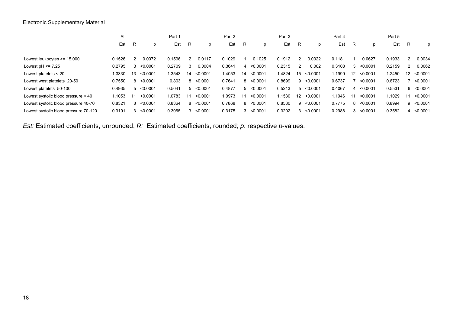|                                       | All    |    |          | Part 1 |    |          | Part 2 |    |          | Part 3 |                   |          | Part 4 |                   |          | Part 5 |    |              |
|---------------------------------------|--------|----|----------|--------|----|----------|--------|----|----------|--------|-------------------|----------|--------|-------------------|----------|--------|----|--------------|
|                                       | Est    | R  | p        | Est    | R  | р        | Est    | R  | D        | Est    | R                 | p        | Est    | R                 | p        | Est    | R  | p            |
| Lowest leukocytes $\ge$ = 15.000      | 0.1526 | 2  | 0.0072   | 0.1596 | 2  | 0.0117   | 0.1029 |    | 0.1025   | 0.1912 |                   | 0.0022   | 0.1181 |                   | 0.0627   | 0.1933 | 2  | 0.0034       |
| Lowest $pH \leq 7.25$                 | 0.2795 | 3  | < 0.0001 | 0.2709 | 3  | 0.0004   | 0.3641 | 4  | < 0.0001 | 0.2315 |                   | 0.002    | 0.3108 | 3                 | < 0.0001 | 0.2159 |    | 0.0062       |
| Lowest platelets $<$ 20               | .3330  | 13 | < 0.0001 | .3543  | 14 | < 0.0001 | .4053  | 14 | < 0.0001 | .4824  | 15                | < 0.0001 | 1.1999 | $12 \overline{ }$ | < 0.0001 | .2450  | 12 | < 0.0001     |
| Lowest west platelets 20-50           | 0.7550 | 8  | < 0.0001 | 0.803  | 8  | < 0.0001 | 0.7641 | 8  | < 0.0001 | 0.8699 | 9                 | < 0.0001 | 0.6737 |                   | < 0.0001 | 0.6723 |    | < 0.0001     |
| Lowest platelets 50-100               | 0.4935 | 5  | < 0.0001 | 0.5041 | 5  | < 0.0001 | 0.4877 | 5  | < 0.0001 | 0.5213 | 5                 | < 0.0001 | 0.4067 | 4                 | < 0.0001 | 0.5531 |    | $6$ < 0.0001 |
| Lowest systolic blood pressure < 40   | .1053  | 11 | < 0.0001 | 1.0783 | 11 | < 0.0001 | .0973  | 11 | < 0.0001 | 1.1530 | $12 \overline{ }$ | < 0.0001 | 1.1046 | 11                | < 0.0001 | l.1029 | 11 | < 0.0001     |
| Lowest systolic blood pressure 40-70  | 0.8321 | 8  | < 0.0001 | 0.8364 | 8  | < 0.0001 | 0.7868 | 8  | < 0.0001 | 0.8530 | 9                 | < 0.0001 | 0.7775 | 8                 | < 0.0001 | 0.8994 |    | $9$ < 0.0001 |
| Lowest systolic blood pressure 70-120 | 0.3191 | 3  | < 0.0001 | 0.3065 | 3  | < 0.0001 | 0.3175 | 3  | < 0.0001 | 0.3202 |                   | < 0.0001 | 0.2988 |                   | < 0.0001 | 0.3582 | 4  | < 0.0001     |

*Est:* Estimated coefficients, unrounded; *R:* Estimated coefficients, rounded; *p*: respective *p*-values.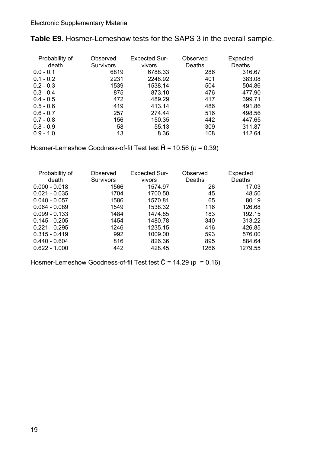| Probability of<br>death | Observed<br><b>Survivors</b> | <b>Expected Sur-</b><br>vivors | Observed<br>Deaths | Expected<br>Deaths |
|-------------------------|------------------------------|--------------------------------|--------------------|--------------------|
| $0.0 - 0.1$             | 6819                         | 6788.33                        | 286                | 316.67             |
| $0.1 - 0.2$             | 2231                         | 2248.92                        | 401                | 383.08             |
| $0.2 - 0.3$             | 1539                         | 1538.14                        | 504                | 504.86             |
| $0.3 - 0.4$             | 875                          | 873.10                         | 476                | 477.90             |
| $0.4 - 0.5$             | 472                          | 489.29                         | 417                | 399.71             |
| $0.5 - 0.6$             | 419                          | 413.14                         | 486                | 491.86             |
| $0.6 - 0.7$             | 257                          | 274.44                         | 516                | 498.56             |
| $0.7 - 0.8$             | 156                          | 150.35                         | 442                | 447.65             |
| $0.8 - 0.9$             | 58                           | 55.13                          | 309                | 311.87             |
| $0.9 - 1.0$             | 13                           | 8.36                           | 108                | 112.64             |

**Table E9.** Hosmer-Lemeshow tests for the SAPS 3 in the overall sample.

Hosmer-Lemeshow Goodness-of-fit Test test Ĥ = 10.56 (*p* = 0.39)

| Probability of<br>death | Observed<br><b>Survivors</b> | <b>Expected Sur-</b><br>vivors | Observed<br>Deaths | Expected<br>Deaths |
|-------------------------|------------------------------|--------------------------------|--------------------|--------------------|
| $0.000 - 0.018$         | 1566                         | 1574.97                        | 26                 | 17.03              |
| $0.021 - 0.035$         | 1704                         | 1700.50                        | 45                 | 48.50              |
| $0.040 - 0.057$         | 1586                         | 1570.81                        | 65                 | 80.19              |
| $0.064 - 0.089$         | 1549                         | 1538.32                        | 116                | 126.68             |
| $0.099 - 0.133$         | 1484                         | 1474.85                        | 183                | 192.15             |
| $0.145 - 0.205$         | 1454                         | 1480.78                        | 340                | 313.22             |
| $0.221 - 0.295$         | 1246                         | 1235.15                        | 416                | 426.85             |
| $0.315 - 0.419$         | 992                          | 1009.00                        | 593                | 576.00             |
| $0.440 - 0.604$         | 816                          | 826.36                         | 895                | 884.64             |
| $0.622 - 1.000$         | 442                          | 428.45                         | 1266               | 1279.55            |

Hosmer-Lemeshow Goodness-of-fit Test test  $\hat{C}$  = 14.29 (p = 0.16)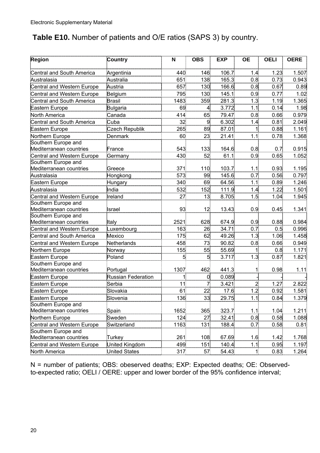### **Table E10.** Number of patients and O/E ratios (SAPS 3) by country.

| Region                     | Country                   | N    | <b>OBS</b>   | <b>EXP</b> | <b>OE</b>    | <b>OELI</b> | <b>OERE</b> |
|----------------------------|---------------------------|------|--------------|------------|--------------|-------------|-------------|
| Central and South America  |                           | 440  | 146          | 106.7      | 1.4          | 1.23        | 1.507       |
| Australasia                | Argentinia                | 651  | 138          | 165.3      | 0.8          | 0.73        | 0.943       |
|                            | Australia<br>Austria      | 657  |              |            |              |             |             |
| Central and Western Europe |                           |      | 130          | 166.6      | 0.8          | 0.67        | 0.89        |
| Central and Western Europe | Belgium                   | 795  | 130          | 145.1      | 0.9          | 0.77        | 1.02        |
| Central and South America  | <b>Brasil</b>             | 1483 | 359          | 281.3      | 1.3          | 1.19        | 1.365       |
| Eastern Europe             | Bulgaria                  | 69   | $\mathbf{A}$ | 3.772      | 1.1          | 0.14        | 1.98        |
| North America              | Canada                    | 414  | 65           | 79.47      | 0.8          | 0.66        | 0.979       |
| Central and South America  | Cuba                      | 32   | 9            | 6.302      | 1.4          | 0.81        | 2.049       |
| Eastern Europe             | Czech Republik            | 265  | 89           | 87.01      |              | 0.88        | 1.161       |
| Northern Europe            | Denmark                   | 60   | 23           | 21.41      | 1.1          | 0.78        | 1.368       |
| Southern Europe and        |                           |      |              |            |              |             |             |
| Mediterranean countries    | France                    | 543  | 133          | 164.6      | 0.8          | 0.7         | 0.915       |
| Central and Western Europe | Germany                   | 430  | 52           | 61.1       | 0.9          | 0.65        | 1.052       |
| Southern Europe and        |                           |      |              |            |              |             |             |
| Mediterranean countries    | Greece                    | 371  | 110          | 103.7      | 1.1          | 0.93        | 1.195       |
| Australasia                | Hongkong                  | 573  | 99           | 145.6      | 0.7          | 0.56        | 0.797       |
| Eastern Europe             | Hungary                   | 340  | 69           | 64.56      | 1.1          | 0.89        | 1.246       |
| Australasia                | India                     | 532  | 152          | 111.9      | 1.4          | 1.22        | 1.501       |
| Central and Western Europe | Ireland                   | 27   | 13           | 8.705      | 1.5          | 1.04        | 1.945       |
| Southern Europe and        |                           |      |              |            |              |             |             |
| Mediterranean countries    | Israel                    | 93   | 12           | 13.43      | 0.9          | 0.45        | 1.341       |
| Southern Europe and        |                           | 2521 |              |            |              |             |             |
| Mediterranean countries    | Italy                     |      | 628          | 674.9      | 0.9          | 0.88        | 0.984       |
| Central and Western Europe | Luxembourg                | 163  | 26           | 34.71      | 0.7          | 0.5         | 0.996       |
| Central and South America  | Mexico                    | 175  | 62           | 49.26      | 1.3          | 1.06        | 1.458       |
| Central and Western Europe | Netherlands               | 458  | 73           | 90.82      | 0.8          | 0.66        | 0.949       |
| Northern Europe            | Norway                    | 155  | 55           | 55.69      | 1            | 0.8         | 1.171       |
| Eastern Europe             | Poland                    | 5    | 5            | 3.717      | 1.3          | 0.87        | 1.821       |
| Southern Europe and        |                           |      |              |            |              |             |             |
| Mediterranean countries    | Portugal                  | 1307 | 462          | 441.3      | 1            | 0.98        | 1.11        |
| Eastern Europe             | <b>Russian Federation</b> |      | 0            | 0.089      |              |             |             |
| Eastern Europe             | Serbia                    | 11   | 7            | 3.421      | 2            | 1.27        | 2.822       |
| Eastern Europe             | Slovakia                  | 61   | 22           | 17.6       | 1.2          | 0.92        | 1.581       |
| Eastern Europe             | Slovenia                  | 136  | 33           | 29.75      | 1.1          | 0.84        | 1.379       |
| Southern Europe and        |                           |      |              |            |              |             |             |
| Mediterranean countries    | Spain                     | 1652 | 365          | 323.7      | 1.1          | 1.04        | 1.211       |
| Northern Europe            | Sweden                    | 124  | 27           | 32.41      | 0.8          | 0.58        | 1.088       |
| Central and Western Europe | Switzerland               | 1163 | 131          | 188.4      | 0.7          | 0.58        | 0.81        |
| Southern Europe and        |                           |      |              |            |              |             |             |
| Mediterranean countries    | Turkey                    | 261  | 108          | 67.69      | 1.6          | 1.42        | 1.768       |
| Central and Western Europe | United Kingdom            | 499  | 151          | 140.4      | 1.1          | 0.95        | 1.197       |
| North America              | <b>United States</b>      | 317  | 57           | 54.43      | $\mathbf{1}$ | 0.83        | 1.264       |

N = number of patients; OBS: obeserved deaths; EXP: Expected deaths; OE: Observedto-expected ratio; OELI / OERE: upper and lower border of the 95% confidence interval;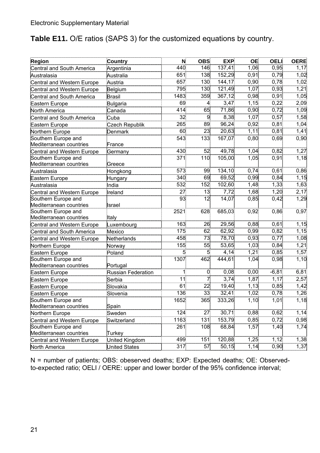### **Table E11.** O/E ratios (SAPS 3) for the customized equations by country.

| Region                                         | Country              | <b>N</b> | <b>OBS</b>     | <b>EXP</b> | OE.  | <b>OELI</b>  | <b>OERE</b> |
|------------------------------------------------|----------------------|----------|----------------|------------|------|--------------|-------------|
| Central and South America                      | Argentinia           | 440      | 146            | 137,41     | 1,06 | 0,95         | 1,17        |
| Australasia                                    | Australia            | 651      | 138            | 152,29     | 0,91 | 0,79         | 1,02        |
| Central and Western Europe                     | Austria              | 657      | 130            | 144,17     | 0,90 | 0,78         | 1,02        |
| Central and Western Europe                     | Belgium              | 795      | 130            | 121,49     | 1,07 | 0,93         | 1,21        |
| Central and South America                      | <b>Brasil</b>        | 1483     | 359            | 367,12     | 0,98 | 0,91         | 1,05        |
| Eastern Europe                                 | Bulgaria             | 69       | 4              | 3,47       | 1,15 | 0,22         | 2,09        |
| North America                                  | Canada               | 414      | 65             | 71,86      | 0,90 | 0,72         | 1,09        |
| <b>Central and South America</b>               | Cuba                 | 32       | 9              | 8,38       | 1,07 | 0,57         | 1,58        |
| Eastern Europe                                 | Czech Republik       | 265      | 89             | 96,24      | 0,92 | 0,81         | 1,04        |
| Northern Europe                                | Denmark              | 60       | 23             | 20,63      | 1,11 | 0,81         | 1,41        |
| Southern Europe and                            |                      | 543      | 133            | 167,07     | 0,80 | 0,69         | 0,90        |
| Mediterranean countries                        | France               |          |                |            |      |              |             |
| Central and Western Europe                     | Germany              | 430      | 52             | 49,78      | 1,04 | 0,82         | 1,27        |
| Southern Europe and                            |                      | 371      | 110            | 105,00     | 1,05 | 0,91         | 1,18        |
| Mediterranean countries                        | Greece               |          |                |            |      |              |             |
| Australasia                                    | Hongkong             | 573      | 99             | 134,10     | 0,74 | 0,61         | 0,86        |
| Eastern Europe                                 | Hungary              | 340      | 69             | 69,52      | 0,99 | 0,84         | 1,15        |
| Australasia                                    | India                | 532      | 152            | 102,60     | 1,48 | 1,33         | 1,63        |
| Central and Western Europe                     | Ireland              | 27       | 13             | 7,72       | 1,68 | 1,20         | 2,17        |
| Southern Europe and                            |                      | 93       | 12             | 14,07      | 0,85 | 0,42         | 1,29        |
| Mediterranean countries                        | Israel               |          |                |            |      |              |             |
| Southern Europe and                            |                      | 2521     | 628            | 685,03     | 0,92 | 0,86         | 0,97        |
| Mediterranean countries                        | Italy                | 163      | 26             | 29,56      | 0,88 | 0,61         | 1,15        |
| Central and Western Europe                     | Luxembourg           | 175      | 62             | 62,92      | 0,99 | 0,82         | 1,15        |
| Central and South America                      | Mexico               | 458      | 73             | 78,70      | 0,93 |              |             |
| Central and Western Europe                     | Netherlands          | 155      | 55             | 53,65      | 1,03 | 0,77<br>0,84 | 1,08        |
| Northern Europe                                | Norway               |          |                |            |      |              | 1,21        |
| Eastern Europe                                 | Poland               | 5        | 5 <sup>1</sup> | 4,14       | 1,21 | 0,85         | 1,57        |
| Southern Europe and<br>Mediterranean countries | Portugal             | 1307     | 462            | 444,61     | 1,04 | 0,98         | 1,10        |
| Eastern Europe                                 | Russian Federation   | 1        | 0              | 0,08       | 0,00 | $-6,81$      | 6,81        |
| Eastern Europe                                 | Serbia               | 11       | 7              | 3,74       | 1,87 | 1,17         | 2,57        |
| Eastern Europe                                 | Slovakia             | 61       | 22             | 19,40      | 1,13 | 0,85         | 1,42        |
| Eastern Europe                                 | Slovenia             | 136      | 33             | 32,41      | 1,02 | 0,78         | 1,26        |
| Southern Europe and                            |                      | 1652     | 365            | 333,26     | 1,10 | 1,01         | 1,18        |
| Mediterranean countries                        | Spain                |          |                |            |      |              |             |
| Northern Europe                                | Sweden               | 124      | 27             | 30,71      | 0,88 | 0,62         | 1,14        |
| Central and Western Europe                     | Switzerland          | 1163     | 131            | 153,79     | 0,85 | 0,72         | 0,98        |
| Southern Europe and                            |                      | 261      | 108            | 68,84      | 1,57 | 1,40         | 1,74        |
| Mediterranean countries                        | Turkey               |          |                |            |      |              |             |
| Central and Western Europe                     | United Kingdom       | 499      | 151            | 120,88     | 1,25 | 1,12         | 1,38        |
| North America                                  | <b>United States</b> | 317      | 57             | 50, 15     | 1,14 | 0,90         | 1,37        |

N = number of patients; OBS: obeserved deaths; EXP: Expected deaths; OE: Observedto-expected ratio; OELI / OERE: upper and lower border of the 95% confidence interval;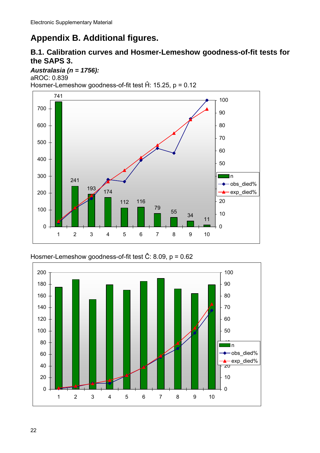# **Appendix B. Additional figures.**

### **B.1. Calibration curves and Hosmer-Lemeshow goodness-of-fit tests for the SAPS 3.**

#### *Australasia (n = 1756):*

aROC: 0.839 Hosmer-Lemeshow goodness-of-fit test Ĥ: 15.25, p = 0.12



Hosmer-Lemeshow goodness-of-fit test Ĉ: 8.09, p = 0.62

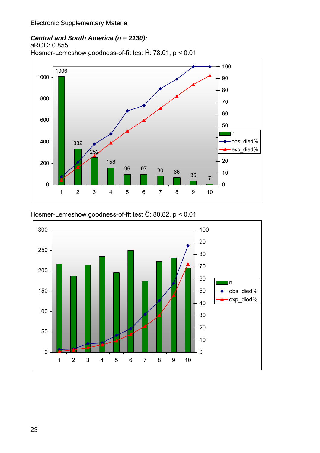### *Central and South America (n = 2130):*

aROC: 0.855

Hosmer-Lemeshow goodness-of-fit test Ĥ: 78.01, p < 0.01



Hosmer-Lemeshow goodness-of-fit test Ĉ: 80.82, p < 0.01

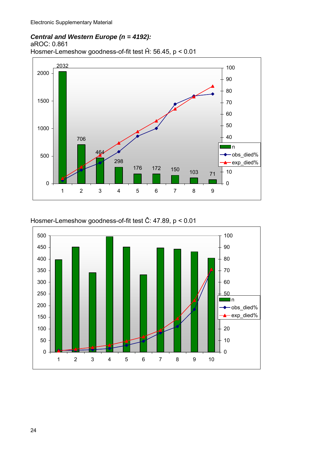#### *Central and Western Europe (n = 4192):*

aROC: 0.861

Hosmer-Lemeshow goodness-of-fit test Ĥ: 56.45, p < 0.01



Hosmer-Lemeshow goodness-of-fit test Ĉ: 47.89, p < 0.01

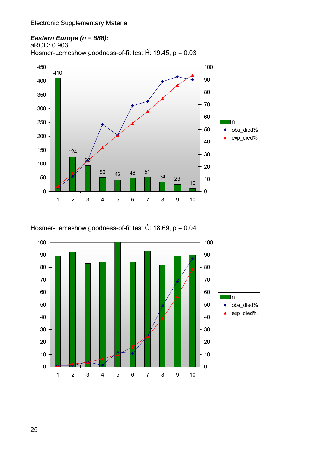### *Eastern Europe (n = 888):*

aROC: 0.903

Hosmer-Lemeshow goodness-of-fit test Ĥ: 19.45, p = 0.03



Hosmer-Lemeshow goodness-of-fit test Ĉ: 18.69, p = 0.04

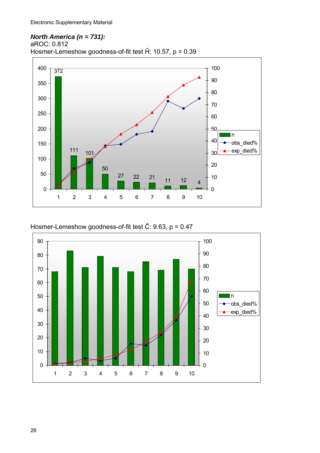#### *North America (n = 731):*  aROC: 0.812

Hosmer-Lemeshow goodness-of-fit test Ĥ: 10.57, p = 0.39



Hosmer-Lemeshow goodness-of-fit test Ĉ: 9.63, p = 0.47

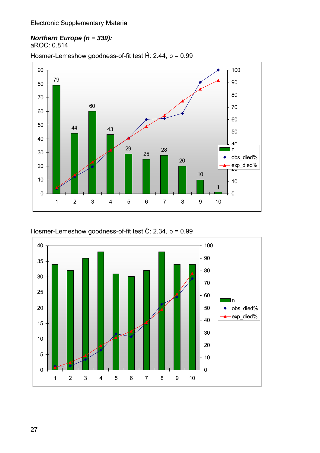#### *Northern Europe (n = 339):*  aROC: 0.814

Hosmer-Lemeshow goodness-of-fit test Ĥ: 2.44, p = 0.99





Hosmer-Lemeshow goodness-of-fit test Ĉ: 2.34, p = 0.99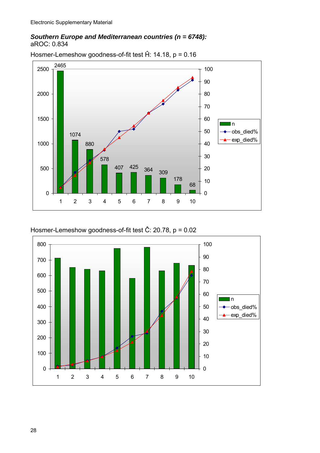#### *Southern Europe and Mediterranean countries (n = 6748):*  aROC: 0.834



Hosmer-Lemeshow goodness-of-fit test Ĥ: 14.18, p = 0.16



Hosmer-Lemeshow goodness-of-fit test Ĉ: 20.78, p = 0.02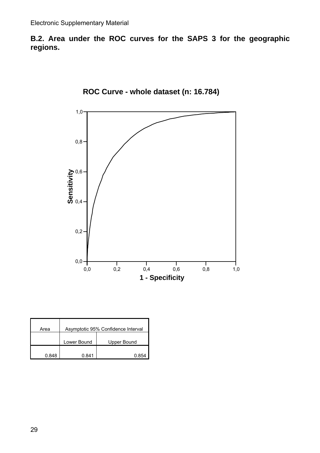**B.2. Area under the ROC curves for the SAPS 3 for the geographic regions.** 



**ROC Curve - whole dataset (n: 16.784)**

| Area  |             | Asymptotic 95% Confidence Interval |
|-------|-------------|------------------------------------|
|       |             |                                    |
|       | Lower Bound | Upper Bound                        |
|       |             |                                    |
| 0.848 | 7 841       | 0.854                              |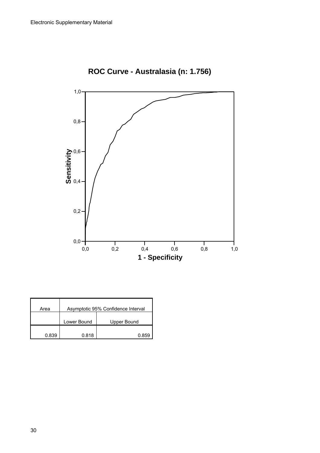

**ROC Curve - Australasia (n: 1.756)**

| Area  |             | Asymptotic 95% Confidence Interval |
|-------|-------------|------------------------------------|
|       | Lower Bound | Upper Bound                        |
| 0.839 | 0.818       | N 859                              |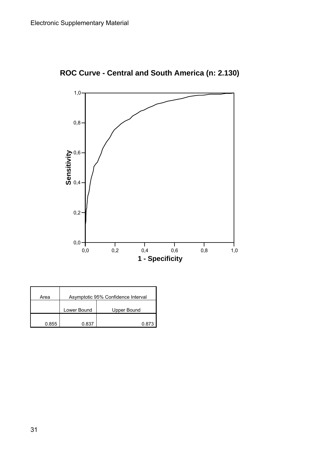

**ROC Curve - Central and South America (n: 2.130)**

| Area  |             | Asymptotic 95% Confidence Interval |
|-------|-------------|------------------------------------|
|       |             |                                    |
|       | Lower Bound | Upper Bound                        |
|       |             |                                    |
| 0.855 | በ ጸ37       | በ ጸ73                              |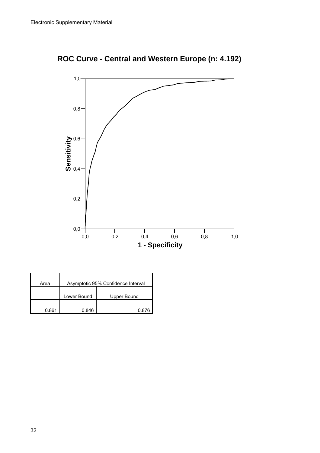

**ROC Curve - Central and Western Europe (n: 4.192)**

| Area  |             | Asymptotic 95% Confidence Interval |
|-------|-------------|------------------------------------|
|       | Lower Bound | Upper Bound                        |
| 0.861 | 0.846       | በ ጸ76                              |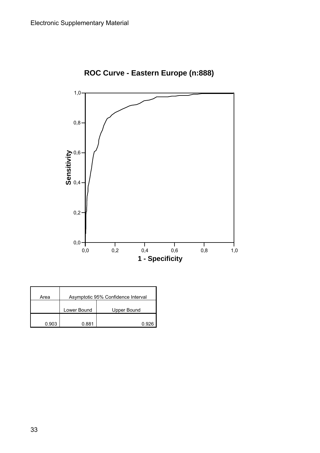

**ROC Curve - Eastern Europe (n:888)**

| Area  | Asymptotic 95% Confidence Interval |             |
|-------|------------------------------------|-------------|
|       |                                    |             |
|       | Lower Bound                        | Upper Bound |
|       |                                    |             |
| 0.903 | በ ጸጸ1                              | ነ ባጋፍ       |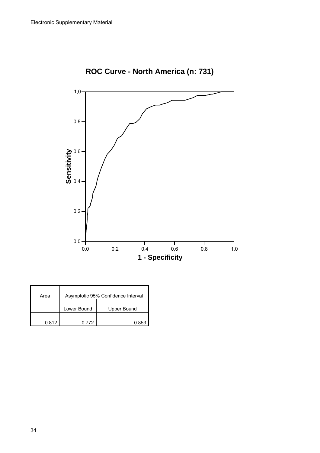

**ROC Curve - North America (n: 731)**

| Area  | Asymptotic 95% Confidence Interval |             |
|-------|------------------------------------|-------------|
|       | Lower Bound                        | Upper Bound |
| 0.812 | በ 772                              | በ ጸ53       |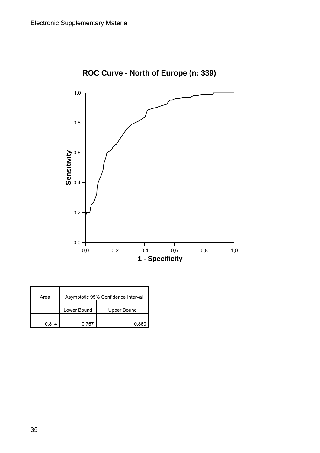

**ROC Curve - North of Europe (n: 339)**

| Area  | Asymptotic 95% Confidence Interval |             |
|-------|------------------------------------|-------------|
|       | Lower Bound                        | Upper Bound |
| 0.814 | በ 767                              |             |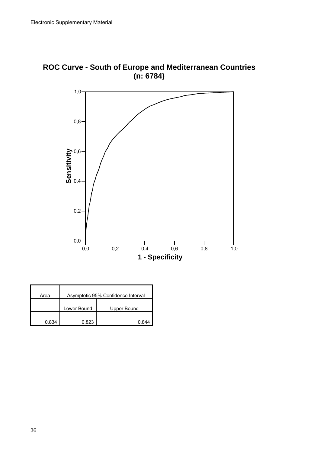



| Area  | Asymptotic 95% Confidence Interval |             |
|-------|------------------------------------|-------------|
|       | Lower Bound                        | Upper Bound |
| በ ጸ34 | 0.823                              |             |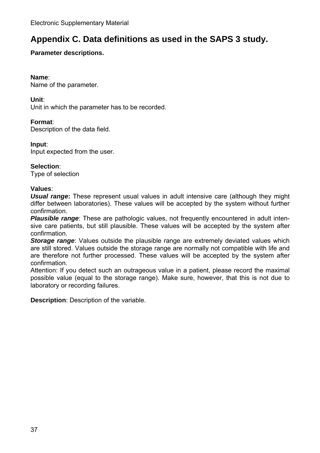## **Appendix C. Data definitions as used in the SAPS 3 study.**

#### **Parameter descriptions.**

#### **Name**:

Name of the parameter.

#### **Unit**:

Unit in which the parameter has to be recorded.

#### **Format**:

Description of the data field.

#### **Input**:

Input expected from the user.

#### **Selection**:

Type of selection

#### **Values**:

*Usual range***:** These represent usual values in adult intensive care (although they might differ between laboratories). These values will be accepted by the system without further confirmation.

**Plausible range**: These are pathologic values, not frequently encountered in adult intensive care patients, but still plausible. These values will be accepted by the system after confirmation.

**Storage range**: Values outside the plausible range are extremely deviated values which are still stored. Values outside the storage range are normally not compatible with life and are therefore not further processed. These values will be accepted by the system after confirmation.

Attention: If you detect such an outrageous value in a patient, please record the maximal possible value (equal to the storage range). Make sure, however, that this is not due to laboratory or recording failures.

**Description**: Description of the variable.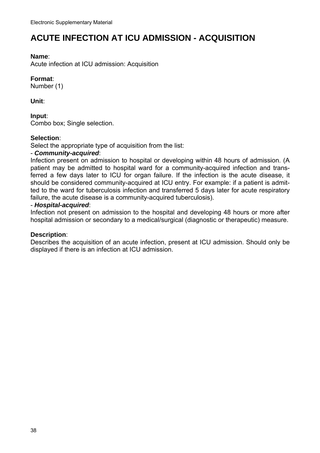## **ACUTE INFECTION AT ICU ADMISSION - ACQUISITION**

#### **Name**:

Acute infection at ICU admission: Acquisition

#### **Format**:

Number (1)

#### **Unit**:

#### **Input**:

Combo box; Single selection.

#### **Selection**:

Select the appropriate type of acquisition from the list:

#### - *Community-acquired*:

Infection present on admission to hospital or developing within 48 hours of admission. (A patient may be admitted to hospital ward for a community-acquired infection and transferred a few days later to ICU for organ failure. If the infection is the acute disease, it should be considered community-acquired at ICU entry. For example: if a patient is admitted to the ward for tuberculosis infection and transferred 5 days later for acute respiratory failure, the acute disease is a community-acquired tuberculosis).

#### - *Hospital-acquired*:

Infection not present on admission to the hospital and developing 48 hours or more after hospital admission or secondary to a medical/surgical (diagnostic or therapeutic) measure.

#### **Description**:

Describes the acquisition of an acute infection, present at ICU admission. Should only be displayed if there is an infection at ICU admission.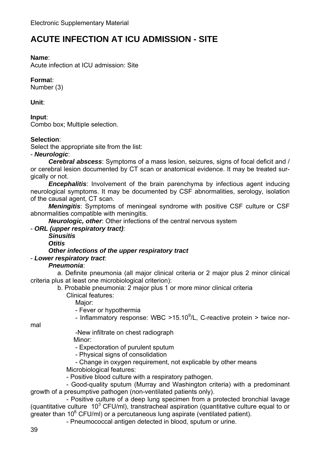## **ACUTE INFECTION AT ICU ADMISSION - SITE**

#### **Name**:

Acute infection at ICU admission: Site

### **Forma**t:

Number (3)

**Unit**:

**Input**: Combo box; Multiple selection.

#### **Selection**:

Select the appropriate site from the list:

- *Neurologic*:

 *Cerebral abscess*: Symptoms of a mass lesion, seizures, signs of focal deficit and / or cerebral lesion documented by CT scan or anatomical evidence. It may be treated surgically or not.

**Encephalitis**: Involvement of the brain parenchyma by infectious agent inducing neurological symptoms. It may be documented by CSF abnormalities, serology, isolation of the causal agent, CT scan.

 *Meningitis*: Symptoms of meningeal syndrome with positive CSF culture or CSF abnormalities compatible with meningitis.

*Neurologic, other*: Other infections of the central nervous system

- *ORL (upper respiratory tract)*:

*Sinusitis* 

 *Otitis* 

#### *Other infections of the upper respiratory tract*

#### - *Lower respiratory tract*:

#### *Pneumonia*:

 a. Definite pneumonia (all major clinical criteria or 2 major plus 2 minor clinical criteria plus at least one microbiological criterion):

 b. Probable pneumonia: 2 major plus 1 or more minor clinical criteria Clinical features:

Major:

- Fever or hypothermia

- Inflammatory response: WBC >15.10 $^9$ /L, C-reactive protein > twice nor-

mal

-New infiltrate on chest radiograph

Minor:

- Expectoration of purulent sputum

- Physical signs of consolidation

- Change in oxygen requirement, not explicable by other means

Microbiological features:

- Positive blood culture with a respiratory pathogen.

 - Good-quality sputum (Murray and Washington criteria) with a predominant growth of a presumptive pathogen (non-ventilated patients only).

 - Positive culture of a deep lung specimen from a protected bronchial lavage (quantitative culture  $10^3$  CFU/ml), transtracheal aspiration (quantitative culture equal to or greater than  $10^6$  CFU/ml) or a percutaneous lung aspirate (ventilated patient).

- Pneumococcal antigen detected in blood, sputum or urine.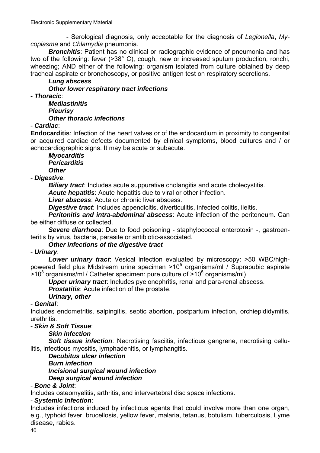- Serological diagnosis, only acceptable for the diagnosis of *Legionella*, *Mycoplasma* and *Chlamydia* pneumonia.

 *Bronchitis*: Patient has no clinical or radiographic evidence of pneumonia and has two of the following: fever (>38° C), cough, new or increased sputum production, ronchi, wheezing; AND either of the following: organism isolated from culture obtained by deep tracheal aspirate or bronchoscopy, or positive antigen test on respiratory secretions.

## *Lung abscess*

*Other lower respiratory tract infections* 

- *Thoracic*:

 *Mediastinitis Pleurisy Other thoracic infections* 

### - *Cardiac*:

**Endocarditis**: Infection of the heart valves or of the endocardium in proximity to congenital or acquired cardiac defects documented by clinical symptoms, blood cultures and / or echocardiographic signs. It may be acute or subacute.

#### *Myocarditis Pericarditis Other*

- *Digestive*:

*Biliary tract***:** Includes acute suppurative cholangitis and acute cholecystitis.

*Acute hepatitis*: Acute hepatitis due to viral or other infection.

*Liver abscess*: Acute or chronic liver abscess.

*Digestive tract*: Includes appendicitis, diverticulitis, infected colitis, ileitis.

 *Peritonitis and intra-abdominal abscess*: Acute infection of the peritoneum. Can be either diffuse or collected.

 *Severe diarrhoea*: Due to food poisoning - staphylococcal enterotoxin -, gastroenteritis by virus, bacteria, parasite or antibiotic-associated.

#### *Other infections of the digestive tract*

- *Urinary*:

 *Lower urinary tract*: Vesical infection evaluated by microscopy: >50 WBC/highpowered field plus Midstream urine specimen  $>10^5$  organisms/ml / Suprapubic aspirate  $>$ 10<sup>3</sup> organisms/ml / Catheter specimen: pure culture of  $>$ 10<sup>5</sup> organisms/ml)

*Upper urinary tract*: Includes pyelonephritis, renal and para-renal abscess.

*Prostatitis*: Acute infection of the prostate.

#### *Urinary, other*

#### - *Genital*:

Includes endometritis, salpingitis, septic abortion, postpartum infection, orchiepididymitis, urethritis.

#### - *Skin & Soft Tissue*:

## *Skin infection*

**Soft tissue infection:** Necrotising fasciitis, infectious gangrene, necrotising cellulitis, infectious myositis, lymphadenitis, or lymphangitis.

## *Decubitus ulcer infection*

## *Burn infection*

*Incisional surgical wound infection* 

*Deep surgical wound infection* 

#### - *Bone & Joint*:

Includes osteomyelitis, arthritis, and intervertebral disc space infections.

## - *Systemic Infection*:

Includes infections induced by infectious agents that could involve more than one organ, e.g., typhoid fever, brucellosis, yellow fever, malaria, tetanus, botulism, tuberculosis, Lyme disease, rabies.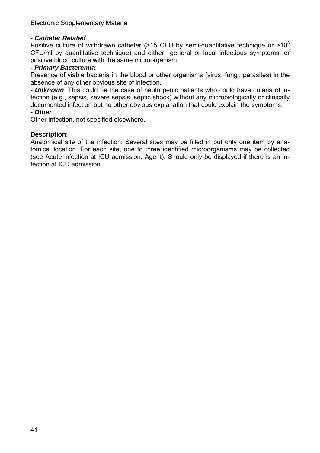#### - *Catheter Related*:

Positive culture of withdrawn catheter (>15 CFU by semi-quantitative technique or  $>10^3$ CFU/ml by quantitative technique) and either general or local infectious symptoms, or positive blood culture with the same microorganism.

#### - *Primary Bacteremia*:

Presence of viable bacteria in the blood or other organisms (virus, fungi, parasites) in the absence of any other obvious site of infection.

- *Unknown*: This could be the case of neutropenic patients who could have criteria of infection (e.g., sepsis, severe sepsis, septic shock) without any microbiologically or clinically documented infection but no other obvious explanation that could explain the symptoms.

## - *Other*:

Other infection, not specified elsewhere.

#### **Description**:

Anatomical site of the infection. Several sites may be filled in but only one item by anatomical location. For each site, one to three identified microorganisms may be collected (see Acute infection at ICU admission: Agent). Should only be displayed if there is an infection at ICU admission.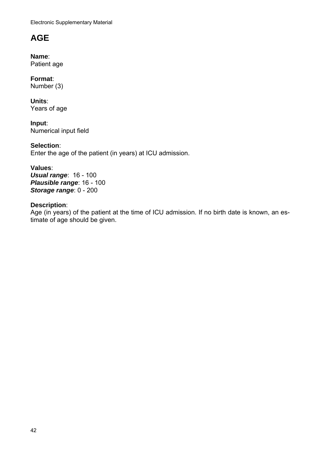Electronic Supplementary Material

## **AGE**

**Name**: Patient age

**Format**: Number (3)

**Units**: Years of age

**Input**: Numerical input field

**Selection**: Enter the age of the patient (in years) at ICU admission.

#### **Values**: *Usual range*: 16 - 100 *Plausible range*: 16 - 100

*Storage range*: 0 - 200

## **Description**:

Age (in years) of the patient at the time of ICU admission. If no birth date is known, an estimate of age should be given.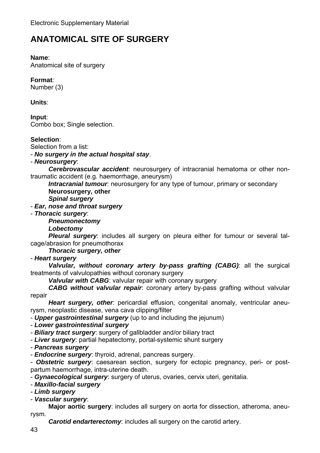## **ANATOMICAL SITE OF SURGERY**

#### **Name**:

Anatomical site of surgery

### **Format**:

Number (3)

#### **Units**:

**Input**: Combo box; Single selection.

### **Selection**:

Selection from a list:

- *No surgery in the actual hospital stay*.

#### - *Neurosurgery*:

 *Cerebrovascular accident*: neurosurgery of intracranial hematoma or other nontraumatic accident (e.g. haemorrhage, aneurysm)

*Intracranial tumour*: neurosurgery for any type of tumour, primary or secondary

**Neurosurgery, other**

*Spinal surgery*

### - *Ear, nose and throat surgery*

- *Thoracic surgery*:

*Pneumonectomy* 

*Lobectomy* 

 *Pleural surgery*: includes all surgery on pleura either for tumour or several talcage/abrasion for pneumothorax

*Thoracic surgery, other*

- *Heart surgery*

 *Valvular, without coronary artery by-pass grafting (CABG)*: all the surgical treatments of valvulopathies without coronary surgery

*Valvular with CABG*: valvular repair with coronary surgery

 *CABG without valvular repair*: coronary artery by-pass grafting without valvular repair

 *Heart surgery, other*: pericardial effusion, congenital anomaly, ventricular aneurysm, neoplastic disease, vena cava clipping/filter

- *Upper gastrointestinal surgery* (up to and including the jejunum)

- *Lower gastrointestinal surgery*

- *Biliary tract surgery*: surgery of gallbladder and/or biliary tract

- *Liver surgery*: partial hepatectomy, portal-systemic shunt surgery

- *Pancreas surgery*

- *Endocrine surgery*: thyroid, adrenal, pancreas surgery.

- *Obstetric surgery*: caesarean section, surgery for ectopic pregnancy, peri- or postpartum haemorrhage, intra-uterine death.

- *Gynaecological surgery*: surgery of uterus, ovaries, cervix uteri, genitalia.

- *Maxillo-facial surgery*

- *Limb surgery*

- *Vascular surgery*:

 **Major aortic surgery**: includes all surgery on aorta for dissection, atheroma, aneurysm.

*Carotid endarterectomy:* includes all surgery on the carotid artery.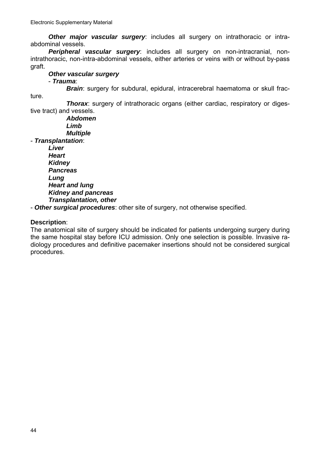*Other major vascular surgery*: includes all surgery on intrathoracic or intraabdominal vessels.

 *Peripheral vascular surgery*: includes all surgery on non-intracranial, nonintrathoracic, non-intra-abdominal vessels, either arteries or veins with or without by-pass graft.

*Other vascular surgery*

- *Trauma*:

ture.

*Brain*: surgery for subdural, epidural, intracerebral haematoma or skull frac-

 *Thorax*: surgery of intrathoracic organs (either cardiac, respiratory or digestive tract) and vessels.

 *Abdomen Limb Multiple* - *Transplantation*:

 *Liver Heart Kidney Pancreas Lung Heart and lung Kidney and pancreas Transplantation, other* 

- *Other surgical procedures*: other site of surgery, not otherwise specified.

#### **Description**:

The anatomical site of surgery should be indicated for patients undergoing surgery during the same hospital stay before ICU admission. Only one selection is possible. Invasive radiology procedures and definitive pacemaker insertions should not be considered surgical procedures.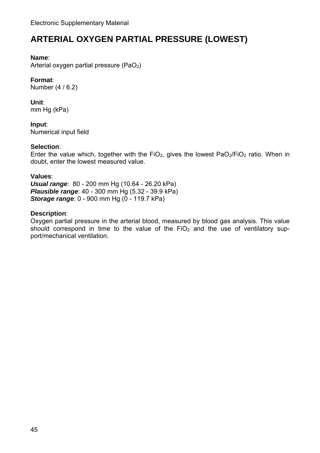## **ARTERIAL OXYGEN PARTIAL PRESSURE (LOWEST)**

#### **Name**:

Arterial oxygen partial pressure  $(PaO<sub>2</sub>)$ 

### **Format**:

Number (4 / 6.2)

**Unit**: mm Hg (kPa)

**Input**: Numerical input field

#### **Selection**:

Enter the value which, together with the FiO<sub>2</sub>, gives the lowest PaO<sub>2</sub>/FiO<sub>2</sub> ratio. When in doubt, enter the lowest measured value.

#### **Values**:

*Usual range*: 80 - 200 mm Hg (10.64 - 26.20 kPa) *Plausible range*: 40 - 300 mm Hg (5.32 - 39.9 kPa) *Storage range*: 0 - 900 mm Hg (0 - 119.7 kPa)

#### **Description**:

Oxygen partial pressure in the arterial blood, measured by blood gas analysis. This value should correspond in time to the value of the  $FiO<sub>2</sub>$  and the use of ventilatory support/mechanical ventilation.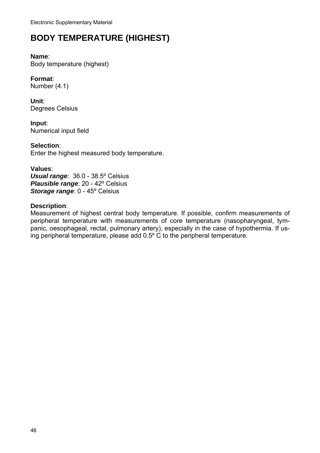## **BODY TEMPERATURE (HIGHEST)**

### **Name**:

Body temperature (highest)

### **Format**:

Number (4.1)

**Unit**: Degrees Celsius

**Input**: Numerical input field

**Selection**: Enter the highest measured body temperature.

#### **Values**:

*Usual range*: 36.0 - 38.5º Celsius *Plausible range*: 20 - 42º Celsius *Storage range*: 0 - 45º Celsius

#### **Description**:

Measurement of highest central body temperature. If possible, confirm measurements of peripheral temperature with measurements of core temperature (nasopharyngeal, tympanic, oesophageal, rectal, pulmonary artery), especially in the case of hypothermia. If using peripheral temperature, please add 0.5º C to the peripheral temperature.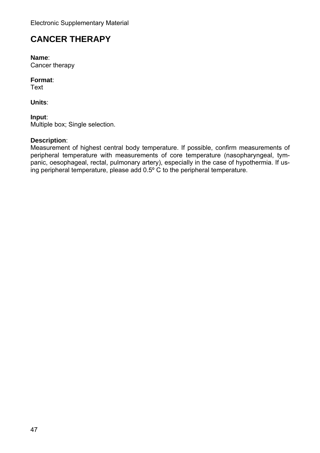## **CANCER THERAPY**

**Name**: Cancer therapy

#### **Format**:

Text

**Units**:

#### **Input**:

Multiple box; Single selection.

### **Description**:

Measurement of highest central body temperature. If possible, confirm measurements of peripheral temperature with measurements of core temperature (nasopharyngeal, tympanic, oesophageal, rectal, pulmonary artery), especially in the case of hypothermia. If using peripheral temperature, please add 0.5º C to the peripheral temperature.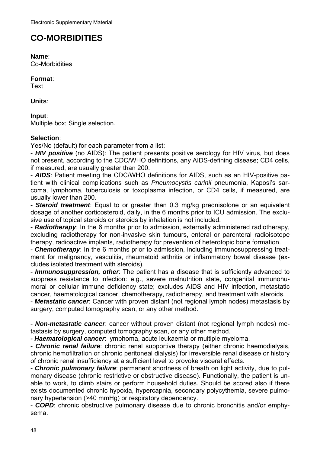## **CO-MORBIDITIES**

**Name**:

Co-Morbidities

#### **Format**:

Text

**Units**:

**Input**: Multiple box; Single selection.

#### **Selection**:

Yes/No (default) for each parameter from a list:

- *HIV positive* (no AIDS): The patient presents positive serology for HIV virus, but does not present, according to the CDC/WHO definitions, any AIDS-defining disease; CD4 cells, if measured, are usually greater than 200.

- *AIDS*: Patient meeting the CDC/WHO definitions for AIDS, such as an HIV-positive patient with clinical complications such as *Pneumocystis carinii* pneumonia, Kaposi's sarcoma, lymphoma, tuberculosis or toxoplasma infection, or CD4 cells, if measured, are usually lower than 200.

- *Steroid treatment*: Equal to or greater than 0.3 mg/kg prednisolone or an equivalent dosage of another corticosteroid, daily, in the 6 months prior to ICU admission. The exclusive use of topical steroids or steroids by inhalation is not included.

- *Radiotherapy*: In the 6 months prior to admission, externally administered radiotherapy, excluding radiotherapy for non-invasive skin tumours, enteral or parenteral radioisotope therapy, radioactive implants, radiotherapy for prevention of heterotopic bone formation.

- *Chemotherapy*: In the 6 months prior to admission, including immunosuppressing treatment for malignancy, vasculitis, rheumatoid arthritis or inflammatory bowel disease (excludes isolated treatment with steroids).

- *Immunosuppression, other*: The patient has a disease that is sufficiently advanced to suppress resistance to infection: e.g., severe malnutrition state, congenital immunohumoral or cellular immune deficiency state; excludes AIDS and HIV infection, metastatic cancer, haematological cancer, chemotherapy, radiotherapy, and treatment with steroids.

- *Metastatic cancer*: Cancer with proven distant (not regional lymph nodes) metastasis by surgery, computed tomography scan, or any other method.

- *Non-metastatic cancer*: cancer without proven distant (not regional lymph nodes) metastasis by surgery, computed tomography scan, or any other method.

- *Haematological cancer*: lymphoma, acute leukaemia or multiple myeloma.

- *Chronic renal failure*: chronic renal supportive therapy (either chronic haemodialysis, chronic hemofiltration or chronic peritoneal dialysis) for irreversible renal disease or history of chronic renal insufficiency at a sufficient level to provoke visceral effects.

- *Chronic pulmonary failure*: permanent shortness of breath on light activity, due to pulmonary disease (chronic restrictive or obstructive disease). Functionally, the patient is unable to work, to climb stairs or perform household duties. Should be scored also if there exists documented chronic hypoxia, hypercapnia, secondary polycythemia, severe pulmonary hypertension (>40 mmHg) or respiratory dependency.

- *COPD*: chronic obstructive pulmonary disease due to chronic bronchitis and/or emphysema.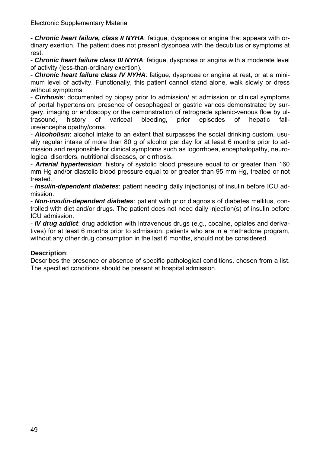- *Chronic heart failure, class II NYHA*: fatigue, dyspnoea or angina that appears with ordinary exertion. The patient does not present dyspnoea with the decubitus or symptoms at rest.

- *Chronic heart failure class III NYHA*: fatigue, dyspnoea or angina with a moderate level of activity (less-than-ordinary exertion).

- *Chronic heart failure class IV NYHA*: fatigue, dyspnoea or angina at rest, or at a minimum level of activity. Functionally, this patient cannot stand alone, walk slowly or dress without symptoms.

- *Cirrhosis*: documented by biopsy prior to admission/ at admission or clinical symptoms of portal hypertension: presence of oesophageal or gastric varices demonstrated by surgery, imaging or endoscopy or the demonstration of retrograde splenic-venous flow by ultrasound, history of variceal bleeding, prior episodes of hepatic failure/encephalopathy/coma.

- *Alcoholism*: alcohol intake to an extent that surpasses the social drinking custom, usually regular intake of more than 80 g of alcohol per day for at least 6 months prior to admission and responsible for clinical symptoms such as logorrhoea, encephalopathy, neurological disorders, nutritional diseases, or cirrhosis.

- *Arterial hypertension*: history of systolic blood pressure equal to or greater than 160 mm Hg and/or diastolic blood pressure equal to or greater than 95 mm Hg, treated or not treated.

- *Insulin-dependent diabetes*: patient needing daily injection(s) of insulin before ICU admission.

- *Non-insulin-dependent diabetes*: patient with prior diagnosis of diabetes mellitus, controlled with diet and/or drugs. The patient does not need daily injection(s) of insulin before ICU admission.

- *IV drug addict*: drug addiction with intravenous drugs (e.g., cocaine, opiates and derivatives) for at least 6 months prior to admission; patients who are in a methadone program, without any other drug consumption in the last 6 months, should not be considered.

#### **Description**:

Describes the presence or absence of specific pathological conditions, chosen from a list. The specified conditions should be present at hospital admission.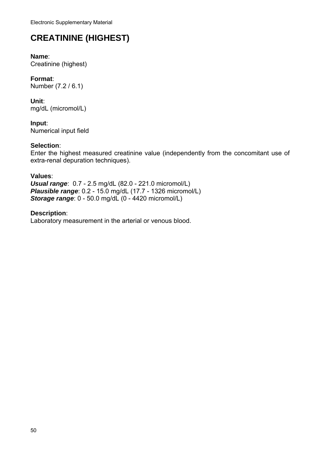# **CREATININE (HIGHEST)**

## **Name**:

Creatinine (highest)

**Format**: Number (7.2 / 6.1)

**Unit**: mg/dL (micromol/L)

**Input**: Numerical input field

### **Selection**:

Enter the highest measured creatinine value (independently from the concomitant use of extra-renal depuration techniques).

#### **Values**:

*Usual range*: 0.7 - 2.5 mg/dL (82.0 - 221.0 micromol/L) *Plausible range*: 0.2 - 15.0 mg/dL (17.7 - 1326 micromol/L) *Storage range*: 0 - 50.0 mg/dL (0 - 4420 micromol/L)

**Description**: Laboratory measurement in the arterial or venous blood.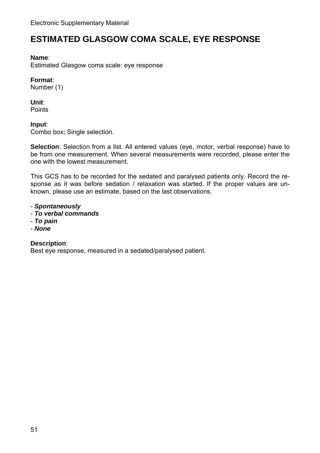## **ESTIMATED GLASGOW COMA SCALE, EYE RESPONSE**

#### **Name**:

Estimated Glasgow coma scale: eye response

### **Format**:

Number (1)

## **Unit**:

**Points** 

#### **Input**:

Combo box; Single selection.

**Selection**: Selection from a list. All entered values (eye, motor, verbal response) have to be from one measurement. When several measurements were recorded, please enter the one with the lowest measurement.

This GCS has to be recorded for the sedated and paralysed patients only. Record the response as it was before sedation / relaxation was started. If the proper values are unknown, please use an estimate, based on the last observations.

#### - *Spontaneously*

- *To verbal commands*
- *To pain*
- *None*

#### **Description**:

Best eye response, measured in a sedated/paralysed patient.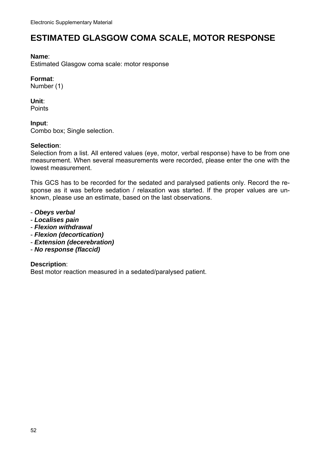## **ESTIMATED GLASGOW COMA SCALE, MOTOR RESPONSE**

#### **Name**:

Estimated Glasgow coma scale: motor response

#### **Format**:

Number (1)

## **Unit**:

**Points** 

#### **Input**:

Combo box; Single selection.

#### **Selection**:

Selection from a list. All entered values (eye, motor, verbal response) have to be from one measurement. When several measurements were recorded, please enter the one with the lowest measurement.

This GCS has to be recorded for the sedated and paralysed patients only. Record the response as it was before sedation / relaxation was started. If the proper values are unknown, please use an estimate, based on the last observations.

- *Obeys verbal*
- *Localises pain*
- *Flexion withdrawal*
- *Flexion (decortication)*
- *Extension (decerebration)*
- *No response (flaccid)*

#### **Description**:

Best motor reaction measured in a sedated/paralysed patient.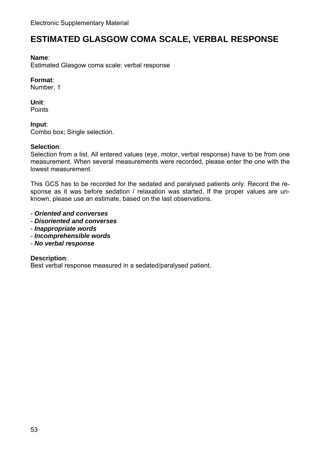## **ESTIMATED GLASGOW COMA SCALE, VERBAL RESPONSE**

#### **Name**:

Estimated Glasgow coma scale: verbal response

#### **Format**:

Number, 1

#### **Unit**:

**Points** 

#### **Input**:

Combo box; Single selection.

#### **Selection**:

Selection from a list. All entered values (eye, motor, verbal response) have to be from one measurement. When several measurements were recorded, please enter the one with the lowest measurement.

This GCS has to be recorded for the sedated and paralysed patients only. Record the response as it was before sedation / relaxation was started. If the proper values are unknown, please use an estimate, based on the last observations.

- *Oriented and converses*
- *Disoriented and converses*
- *Inappropriate words*
- *Incomprehensible words*
- *No verbal response*

#### **Description**:

Best verbal response measured in a sedated/paralysed patient.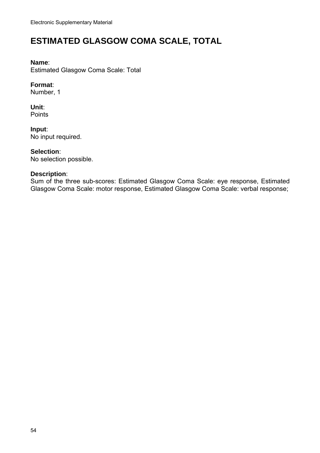## **ESTIMATED GLASGOW COMA SCALE, TOTAL**

#### **Name**:

Estimated Glasgow Coma Scale: Total

#### **Format**:

Number, 1

**Unit**: Points

**Input**: No input required.

#### **Selection**:

No selection possible.

#### **Description**:

Sum of the three sub-scores: Estimated Glasgow Coma Scale: eye response, Estimated Glasgow Coma Scale: motor response, Estimated Glasgow Coma Scale: verbal response;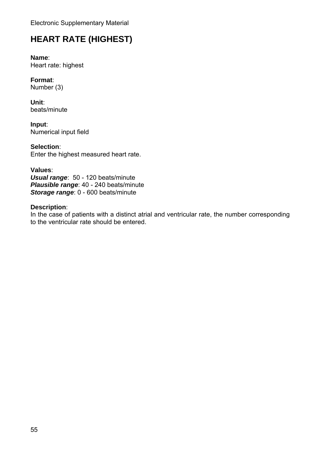## **HEART RATE (HIGHEST)**

**Name**: Heart rate: highest

**Format**: Number (3)

**Unit**: beats/minute

**Input**: Numerical input field

**Selection**: Enter the highest measured heart rate.

**Values**: *Usual range*: 50 - 120 beats/minute *Plausible range*: 40 - 240 beats/minute *Storage range*: 0 - 600 beats/minute

#### **Description**:

In the case of patients with a distinct atrial and ventricular rate, the number corresponding to the ventricular rate should be entered.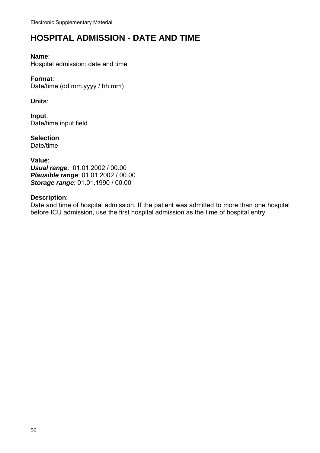## **HOSPITAL ADMISSION - DATE AND TIME**

#### **Name**:

Hospital admission: date and time

#### **Format**:

Date/time (dd.mm.yyyy / hh.mm)

**Units**:

**Input**: Date/time input field

**Selection**: Date/time

**Value**: *Usual range*: 01.01.2002 / 00.00 *Plausible range*: 01.01.2002 / 00.00 *Storage range*: 01.01.1990 / 00.00

#### **Description**:

Date and time of hospital admission. If the patient was admitted to more than one hospital before ICU admission, use the first hospital admission as the time of hospital entry.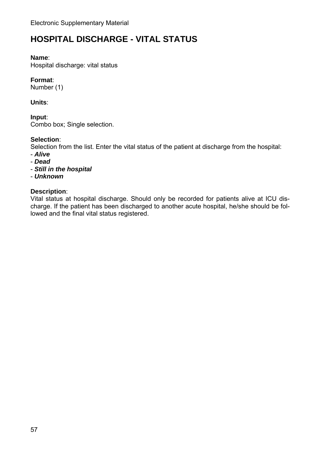## **HOSPITAL DISCHARGE - VITAL STATUS**

#### **Name**:

Hospital discharge: vital status

### **Format**:

Number (1)

#### **Units**:

**Input**:

Combo box; Single selection.

### **Selection**:

Selection from the list. Enter the vital status of the patient at discharge from the hospital:

- *Alive*
- *Dead*
- *Still in the hospital*
- *Unknown*

### **Description**:

Vital status at hospital discharge. Should only be recorded for patients alive at ICU discharge. If the patient has been discharged to another acute hospital, he/she should be followed and the final vital status registered.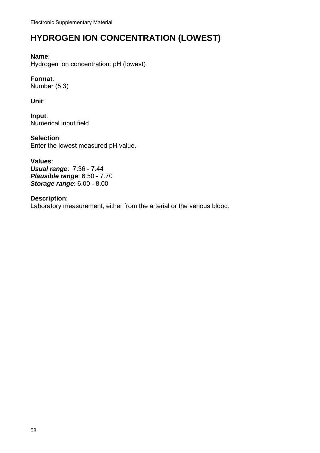## **HYDROGEN ION CONCENTRATION (LOWEST)**

#### **Name**:

Hydrogen ion concentration: pH (lowest)

#### **Format**:

Number (5.3)

**Unit**:

**Input**: Numerical input field

**Selection**: Enter the lowest measured pH value.

**Values**: *Usual range*: 7.36 - 7.44 *Plausible range*: 6.50 - 7.70 *Storage range*: 6.00 - 8.00

**Description**: Laboratory measurement, either from the arterial or the venous blood.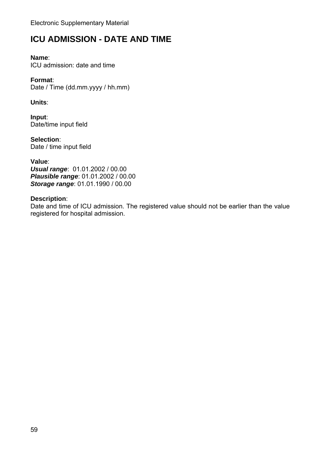## **ICU ADMISSION - DATE AND TIME**

#### **Name**:

ICU admission: date and time

### **Format**:

Date / Time (dd.mm.yyyy / hh.mm)

### **Units**:

**Input**: Date/time input field

**Selection**: Date / time input field

**Value**: *Usual range*: 01.01.2002 / 00.00 *Plausible range*: 01.01.2002 / 00.00 *Storage range*: 01.01.1990 / 00.00

#### **Description**:

Date and time of ICU admission. The registered value should not be earlier than the value registered for hospital admission.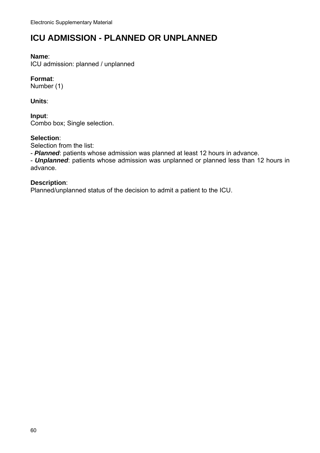## **ICU ADMISSION - PLANNED OR UNPLANNED**

#### **Name**:

ICU admission: planned / unplanned

#### **Format**:

Number (1)

**Units**:

**Input**: Combo box; Single selection.

#### **Selection**:

Selection from the list:

- *Planned*: patients whose admission was planned at least 12 hours in advance.

- *Unplanned*: patients whose admission was unplanned or planned less than 12 hours in advance.

#### **Description**:

Planned/unplanned status of the decision to admit a patient to the ICU.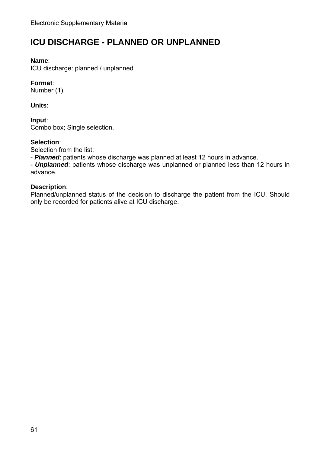## **ICU DISCHARGE - PLANNED OR UNPLANNED**

#### **Name**:

ICU discharge: planned / unplanned

#### **Format**:

Number (1)

### **Units**:

**Input**: Combo box; Single selection.

#### **Selection**:

Selection from the list:

- *Planned*: patients whose discharge was planned at least 12 hours in advance.

- *Unplanned*: patients whose discharge was unplanned or planned less than 12 hours in advance.

#### **Description**:

Planned/unplanned status of the decision to discharge the patient from the ICU. Should only be recorded for patients alive at ICU discharge.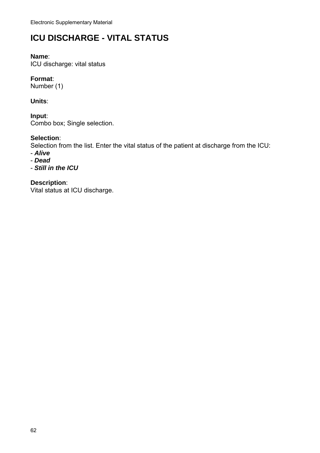## **ICU DISCHARGE - VITAL STATUS**

#### **Name**:

ICU discharge: vital status

#### **Format**:

Number (1)

#### **Units**:

**Input**: Combo box; Single selection.

#### **Selection**:

Selection from the list. Enter the vital status of the patient at discharge from the ICU:

- *Alive*
- *Dead*
- *Still in the ICU*

## **Description**:

Vital status at ICU discharge.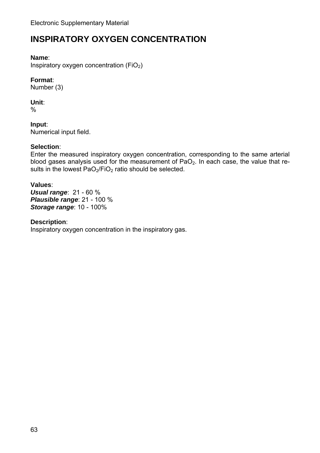## **INSPIRATORY OXYGEN CONCENTRATION**

#### **Name**:

Inspiratory oxygen concentration  $(FiO<sub>2</sub>)$ 

### **Format**:

Number (3)

### **Unit**:

%

**Input**: Numerical input field.

### **Selection**:

Enter the measured inspiratory oxygen concentration, corresponding to the same arterial blood gases analysis used for the measurement of  $PaO<sub>2</sub>$ . In each case, the value that results in the lowest  $PaO<sub>2</sub>/FiO<sub>2</sub>$  ratio should be selected.

#### **Values**:

*Usual range*: 21 - 60 % *Plausible range*: 21 - 100 % *Storage range*: 10 - 100%

#### **Description**:

Inspiratory oxygen concentration in the inspiratory gas.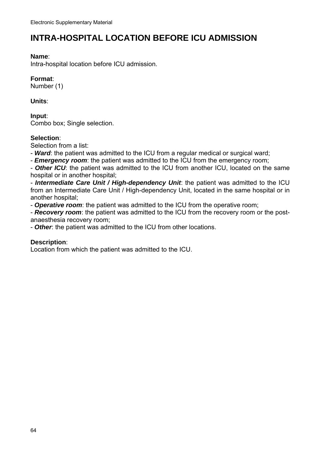## **INTRA-HOSPITAL LOCATION BEFORE ICU ADMISSION**

#### **Name**:

Intra-hospital location before ICU admission.

#### **Format**:

Number (1)

**Units**:

**Input**: Combo box; Single selection.

#### **Selection**:

Selection from a list:

- *Ward*: the patient was admitted to the ICU from a regular medical or surgical ward;

- *Emergency room*: the patient was admitted to the ICU from the emergency room;

- *Other ICU*: the patient was admitted to the ICU from another ICU, located on the same hospital or in another hospital;

- *Intermediate Care Unit / High-dependency Unit*: the patient was admitted to the ICU from an Intermediate Care Unit / High-dependency Unit, located in the same hospital or in another hospital;

- *Operative room*: the patient was admitted to the ICU from the operative room;

- *Recovery room*: the patient was admitted to the ICU from the recovery room or the postanaesthesia recovery room;

- *Other*: the patient was admitted to the ICU from other locations.

#### **Description**:

Location from which the patient was admitted to the ICU.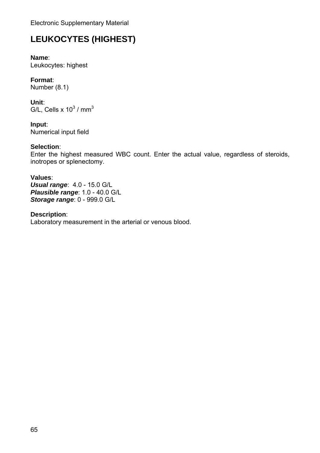# **LEUKOCYTES (HIGHEST)**

**Name**: Leukocytes: highest

**Format**: Number (8.1)

**Unit**: G/L, Cells x 10 $^3$  / mm $^3$ 

**Input**: Numerical input field

### **Selection**:

Enter the highest measured WBC count. Enter the actual value, regardless of steroids, inotropes or splenectomy.

#### **Values**:

*Usual range*: 4.0 - 15.0 G/L *Plausible range*: 1.0 - 40.0 G/L *Storage range*: 0 - 999.0 G/L

**Description**: Laboratory measurement in the arterial or venous blood.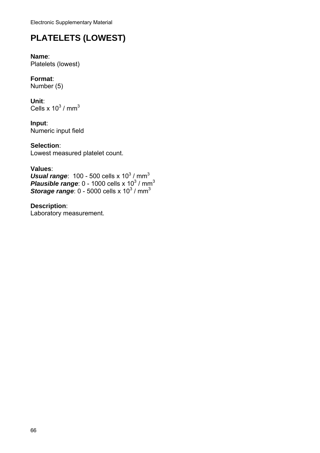# **PLATELETS (LOWEST)**

**Name**: Platelets (lowest)

**Format**: Number (5)

**Unit**: Cells x 10 $^3$  / mm $^3$ 

**Input**: Numeric input field

**Selection**: Lowest measured platelet count.

### **Values**:

**Usual range:**  $100 - 500$  cells x  $10^3$  / mm<sup>3</sup> **Plausible range:**  $0$  - 1000 cells x 10 $^3$  / mm<sup>3</sup> **Storage range:**  $0$  - 5000 cells x 10 $^3$  / mm<sup>3</sup>

**Description**: Laboratory measurement.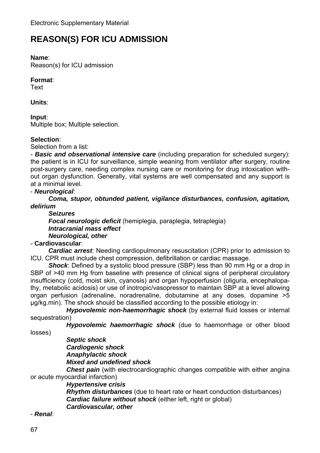## **REASON(S) FOR ICU ADMISSION**

#### **Name**:

Reason(s) for ICU admission

### **Format**:

Text

**Units**:

#### **Input**:

Multiple box; Multiple selection.

### **Selection**:

Selection from a list:

- *Basic and observational intensive care* (including preparation for scheduled surgery): the patient is in ICU for surveillance, simple weaning from ventilator after surgery, routine post-surgery care, needing complex nursing care or monitoring for drug intoxication without organ dysfunction. Generally, vital systems are well compensated and any support is at a minimal level.

### - *Neurological*:

*Coma, stupor, obtunded patient, vigilance disturbances, confusion, agitation, delirium* 

*Seizures* 

*Focal neurologic deficit* (hemiplegia, paraplegia, tetraplegia) *Intracranial mass effect* *Neurological, other* 

#### - **Cardiovascular**:

*Cardiac arrest*: Needing cardiopulmonary resuscitation (CPR) prior to admission to ICU. CPR must include chest compression, defibrillation or cardiac massage.

*Shock*: Defined by a systolic blood pressure (SBP) less than 90 mm Hg or a drop in SBP of >40 mm Hg from baseline with presence of clinical signs of peripheral circulatory insufficiency (cold, moist skin, cyanosis) and organ hypoperfusion (oliguria, encephalopathy, metabolic acidosis) or use of inotropic/vasopressor to maintain SBP at a level allowing organ perfusion (adrenaline, noradrenaline, dobutamine at any doses, dopamine >5 µg/kg.min). The shock should be classified according to the possible etiology in:

*Hypovolemic non-haemorrhagic shock (by external fluid losses or internal***)** sequestration)

*Hypovolemic haemorrhagic shock* (due to haemorrhage or other blood

losses)

#### *Septic shock* *Cardiogenic shock* *Anaphylactic shock* *Mixed and undefined shock*

*Chest pain* (with electrocardiographic changes compatible with either angina or acute myocardial infarction)

*Hypertensive crisis*

*Rhythm disturbances* (due to heart rate or heart conduction disturbances) *Cardiac failure without shock* (either left, right or global) *Cardiovascular, other*

- *Renal*: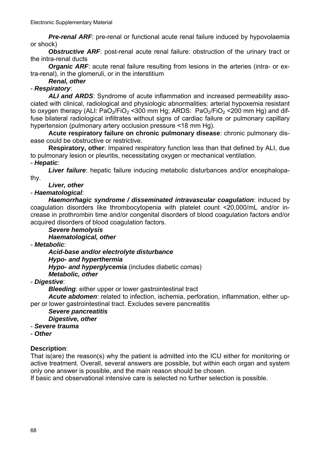**Pre-renal ARF**: pre-renal or functional acute renal failure induced by hypovolaemia or shock)

*Obstructive ARF*: post-renal acute renal failure: obstruction of the urinary tract or the intra-renal ducts

*Organic ARF*: acute renal failure resulting from lesions in the arteries (intra- or extra-renal), in the glomeruli, or in the interstitium

*Renal, other*

#### - *Respiratory*:

*ALI and ARDS*: Syndrome of acute inflammation and increased permeability associated with clinical, radiological and physiologic abnormalities: arterial hypoxemia resistant to oxygen therapy (ALI:  $PaO<sub>2</sub>/FiO<sub>2</sub>$  <300 mm Hg; ARDS:  $PaO<sub>2</sub>/FiO<sub>2</sub>$  <200 mm Hg) and diffuse bilateral radiological infiltrates without signs of cardiac failure or pulmonary capillary hypertension (pulmonary artery occlusion pressure <18 mm Hg).

 **Acute respiratory failure on chronic pulmonary disease**: chronic pulmonary disease could be obstructive or restrictive.

 **Respiratory, other**: Impaired respiratory function less than that defined by ALI, due to pulmonary lesion or pleuritis, necessitating oxygen or mechanical ventilation. - *Hepatic*:

*Liver failure*: hepatic failure inducing metabolic disturbances and/or encephalopathy.

#### *Liver, other*

#### - *Haematological*:

*Haemorrhagic syndrome / disseminated intravascular coagulation*: induced by coagulation disorders like thrombocytopenia with platelet count <20,000/mL and/or increase in prothrombin time and/or congenital disorders of blood coagulation factors and/or acquired disorders of blood coagulation factors.

#### *Severe hemolysis*

*Haematological, other*

- *Metabolic*:

*Acid-base and/or electrolyte disturbance* 

#### *Hypo- and hyperthermia*

*Hypo- and hyperglycemia* (includes diabetic comas)

*Metabolic, other* 

- *Digestive*:

*Bleeding:* either upper or lower gastrointestinal tract

*Acute abdomen*: related to infection, ischemia, perforation, inflammation, either upper or lower gastrointestinal tract. Excludes severe pancreatitis

#### *Severe pancreatitis*

#### *Digestive, other*

#### - *Severe trauma*

- *Other*

#### **Description**:

That is(are) the reason(s) why the patient is admitted into the ICU either for monitoring or active treatment. Overall, several answers are possible, but within each organ and system only one answer is possible, and the main reason should be chosen.

If basic and observational intensive care is selected no further selection is possible.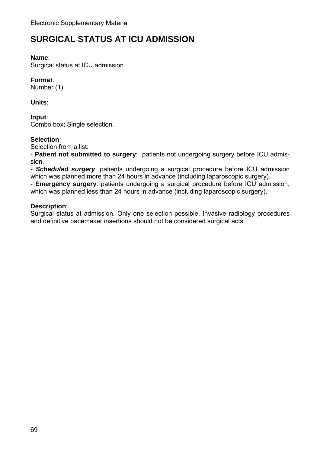## **SURGICAL STATUS AT ICU ADMISSION**

#### **Name**:

Surgical status at ICU admission

### **Format**:

Number (1)

**Units**:

**Input**: Combo box; Single selection.

#### **Selection**:

Selection from a list:

- **Patient not submitted to surgery**: patients not undergoing surgery before ICU admission.

- *Scheduled surgery*: patients undergoing a surgical procedure before ICU admission which was planned more than 24 hours in advance (including laparoscopic surgery).

- **Emergency surgery**: patients undergoing a surgical procedure before ICU admission, which was planned less than 24 hours in advance (including laparoscopic surgery).

#### **Description**:

Surgical status at admission. Only one selection possible. Invasive radiology procedures and definitive pacemaker insertions should not be considered surgical acts.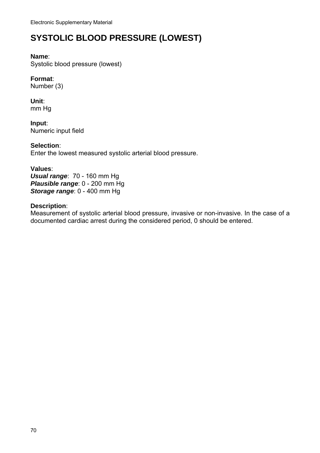## **SYSTOLIC BLOOD PRESSURE (LOWEST)**

#### **Name**:

Systolic blood pressure (lowest)

### **Format**:

Number (3)

#### **Unit**: mm Hg

**Input**: Numeric input field

### **Selection**:

Enter the lowest measured systolic arterial blood pressure.

#### **Values**:

*Usual range*: 70 - 160 mm Hg *Plausible range*: 0 - 200 mm Hg *Storage range*: 0 - 400 mm Hg

#### **Description**:

Measurement of systolic arterial blood pressure, invasive or non-invasive. In the case of a documented cardiac arrest during the considered period, 0 should be entered.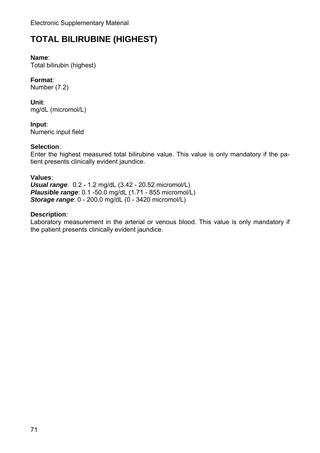# **TOTAL BILIRUBINE (HIGHEST)**

#### **Name**:

Total bilirubin (highest)

### **Format**:

Number (7.2)

**Unit**: mg/dL (micromol/L)

**Input**: Numeric input field

### **Selection**:

Enter the highest measured total bilirubine value. This value is only mandatory if the patient presents clinically evident jaundice.

#### **Values**:

*Usual range*: 0.2 - 1.2 mg/dL (3.42 - 20.52 micromol/L) *Plausible range*: 0.1 -50.0 mg/dL (1.71 - 855 micromol/L) *Storage range*: 0 - 200.0 mg/dL (0 - 3420 micromol/L)

#### **Description**:

Laboratory measurement in the arterial or venous blood. This value is only mandatory if the patient presents clinically evident jaundice.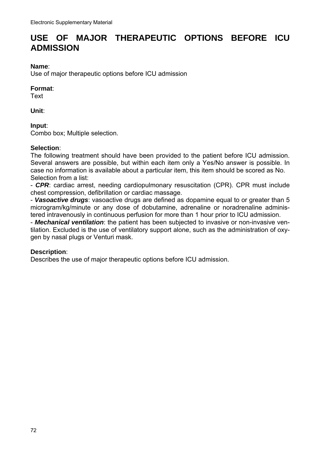## **USE OF MAJOR THERAPEUTIC OPTIONS BEFORE ICU ADMISSION**

#### **Name**:

Use of major therapeutic options before ICU admission

#### **Format**:

**Text** 

#### **Unit**:

#### **Input**:

Combo box; Multiple selection.

#### **Selection**:

The following treatment should have been provided to the patient before ICU admission. Several answers are possible, but within each item only a Yes/No answer is possible. In case no information is available about a particular item, this item should be scored as No. Selection from a list:

- *CPR*: cardiac arrest, needing cardiopulmonary resuscitation (CPR). CPR must include chest compression, defibrillation or cardiac massage.

- *Vasoactive drugs*: vasoactive drugs are defined as dopamine equal to or greater than 5 microgram/kg/minute or any dose of dobutamine, adrenaline or noradrenaline administered intravenously in continuous perfusion for more than 1 hour prior to ICU admission.

- *Mechanical ventilation*: the patient has been subjected to invasive or non-invasive ventilation. Excluded is the use of ventilatory support alone, such as the administration of oxygen by nasal plugs or Venturi mask.

#### **Description**:

Describes the use of major therapeutic options before ICU admission.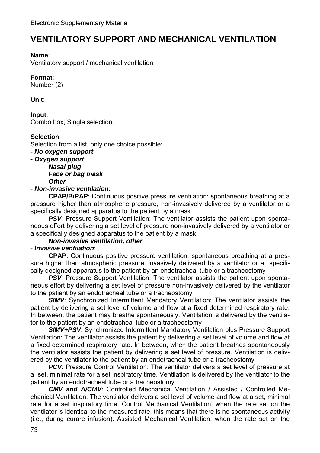# **VENTILATORY SUPPORT AND MECHANICAL VENTILATION**

### **Name**:

Ventilatory support / mechanical ventilation

### **Format**:

Number (2)

**Unit**:

**Input**: Combo box; Single selection.

### **Selection**:

Selection from a list, only one choice possible:

- *No oxygen support*
- *Oxygen support*:

#### *Nasal plug*  *Face or bag mask*  *Other*

### - *Non-invasive ventilation*:

 **CPAP/BiPAP**: Continuous positive pressure ventilation: spontaneous breathing at a pressure higher than atmospheric pressure, non-invasively delivered by a ventilator or a specifically designed apparatus to the patient by a mask

**PSV:** Pressure Support Ventilation: The ventilator assists the patient upon spontaneous effort by delivering a set level of pressure non-invasively delivered by a ventilator or a specifically designed apparatus to the patient by a mask

### *Non-invasive ventilation, other*

### - *Invasive ventilation*:

 **CPAP**: Continuous positive pressure ventilation: spontaneous breathing at a pressure higher than atmospheric pressure, invasively delivered by a ventilator or a specifically designed apparatus to the patient by an endotracheal tube or a tracheostomy

**PSV:** Pressure Support Ventilation: The ventilator assists the patient upon spontaneous effort by delivering a set level of pressure non-invasively delivered by the ventilator to the patient by an endotracheal tube or a tracheostomy

**SIMV:** Synchronized Intermittent Mandatory Ventilation: The ventilator assists the patient by delivering a set level of volume and flow at a fixed determined respiratory rate. In between, the patient may breathe spontaneously. Ventilation is delivered by the ventilator to the patient by an endotracheal tube or a tracheostomy

*SIMV+PSV*: Synchronized Intermittent Mandatory Ventilation plus Pressure Support Ventilation: The ventilator assists the patient by delivering a set level of volume and flow at a fixed determined respiratory rate. In between, when the patient breathes spontaneously the ventilator assists the patient by delivering a set level of pressure. Ventilation is delivered by the ventilator to the patient by an endotracheal tube or a tracheostomy

**PCV:** Pressure Control Ventilation: The ventilator delivers a set level of pressure at a set, minimal rate for a set inspiratory time. Ventilation is delivered by the ventilator to the patient by an endotracheal tube or a tracheostomy

*CMV and A/CMV*: Controlled Mechanical Ventilation / Assisted / Controlled Mechanical Ventilation: The ventilator delivers a set level of volume and flow at a set, minimal rate for a set inspiratory time. Control Mechanical Ventilation: when the rate set on the ventilator is identical to the measured rate, this means that there is no spontaneous activity (i.e., during curare infusion). Assisted Mechanical Ventilation: when the rate set on the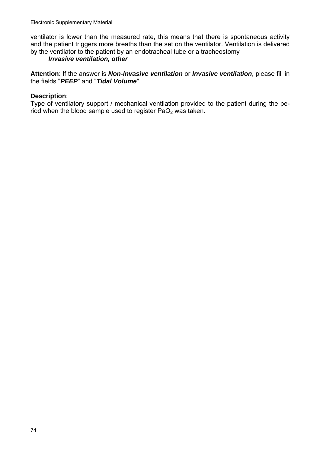ventilator is lower than the measured rate, this means that there is spontaneous activity and the patient triggers more breaths than the set on the ventilator. Ventilation is delivered by the ventilator to the patient by an endotracheal tube or a tracheostomy

### *Invasive ventilation, other*

**Attention**: If the answer is *Non-invasive ventilation* or *Invasive ventilation*, please fill in the fields "*PEEP*" and "*Tidal Volume*".

#### **Description**:

Type of ventilatory support / mechanical ventilation provided to the patient during the period when the blood sample used to register  $PaO<sub>2</sub>$  was taken.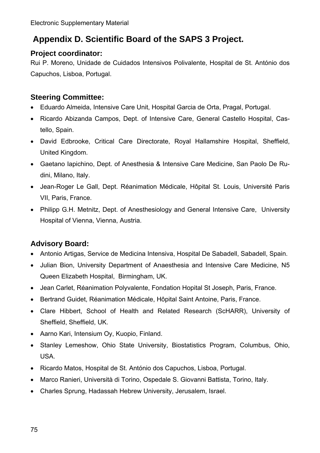# **Appendix D. Scientific Board of the SAPS 3 Project.**

### **Project coordinator:**

Rui P. Moreno, Unidade de Cuidados Intensivos Polivalente, Hospital de St. António dos Capuchos, Lisboa, Portugal.

### **Steering Committee:**

- Eduardo Almeida, Intensive Care Unit, Hospital Garcia de Orta, Pragal, Portugal.
- Ricardo Abizanda Campos, Dept. of Intensive Care, General Castello Hospital, Castello, Spain.
- David Edbrooke, Critical Care Directorate, Royal Hallamshire Hospital, Sheffield, United Kingdom.
- Gaetano Iapichino, Dept. of Anesthesia & Intensive Care Medicine, San Paolo De Rudini, Milano, Italy.
- Jean-Roger Le Gall, Dept. Réanimation Médicale, Hôpital St. Louis, Université Paris VII, Paris, France.
- Philipp G.H. Metnitz, Dept. of Anesthesiology and General Intensive Care, University Hospital of Vienna, Vienna, Austria.

### **Advisory Board:**

- Antonio Artigas, Service de Medicina Intensiva, Hospital De Sabadell, Sabadell, Spain.
- Julian Bion, University Department of Anaesthesia and Intensive Care Medicine, N5 Queen Elizabeth Hospital, Birmingham, UK.
- Jean Carlet, Réanimation Polyvalente, Fondation Hopital St Joseph, Paris, France.
- Bertrand Guidet, Réanimation Médicale, Hôpital Saint Antoine, Paris, France.
- Clare Hibbert, School of Health and Related Research (ScHARR), University of Sheffield, Sheffield, UK.
- Aarno Kari, Intensium Oy, Kuopio, Finland.
- Stanley Lemeshow, Ohio State University, Biostatistics Program, Columbus, Ohio, USA.
- Ricardo Matos, Hospital de St. António dos Capuchos, Lisboa, Portugal.
- Marco Ranieri, Università di Torino, Ospedale S. Giovanni Battista, Torino, Italy.
- Charles Sprung, Hadassah Hebrew University, Jerusalem, Israel.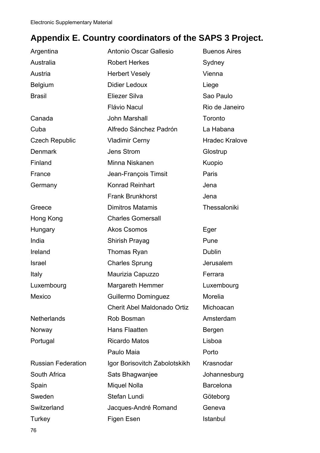# **Appendix E. Country coordinators of the SAPS 3 Project.**

| Argentina                 | Antonio Oscar Gallesio        | <b>Buenos Aires</b>   |
|---------------------------|-------------------------------|-----------------------|
| Australia                 | <b>Robert Herkes</b>          | Sydney                |
| Austria                   | <b>Herbert Vesely</b>         | Vienna                |
| <b>Belgium</b>            | <b>Didier Ledoux</b>          | Liege                 |
| <b>Brasil</b>             | Eliezer Silva                 | Sao Paulo             |
|                           | <b>Flávio Nacul</b>           | Rio de Janeiro        |
| Canada                    | John Marshall                 | Toronto               |
| Cuba                      | Alfredo Sánchez Padrón        | La Habana             |
| <b>Czech Republic</b>     | <b>Vladimir Cerny</b>         | <b>Hradec Kralove</b> |
| <b>Denmark</b>            | <b>Jens Strom</b>             | Glostrup              |
| Finland                   | Minna Niskanen                | Kuopio                |
| France                    | Jean-François Timsit          | Paris                 |
| Germany                   | <b>Konrad Reinhart</b>        | Jena                  |
|                           | <b>Frank Brunkhorst</b>       | Jena                  |
| Greece                    | <b>Dimitros Matamis</b>       | Thessaloniki          |
| Hong Kong                 | <b>Charles Gomersall</b>      |                       |
| Hungary                   | <b>Akos Csomos</b>            | Eger                  |
| India                     | Shirish Prayag                | Pune                  |
| Ireland                   | Thomas Ryan                   | Dublin                |
| <b>Israel</b>             | <b>Charles Sprung</b>         | Jerusalem             |
| Italy                     | Maurizia Capuzzo              | Ferrara               |
| Luxembourg                | <b>Margareth Hemmer</b>       | Luxembourg            |
| <b>Mexico</b>             | Guillermo Dominguez           | Morelia               |
|                           | Cherit Abel Maldonado Ortiz   | Michoacan             |
| <b>Netherlands</b>        | Rob Bosman                    | Amsterdam             |
| Norway                    | Hans Flaatten                 | Bergen                |
| Portugal                  | <b>Ricardo Matos</b>          | Lisboa                |
|                           | Paulo Maia                    | Porto                 |
| <b>Russian Federation</b> | Igor Borisovitch Zabolotskikh | Krasnodar             |
| South Africa              | Sats Bhagwanjee               | Johannesburg          |
| Spain                     | Miquel Nolla                  | <b>Barcelona</b>      |
| Sweden                    | Stefan Lundi                  | Göteborg              |
| Switzerland               | Jacques-André Romand          | Geneva                |
| Turkey                    | Figen Esen                    | Istanbul              |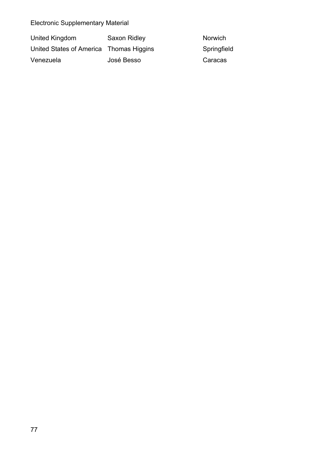| United Kingdom                          | Saxon Ridley | <b>Norwich</b> |
|-----------------------------------------|--------------|----------------|
| United States of America Thomas Higgins |              | Springfield    |
| Venezuela                               | José Besso   | Caracas        |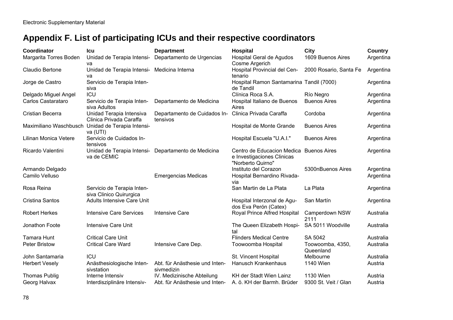# **Appendix F. List of participating ICUs and their respective coordinators**

| <b>Coordinator</b>     | Icu                                                           | <b>Department</b>                                   | Hospital                                                                                   | City                          | <b>Country</b> |
|------------------------|---------------------------------------------------------------|-----------------------------------------------------|--------------------------------------------------------------------------------------------|-------------------------------|----------------|
| Margarita Torres Boden | Unidad de Terapia Intensi-<br>va                              | Departamento de Urgencias                           | Hospital Geral de Agudos<br>Cosme Argerich                                                 | 1609 Buenos Aires             | Argentina      |
| Claudio Bertone        | Unidad de Terapia Intensi- Medicina Interna<br>va             |                                                     | Hospital Provincial del Cen-<br>tenario                                                    | 2000 Rosario, Santa Fe        | Argentina      |
| Jorge de Castro        | Servicio de Terapia Inten-<br>siva                            |                                                     | Hospital Ramon Santamarina Tandil (7000)<br>de Tandil                                      |                               | Argentina      |
| Delgado Miguel Angel   | ICU                                                           |                                                     | Clínica Roca S.A.                                                                          | Río Negro                     | Argentina      |
| Carlos Castarataro     | Servicio de Terapia Inten-<br>siva Adultos                    | Departamento de Medicina                            | Hospital Italiano de Buenos<br>Aires                                                       | <b>Buenos Aires</b>           | Argentina      |
| Cristian Becerra       | Unidad Terapia Intensiva<br>Clinica Privada Caraffa           | Departamento de Cuidados In-<br>tensivos            | Clinica Privada Caraffa                                                                    | Cordoba                       | Argentina      |
|                        | Maximiliano Waschbusch Unidad de Terapia Intensi-<br>va (UTI) |                                                     | Hospital de Monte Grande                                                                   | <b>Buenos Aires</b>           | Argentina      |
| Lilinan Monica Vetere  | Servicio de Cuidados In-<br>tensivos                          |                                                     | Hospital Escuela "U.A.I."                                                                  | <b>Buenos Aires</b>           | Argentina      |
| Ricardo Valentini      | va de CEMIC                                                   | Unidad de Terapia Intensi- Departamento de Medicina | Centro de Educacion Medica Buenos Aires<br>e Investigaciones Clinicas<br>"Norberto Quirno" |                               | Argentina      |
| Armando Delgado        |                                                               |                                                     | Instituto del Corazon                                                                      | 5300nBuenos Aires             | Argentina      |
| Camilo Velluso         |                                                               | <b>Emergencias Medicas</b>                          | Hospital Bernardino Rivada-<br>via                                                         |                               | Argentina      |
| Rosa Reina             | Servicio de Terapia Inten-<br>siva Clinico Quirurgica         |                                                     | San Martin de La Plata                                                                     | La Plata                      | Argentina      |
| Cristina Santos        | <b>Adults Intensive Care Unit</b>                             |                                                     | Hospital Interzonal de Agu-<br>dos Eva Perón (Catex)                                       | San Martín                    | Argentina      |
| <b>Robert Herkes</b>   | Intensive Care Services                                       | <b>Intensive Care</b>                               | Royal Prince Alfred Hospital                                                               | Camperdown NSW<br>2111        | Australia      |
| Jonathon Foote         | <b>Intensive Care Unit</b>                                    |                                                     | The Queen Elizabeth Hospi-<br>tal                                                          | SA 5011 Woodville             | Australia      |
| <b>Tamara Hunt</b>     | <b>Critical Care Unit</b>                                     |                                                     | <b>Flinders Medical Centre</b>                                                             | SA 5042                       | Australia      |
| <b>Peter Bristow</b>   | <b>Critical Care Ward</b>                                     | Intensive Care Dep.                                 | Toowoomba Hospital                                                                         | Toowoomba, 4350,<br>Queenland | Australia      |
| John Santamaria        | ICU                                                           |                                                     | St. Vincent Hospital                                                                       | Melbourne                     | Australia      |
| <b>Herbert Vesely</b>  | Anästhesiologische Inten-<br>sivstation                       | Abt. für Anästhesie und Inten-<br>sivmedizin        | Hanusch Krankenhaus                                                                        | 1140 Wien                     | Austria        |
| <b>Thomas Publig</b>   | Interne Intensiv                                              | IV. Medizinische Abteilung                          | KH der Stadt Wien Lainz                                                                    | 1130 Wien                     | Austria        |
| Georg Halvax           | Interdisziplinäre Intensiv-                                   | Abt. für Anästhesie und Inten-                      | A. ö. KH der Barmh. Brüder                                                                 | 9300 St. Veit / Glan          | Austria        |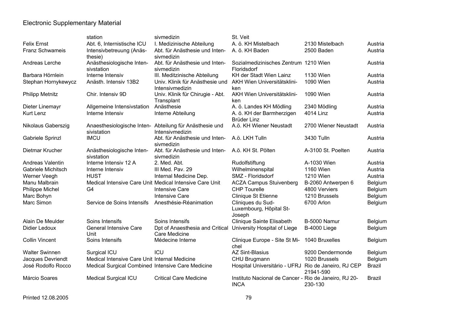|                           | station                                           | sivmedizin                                                                 | St. Veit                                                             |                                     |               |
|---------------------------|---------------------------------------------------|----------------------------------------------------------------------------|----------------------------------------------------------------------|-------------------------------------|---------------|
| <b>Felix Ernst</b>        | Abt. 6, Internistische ICU                        | I. Medizinische Abteilung                                                  | A. ö. KH Mistelbach                                                  | 2130 Mistelbach                     | Austria       |
| <b>Franz Schwameis</b>    | Intensivbetreuung (Anäs-<br>thesie)               | Abt. für Anästhesie und Inten-<br>sivmedizin                               | A. ö. KH Baden                                                       | 2500 Baden                          | Austria       |
| Andreas Lerche            | Anästhesiologische Inten-<br>sivstation           | Abt. für Anästhesie und Inten-<br>sivmedizin                               | Sozialmedizinisches Zentrum 1210 Wien<br>Floridsdorf                 |                                     | Austria       |
| Barbara Hörnlein          | Interne Intensiv                                  | III. Meditzinische Abteilung                                               | KH der Stadt Wien Lainz                                              | 1130 Wien                           | Austria       |
| Stephan Hornykewycz       | Anästh. Intensiv 13B2                             | Univ. Klinik für Anästhesie und<br>Intensivmedizin                         | AKH Wien Universitätsklini-<br>ken                                   | 1090 Wien                           | Austria       |
| <b>Philipp Metnitz</b>    | Chir. Intensiv 9D                                 | Univ. Klinik für Chirugie - Abt.<br>Transplant                             | AKH Wien Universitätsklini-<br>ken                                   | 1090 Wien                           | Austria       |
| Dieter Linemayr           | Allgemeine Intensivstation                        | Anästhesie                                                                 | A. ö. Landes KH Mödling                                              | 2340 Mödling                        | Austria       |
| Kurt Lenz                 | Interne Intensiv                                  | Interne Abteilung                                                          | A. ö. KH der Barmherzigen<br>Brüder Linz                             | 4014 Linz                           | Austria       |
| Nikolaus Gaberszig        | sivistation                                       | Anaesthesiologische Inten- Abteilung für Anästhesie und<br>Intensivmedizin | A.ö. KH Wiener Neustadt                                              | 2700 Wiener Neustadt                | Austria       |
| Gabriele Sprinzl          | <b>IMCU</b>                                       | Abt. für Anästhesie und Inten-<br>sivmedizin                               | A.ö. LKH Tulln                                                       | 3430 Tulln                          | Austria       |
| Dietmar Krucher           | Anästhesiologische Inten-<br>sivstation           | Abt. für Anästhesie und Inten-<br>sivmedizin                               | A.ö. KH St. Pölten                                                   | A-3100 St. Poelten                  | Austria       |
| Andreas Valentin          | Interne Intensiv 12 A                             | 2. Med. Abt.                                                               | Rudolfstiftung                                                       | A-1030 Wien                         | Austria       |
| <b>Gabriele Michitsch</b> | Interne Intensiv                                  | III Med. Pav. 29                                                           | Wilhelminenspital                                                    | <b>1160 Wien</b>                    | Austria       |
| Werner Veegh              | <b>HUST</b>                                       | Internal Medicine Dep.                                                     | SMZ - Floridsdorf                                                    | 1210 Wien                           | Austria       |
| Manu Malbrain             |                                                   | Medical Intensive Care Unit Medical Intensive Care Unit                    | <b>ACZA Campus Stuivenberg</b>                                       | B-2060 Antwerpen 6                  | Belgium       |
| Philippe Michel           | G4                                                | <b>Intensive Care</b>                                                      | <b>CHP Tourelle</b>                                                  | 4800 Verviers                       | Belgium       |
| Marc Bohyn                |                                                   | <b>Intensive Care</b>                                                      | <b>Clinique St Etienne</b>                                           | 1210 Brussels                       | Belgium       |
| Marc Simon                | Service de Soins Intensifs                        | Anesthésie-Réanimation                                                     | Cliniques du Sud-<br>Luxembourg, Hôpital St-<br>Joseph               | 6700 Arlon                          | Belgium       |
| Alain De Meulder          | Soins Intensifs                                   | Soins Intensifs                                                            | Clinique Sainte Elisabeth                                            | B-5000 Namur                        | Belgium       |
| Didier Ledoux             | <b>General Intensive Care</b><br>Unit             | Dpt of Anaesthesia and Critical<br>Care Medicine                           | University Hospital of Liege                                         | B-4000 Liege                        | Belgium       |
| <b>Collin Vincent</b>     | Soins Intensifs                                   | Médecine Interne                                                           | Clinique Europe - Site St Mi-<br>chel                                | 1040 Bruxelles                      | Belgium       |
| <b>Walter Swinnen</b>     | Surgical ICU                                      | ICU                                                                        | <b>AZ Sint-Blasius</b>                                               | 9200 Dendermonde                    | Belgium       |
| Jacques Devriendt         | Medical Intensive Care Unit Internal Medicine     |                                                                            | CHU Brugmann                                                         | 1020 Brussels                       | Belgium       |
| José Rodolfo Rocco        | Medical Surgical Combined Intensive Care Medicine |                                                                            | Hospital Universitário - UFRJ                                        | Rio de Janeiro, RJ CEP<br>21941-590 | <b>Brazil</b> |
| Márcio Soares             | <b>Medical Surgical ICU</b>                       | <b>Critical Care Medicine</b>                                              | Instituto Nacional de Cancer - Rio de Janeiro, RJ 20-<br><b>INCA</b> | 230-130                             | <b>Brazil</b> |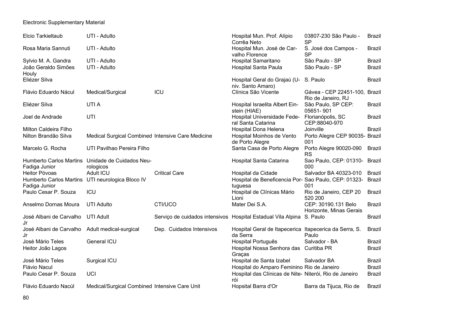| Elcio Tarkieltaub                                                 | UTI - Adulto                                                  |                                                                       | Hospital Mun. Prof. Alípio<br>Corrêa Neto                          | 03807-230 São Paulo -<br><b>SP</b>                  | <b>Brazil</b> |
|-------------------------------------------------------------------|---------------------------------------------------------------|-----------------------------------------------------------------------|--------------------------------------------------------------------|-----------------------------------------------------|---------------|
| Rosa Maria Sannuti                                                | UTI - Adulto                                                  |                                                                       | Hospital Mun. José de Car-<br>valho Florence                       | S. José dos Campos -<br><b>SP</b>                   | <b>Brazil</b> |
| Sylvio M. A. Gandra                                               | UTI - Adulto                                                  |                                                                       | Hospital Samaritano                                                | São Paulo - SP                                      | <b>Brazil</b> |
| João Geraldo Simões<br>Houly                                      | UTI - Adulto                                                  |                                                                       | <b>Hospital Santa Paula</b>                                        | São Paulo - SP                                      | <b>Brazil</b> |
| Eliézer Silva                                                     |                                                               |                                                                       | Hospital Geral do Grajaú (U-<br>niv. Santo Amaro)                  | S. Paulo                                            | <b>Brazil</b> |
| Flávio Eduardo Nácul                                              | Medical/Surgical                                              | ICU                                                                   | Clínica São Vicente                                                | Gávea - CEP 22451-100, Brazil<br>Rio de Janeiro, RJ |               |
| Eliézer Silva                                                     | UTI A                                                         |                                                                       | Hospital Israelita Albert Ein-<br>stein (HIAE)                     | São Paulo, SP CEP:<br>05651-901                     | <b>Brazil</b> |
| Joel de Andrade                                                   | UTI                                                           |                                                                       | Hospital Universidade Fede-<br>ral Santa Catarina                  | Florianópolis, SC<br>CEP:88040-970                  | <b>Brazil</b> |
| Milton Caldeira Filho                                             |                                                               |                                                                       | Hospital Dona Helena                                               | Joinville                                           | <b>Brazil</b> |
| Nilton Brandão Silva                                              | Medical Surgical Combined Intensive Care Medicine             |                                                                       | Hospital Moinhos de Vento<br>de Porto Alegre                       | Porto Alegre CEP 90035- Brazil<br>001               |               |
| Marcelo G. Rocha                                                  | UTI Pavilhao Pereira Filho                                    |                                                                       | Santa Casa de Porto Alegre                                         | Porto Alegre 90020-090<br>RS                        | <b>Brazil</b> |
| Fadiga Junior                                                     | Humberto Carlos Martins Unidade de Cuidados Neu-<br>rologicos |                                                                       | Hospital Santa Catarina                                            | Sao Paulo, CEP: 01310- Brazil<br>000                |               |
| Heitor Póvoas                                                     | Adult ICU                                                     | <b>Critical Care</b>                                                  | Hospital da Cidade                                                 | Salvador BA 40323-010                               | <b>Brazil</b> |
| Humberto Carlos Martins UTI neurologica Bloco IV<br>Fadiga Junior |                                                               |                                                                       | Hospital de Beneficencia Por- Sao Paulo, CEP: 01323-<br>tuguesa    | 001                                                 | <b>Brazil</b> |
| Paulo Cesar P. Souza                                              | ICU                                                           |                                                                       | Hospital de Clínicas Mário<br>Lioni                                | Rio de Janeiro, CEP 20<br>520 200                   | <b>Brazil</b> |
| Anselmo Dornas Moura                                              | <b>UTI Adulto</b>                                             | CTI/UCO                                                               | Mater Dei S.A.                                                     | CEP: 30190.131 Belo<br>Horizonte, Minas Gerais      | <b>Brazil</b> |
| José Albani de Carvalho<br>Jr                                     | <b>UTI Adult</b>                                              | Serviço de cuidados intensivos Hospital Estadual Vila Alpina S. Paulo |                                                                    |                                                     | <b>Brazil</b> |
| José Albani de Carvalho<br>Jr                                     | Adult medical-surgical                                        | Dep. Cuidados Intensivos                                              | Hospital Geral de Itapecerica Itapecerica da Serra, S.<br>da Serra | Paulo                                               | <b>Brazil</b> |
| José Mário Teles                                                  | General ICU                                                   |                                                                       | Hospital Português                                                 | Salvador - BA                                       | <b>Brazil</b> |
| Heitor João Lagos                                                 |                                                               |                                                                       | Hospital Nossa Senhora das Curitiba PR<br>Graças                   |                                                     | <b>Brazil</b> |
| José Mário Teles                                                  | Surgical ICU                                                  |                                                                       | Hospital de Santa Izabel                                           | Salvador BA                                         | <b>Brazil</b> |
| Flávio Nacul                                                      |                                                               |                                                                       | Hospital do Amparo Feminino Rio de Janeiro                         |                                                     | <b>Brazil</b> |
| Paulo Cesar P. Souza                                              | UCI                                                           |                                                                       | Hospital das Clínicas de Nite-Niterói, Rio de Janeiro<br>rói       |                                                     | <b>Brazil</b> |
| Flávio Eduardo Nacúl                                              | Medical/Surgical Combined Intensive Care Unit                 |                                                                       | Hopsital Barra d'Or                                                | Barra da Tijuca, Rio de                             | <b>Brazil</b> |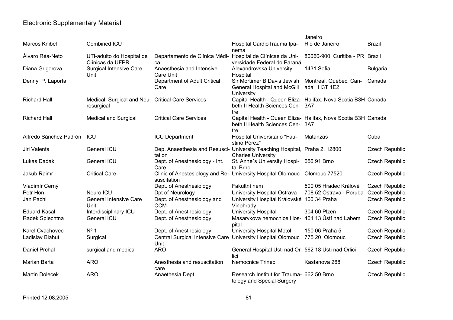|                        |                                                                 |                                                                                          |                                                                                                          | Janeiro                               |                       |
|------------------------|-----------------------------------------------------------------|------------------------------------------------------------------------------------------|----------------------------------------------------------------------------------------------------------|---------------------------------------|-----------------------|
| <b>Marcos Knibel</b>   | Combined ICU                                                    |                                                                                          | Hospital CardioTrauma Ipa-                                                                               | Rio de Janeiro                        | <b>Brazil</b>         |
| Álvaro Réa-Neto        | UTI-adulto do Hospital de<br>Clínicas da UFPR                   | Departamento de Clínica Médi-<br>ca                                                      | nema<br>Hospital de Clínicas da Uni-<br>versidade Federal do Paraná                                      | 80060-900 Curitiba - PR Brazil        |                       |
| Diana Grigorova        | <b>Surgical Intensive Care</b><br>Unit                          | Anaesthesia and Intensive<br>Care Unit                                                   | Alexandrovska University<br>Hospital                                                                     | 1431 Sofia                            | <b>Bulgaria</b>       |
| Denny P. Laporta       |                                                                 | Department of Adult Critical<br>Care                                                     | Sir Mortimer B Davis Jewish<br>General Hospital and McGill<br>University                                 | Montreal, Québec, Can-<br>ada H3T 1E2 | Canada                |
| <b>Richard Hall</b>    | Medical, Surgical and Neu- Critical Care Services<br>rosurgical |                                                                                          | Capital Health - Queen Eliza- Halifax, Nova Scotia B3H Canada<br>beth II Health Sciences Cen- 3A7<br>tre |                                       |                       |
| <b>Richard Hall</b>    | <b>Medical and Surgical</b>                                     | <b>Critical Care Services</b>                                                            | Capital Health - Queen Eliza- Halifax, Nova Scotia B3H Canada<br>beth II Health Sciences Cen- 3A7<br>tre |                                       |                       |
| Alfredo Sánchez Padrón | ICU                                                             | <b>ICU Department</b>                                                                    | Hospital Universitario "Fau-<br>stino Pérez"                                                             | Matanzas                              | Cuba                  |
| Jiri Valenta           | General ICU                                                     | Dep. Anaesthesia and Resusci- University Teaching Hospital, Praha 2, 12800<br>tation     | <b>Charles University</b>                                                                                |                                       | <b>Czech Republic</b> |
| Lukas Dadak            | General ICU                                                     | Dept. of Anesthesiology - Int.<br>Care                                                   | St. Anne's University Hospi- 656 91 Brno<br>tal Brno                                                     |                                       | <b>Czech Republic</b> |
| Jakub Raimr            | <b>Critical Care</b>                                            | Clinic of Anestesiology and Re- University Hospital Olomouc Olomouc 77520<br>suscitation |                                                                                                          |                                       | <b>Czech Republic</b> |
| Vladimír Cerný         |                                                                 | Dept. of Anesthesiology                                                                  | Fakultní nem                                                                                             | 500 05 Hradec Králové                 | <b>Czech Republic</b> |
| Petr Hon               | Neuro ICU                                                       | Dpt of Neurology                                                                         | University Hospital Ostrava                                                                              | 708 52 Ostrava - Poruba               | <b>Czech Republic</b> |
| Jan Pachl              | <b>General Intensive Care</b><br>Unit                           | Dept. of Anesthesiology and<br><b>CCM</b>                                                | University Hospital Královské 100 34 Praha<br>Vinohrady                                                  |                                       | <b>Czech Republic</b> |
| <b>Eduard Kasal</b>    | Interdisciplinary ICU                                           | Dept. of Anesthesiology                                                                  | University Hospital                                                                                      | 304 60 Plzen                          | <b>Czech Republic</b> |
| Radek Splechtna        | General ICU                                                     | Dept. of Anesthesiology                                                                  | Masarykova nemocnice Hos- 401 13 Ústí nad Labem<br>pital                                                 |                                       | <b>Czech Republic</b> |
| Karel Cvachovec        | $N^{\circ}$ 1                                                   | Dept. of Anesthesiology                                                                  | University Hospital Motol                                                                                | 150 06 Praha 5                        | <b>Czech Republic</b> |
| Ladislav Blahut        | Surgical                                                        | Central Surgical Intensive Care University Hospital Olomouc 775 20 Olomouc<br>Unit       |                                                                                                          |                                       | <b>Czech Republic</b> |
| Daniel Prchal          | surgical and medical                                            | <b>ARO</b>                                                                               | General Hospital Usti nad Or- 562 18 Usti nad Orlici<br>lici                                             |                                       | <b>Czech Republic</b> |
| Marian Barta           | <b>ARO</b>                                                      | Anesthesia and resuscitation<br>care                                                     | <b>Nemocnice Trinec</b>                                                                                  | Kastanova 268                         | <b>Czech Republic</b> |
| <b>Martin Dolecek</b>  | <b>ARO</b>                                                      | Anaethesia Dept.                                                                         | Research Institut for Trauma- 662 50 Brno<br>tology and Special Surgery                                  |                                       | <b>Czech Republic</b> |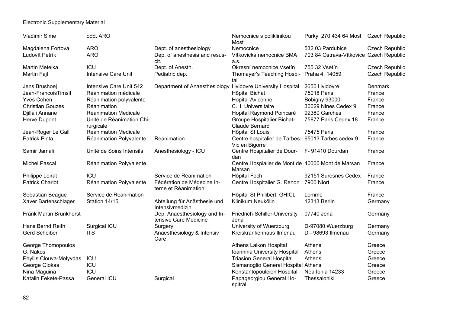| <b>Vladimir Sime</b>    | odd. ARO                               |                                                       | Nemocnice s poliklinikou<br>Most                                     | Purky 270 434 64 Most Czech Republic    |                       |
|-------------------------|----------------------------------------|-------------------------------------------------------|----------------------------------------------------------------------|-----------------------------------------|-----------------------|
| Magdalena Fortová       | <b>ARO</b>                             | Dept. of anesthesiology                               | Nemocnice                                                            | 532 03 Pardubice                        | <b>Czech Republic</b> |
| Ludovít Petrík          | <b>ARO</b>                             | Dep. of anesthesia and resus-<br>cit.                 | Vítkovická nemocnice BMA<br>a.s.                                     | 703 84 Ostrava-Vítkovice Czech Republic |                       |
| <b>Martin Metelka</b>   | ICU                                    | Dept. of Anesth.                                      | Okresní nemocnice Vsetín                                             | 755 32 Vsetín                           | <b>Czech Republic</b> |
| <b>Martin Fajt</b>      | Intensive Care Unit                    | Pediatric dep.                                        | Thomayer's Teaching Hospi-<br>tal                                    | Praha 4, 14059                          | <b>Czech Republic</b> |
| Jens Brushoej           | Intensive Care Unit 542                | Department of Anaesthesiology                         | <b>Hvidovre University Hospital</b>                                  | 2650 Hvidovre                           | Denmark               |
| Jean-FrancoisTimsit     | Réanimation médicale                   |                                                       | Hôpital Bichat                                                       | 75018 Paris                             | France                |
| <b>Yves Cohen</b>       | Réanimation polyvalente                |                                                       | <b>Hopital Avicenne</b>                                              | Bobigny 93000                           | France                |
| <b>Christian Gouzes</b> | Réanimation                            |                                                       | C.H. Universitaire                                                   | 30029 Nines Cedex 9                     | France                |
| Djillali Annane         | <b>Réanimation Medicale</b>            |                                                       | Hopital Raymond Poincaré                                             | 92380 Garches                           | France                |
| Hervé Dupont            | Unité de Réanimation Chi-<br>rurgicale |                                                       | <b>Groupe Hospitalier Bichat-</b><br><b>Claude Bernard</b>           | 75877 Paris Cedex 18                    | France                |
| Jean-Roger Le Gall      | Réanimation Medicale                   |                                                       | Hôpital St Louis                                                     | 75475 Paris                             | France                |
| <b>Patrick Pinta</b>    | Réanimation Polyvalente                | Reanimation                                           | Centre hospitalier de Tarbes- 65013 Tarbes cedex 9<br>Vic en Bigorre |                                         | France                |
| Samir Jamali            | Unité de Soins Intensifs               | Anesthesiology - ICU                                  | Centre Hospitalier de Dour- F-91410 Dourdan<br>dan                   |                                         | France                |
| <b>Michel Pascal</b>    | Réanimation Polyvalente                |                                                       | Centre Hospialier de Mont de 40000 Mont de Marsan<br>Marsan          |                                         | France                |
| Philippe Loirat         | <b>ICU</b>                             | Service de Réanimation                                | Hôpital Foch                                                         | 92151 Suresnes Cedex                    | France                |
| <b>Patrick Charlot</b>  | Réanimation Polyvalente                | Fédération de Médecine In-<br>terne et Réanimation    | Centre Hospitalier G. Renon                                          | 7900 Niort                              | France                |
| Sebastian Beague        | Service de Reanimation                 |                                                       | Hôpital St Philibert, GHICL                                          | Lomme                                   | France                |
| Xaver Bartenschlager    | Station 14/15                          | Abteilung für Anästhesie und<br>Intensivmedizin       | Klinikum Neukölln                                                    | 12313 Berlin                            | Germany               |
| Frank Martin Brunkhorst |                                        | Dep. Anaesthesiology and In-<br>tensive Care Medicine | Friedrich-Schiller-University<br>Jena                                | 07740 Jena                              | Germany               |
| Hans Bernd Reith        | Surgical ICU                           | Surgery                                               | University of Wuerzburg                                              | D-97080 Wuerzburg                       | Germany               |
| <b>Gerd Scheiber</b>    | <b>ITS</b>                             | Anaesthesiology & Intensiv<br>Care                    | Kreiskrankenhaus Ilmenau                                             | D - 98693 Ilmenau                       | Germany               |
| George Thomopoulos      |                                        |                                                       | Athens Laikon Hospital                                               | Athens                                  | Greece                |
| G. Nakos                |                                        |                                                       | Ioannina University Hospital                                         | Athens                                  | Greece                |
| Phyllis Clouva-Molyvdas | ICU                                    |                                                       | <b>Triasion General Hospital</b>                                     | Athens                                  | Greece                |
| George Giokas           | <b>ICU</b>                             |                                                       | Sismanoglio General Hospital Athens                                  |                                         | Greece                |
| Nina Maguina            | ICU                                    |                                                       | Konstantopouleion Hospital                                           | Nea Ionia 14233                         | Greece                |
| Katalin Fekete-Passa    | General ICU                            | Surgical                                              | Papageorgiou General Ho-<br>spitral                                  | Thessaloniki                            | Greece                |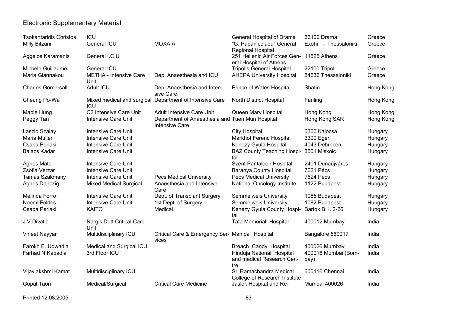| <b>Tsokantaridis Christos</b> | ICU                                   |                                                                          | General Hospital of Drama                                | 66100 Drama                 | Greece    |
|-------------------------------|---------------------------------------|--------------------------------------------------------------------------|----------------------------------------------------------|-----------------------------|-----------|
| Milly Bitzani                 | General ICU                           | <b>MOXA A</b>                                                            | "G. Papanicolaou" General                                | Exohi - Thessaloniki        | Greece    |
|                               |                                       |                                                                          | Regional Hospital                                        |                             |           |
| Aggelos Karamanis             | General I.C.U                         |                                                                          | 251 Hellenic Air Forces Gen- 11525 Athens                |                             | Greece    |
|                               |                                       |                                                                          | eral Hospital of Athens                                  |                             |           |
| Michele Guillaume             | General ICU                           |                                                                          | <b>Tripolis General Hospital</b>                         | 22100 Tripoli               | Greece    |
| Maria Giannakou               | <b>METHA - Intensive Care</b><br>Unit | Dep. Anaesthesia and ICU                                                 | <b>AHEPA University Hospital</b>                         | 54636 Thessaloniki          | Greece    |
| <b>Charles Gomersall</b>      | Adult ICU                             | Dep. Anaesthesia and Inten-<br>sive Care.                                | Prince of Wales Hospital                                 | Shatin                      | Hong Kong |
| Cheung Po-Wa                  | Mixed medical and surgical<br>ICU     | Department of Intensive Care                                             | North District Hospital                                  | Fanling                     | Hong Kong |
| Maple Hung                    | C2 Intensive Care Unit                | <b>Adult Intensive Care Unit</b>                                         | Queen Mary Hospital                                      | Hong Kong                   | Hong Kong |
| Peggy Tan                     | <b>Intensive Care Unit</b>            | Department of Anaesthesia and Tuen Mun Hospital<br><b>Intensive Care</b> |                                                          | Hong Kong SAR               | Hong Kong |
| Laszlo Szalay                 | Intensive Care Unit                   |                                                                          | <b>City Hospital</b>                                     | 6300 Kalocsa                | Hungary   |
| Maria Muller                  | <b>Intensive Care Unit</b>            |                                                                          | <b>Markhot Ferenc Hospital</b>                           | 3300 Eger                   | Hungary   |
| Csaba Perlaki                 | <b>Intensive Care Unit</b>            |                                                                          | Kenezy Gyula Hospital                                    | 4043 Debrecen               | Hungary   |
| <b>Balazs Kadar</b>           | Intensive Care Unit                   |                                                                          | <b>BAZ County Teaching Hospi-</b><br>tal                 | 3501 Miskolc                | Hungary   |
| <b>Agnes Mate</b>             | Intensive Care Unit                   |                                                                          | Szent Pantaleon Hospital                                 | 2401 Dunaújváros            | Hungary   |
| Zsofia Verzar                 | <b>Intensive Care Unit</b>            |                                                                          | Baranya County Hospital                                  | 7621 Pécs                   | Hungary   |
| Tamas Szakmany                | <b>Intensive Care Unit</b>            | <b>Pecs Medical University</b>                                           | <b>Pecs Medical University</b>                           | 7624 Pécs                   | Hungary   |
| Agnes Danczig                 | <b>Mixed Medical Surgical</b>         | Anaesthesia and Intensive                                                | National Oncology Institute                              | 1122 Budapest               | Hungary   |
|                               |                                       | Care                                                                     |                                                          |                             |           |
| Melinda Forro                 | <b>Intensive Care Unit</b>            | Dept. of Transplant Surgery                                              | <b>Semmelweis University</b>                             | 1085 Budapest               | Hungary   |
| Noemi Foldes                  | <b>Intensive Care Unit</b>            | 1st Dept. of Surgery                                                     | <b>Semmelweis University</b>                             | 1082 Budapest               | Hungary   |
| Csaba Perlaki                 | <b>KAITO</b>                          | Medical                                                                  | Kenézy Gyula County Hospi-<br>tal                        | Bartok B. I. 2-26           | Hungary   |
| J.V.Divatia                   | Nargis Dutt Critical Care<br>Unit     |                                                                          | <b>Tata Memorial Hospital</b>                            | 400012 Mumbay               | India     |
| Vineet Nayyar                 | Multidisciplinary ICU                 | Critical Care & Emergency Ser- Manipal Hospital<br>vices                 |                                                          | Bangalore 560017            | India     |
| Farokh E. Udwadia             | Medical and Surgical ICU              |                                                                          | Breach Candy Hospital                                    | 400026 Mumbay               | India     |
| Farhad N.Kapadia              | 3rd Floor ICU                         |                                                                          | Hinduja National Hospital<br>and medical Research Cen-   | 400016 Mumbai (Bom-<br>bay) | India     |
|                               |                                       |                                                                          | tre                                                      |                             |           |
| Vijaylakshmi Kamat            | Multidisciplinary ICU                 |                                                                          | Sri Ramachandra Medical                                  | 600116 Chennai              | India     |
| Gopal Taori                   | Medical/Surgical                      | <b>Critical Care Medicine</b>                                            | College of Research Institute<br>Jaslok Hospital and Re- | Mumbai 400026               | India     |
|                               |                                       |                                                                          |                                                          |                             |           |

#### Printed 12.08.2005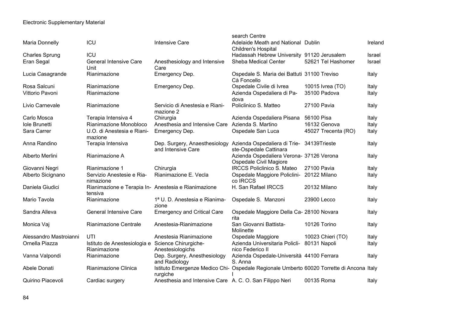|                        |                                                                   |                                                                                                      | search Centre                                                      |                     |         |
|------------------------|-------------------------------------------------------------------|------------------------------------------------------------------------------------------------------|--------------------------------------------------------------------|---------------------|---------|
| Maria Donnelly         | ICU                                                               | <b>Intensive Care</b>                                                                                | Adelaide Meath and National Dublin<br><b>Children's Hospital</b>   |                     | Ireland |
| <b>Charles Sprung</b>  | ICU                                                               |                                                                                                      | Hadassah Hebrew University 91120 Jerusalem                         |                     | Israel  |
| Eran Segal             | <b>General Intensive Care</b><br>Unit                             | Anesthesiology and Intensive<br>Care                                                                 | Sheba Medical Center                                               | 52621 Tel Hashomer  | Israel  |
| Lucia Casagrande       | Rianimazione                                                      | Emergency Dep.                                                                                       | Ospedale S. Maria dei Battuti 31100 Treviso<br>Cà Foncello         |                     | Italy   |
| Rosa Salcuni           | Rianimazione                                                      | Emergency Dep.                                                                                       | Ospedale Civile di Ivrea                                           | 10015 lvrea (TO)    | Italy   |
| Vittorio Pavoni        | Rianimazione                                                      |                                                                                                      | Azienda Ospedaliera di Pa-<br>dova                                 | 35100 Padova        | Italy   |
| Livio Carnevale        | Rianimazione                                                      | Servicio di Anestesia e Riani-<br>mazione 2                                                          | Policlinico S. Matteo                                              | 27100 Pavia         | Italy   |
| Carlo Mosca            | Terapia Intensiva 4                                               | Chirurgia                                                                                            | Azienda Ospedaliera Pisana                                         | 56100 Pisa          | Italy   |
| Iole Brunetti          | Rianimazione Monobloco                                            | Anesthesia and Intensive Care Azienda S. Martino                                                     |                                                                    | 16132 Genova        | Italy   |
| Sara Carrer            | U.O. di Anestesia e Riani-<br>mazione                             | Emergency Dep.                                                                                       | Ospedale San Luca                                                  | 45027 Trecenta (RO) | Italy   |
| Anna Randino           | Terapia Intensiva                                                 | Dep. Surgery, Anaesthesiology Azienda Ospedaliera di Trie- 34139Trieste<br>and Intensive Care        | ste-Ospedale Cattinara                                             |                     | Italy   |
| Alberto Merlini        | Rianimazione A                                                    |                                                                                                      | Azienda Ospedaliera Verona- 37126 Verona<br>Ospedale Civil Magiore |                     | Italy   |
| Giovanni Negri         | Rianimazione 1                                                    | Chirurgia                                                                                            | <b>IRCCS Policlinico S. Mateo</b>                                  | 27100 Pavia         | Italy   |
| Alberto Sicignano      | Servizio Anestesie e Ria-<br>nimazione                            | Rianimazione E. Vecla                                                                                | Ospedale Maggiore Policlini- 20122 Milano<br>co IRCCS              |                     | Italy   |
| Daniela Giudici        | Rianimazione e Terapia In- Anestesia e Rianimazione<br>tensiva    |                                                                                                      | H. San Rafael IRCCS                                                | 20132 Milano        | Italy   |
| Mario Tavola           | Rianimazione                                                      | 1ª U. D. Anestesia e Rianima-<br>zione                                                               | Ospedale S. Manzoni                                                | 23900 Lecco         | Italy   |
| Sandra Alleva          | <b>General Intensive Care</b>                                     | <b>Emergency and Critical Care</b>                                                                   | Ospedale Maggiore Della Ca- 28100 Novara<br>rita                   |                     | Italy   |
| Monica Vaj             | Rianimazione Centrale                                             | Anestesia-Rianimazione                                                                               | San Giovanni Battista-<br>Molinette                                | 10126 Torino        | Italy   |
| Alessandro Mastroianni | UTI                                                               | Anestesia Rianimazione                                                                               | Ospedale Maggiore                                                  | 10023 Chieri (TO)   | Italy   |
| Ornella Piazza         | Istituto de Anestesiologia e Science Chirurgiche-<br>Rianimazione | Anestesiologichs                                                                                     | Azienda Universitaria Policli- 80131 Napoli<br>nico Federico II    |                     | Italy   |
| Vanna Valpondi         | Rianimazione                                                      | Dep. Surgery, Anesthesiology<br>and Radiology                                                        | Azienda Ospedale-Università 44100 Ferrara<br>S. Anna               |                     | Italy   |
| Abele Donati           | Rianimazione Clinica                                              | Istituto Emergenze Medico Chi- Ospedale Regionale Umberto 60020 Torrette di Ancona Italy<br>rurgiche |                                                                    |                     |         |
| Quirino Piacevoli      | Cardiac surgery                                                   | Anesthesia and Intensive Care A. C. O. San Filippo Neri                                              |                                                                    | 00135 Roma          | Italy   |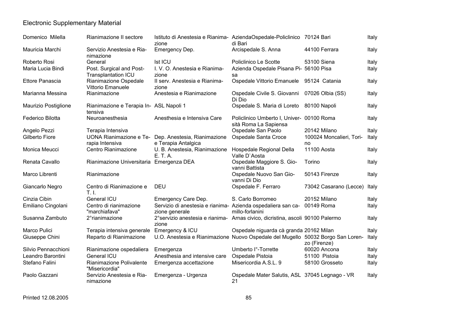| Domenico Milella     | Rianimazione II sectore                                | Istituto di Anestesia e Rianima- AziendaOspedale-Policlinico 70124 Bari<br>zione          | di Bari                                                            |                                | Italy |
|----------------------|--------------------------------------------------------|-------------------------------------------------------------------------------------------|--------------------------------------------------------------------|--------------------------------|-------|
| Mauricia Marchi      | Servizio Anestesia e Ria-<br>nimazione                 | Emergency Dep.                                                                            | Arcispedale S. Anna                                                | 44100 Ferrara                  | Italy |
| Roberto Rosi         | General                                                | <b>Ist ICU</b>                                                                            | Policlinico Le Scotte                                              | 53100 Siena                    | Italy |
| Maria Lucia Bindi    | Post. Surgical and Post-<br><b>Transplantation ICU</b> | I. V. O. Anestesia e Rianima-<br>zione                                                    | Azienda Ospedale Pisana Pi- 56100 Pisa<br>sa                       |                                | Italy |
| Ettore Panascia      | Rianimazione Ospedale<br>Vittorio Emanuele             | Il serv. Anestesia e Rianima-<br>zione                                                    | Ospedale Vittorio Emanuele 95124 Catania                           |                                | Italy |
| Marianna Messina     | Rianimazione                                           | Anestesia e Rianimazione                                                                  | Ospedale Civile S. Giovanni 07026 Olbia (SS)<br>Di Dio             |                                | Italy |
| Maurizio Postiglione | Rianimazione e Terapia In- ASL Napoli 1<br>tensiva     |                                                                                           | Ospedale S. Maria di Loreto 80100 Napoli                           |                                | Italy |
| Federico Bilotta     | Neuroanesthesia                                        | Anesthesia e Intensiva Care                                                               | Policlinico Umberto I, Univer- 00100 Roma<br>sità Roma La Sapiensa |                                | Italy |
| Angelo Pezzi         | Terapia Intensiva                                      |                                                                                           | Ospedale San Paolo                                                 | 20142 Milano                   | Italy |
| Gilberto Fiore       | rapia Intensiva                                        | UONA Rianimazione e Te- Dep. Anestesia, Rianimazione<br>e Terapia Antalgica               | Ospedale Santa Croce                                               | 100024 Moncalieri, Tori-<br>no | Italy |
| Monica Meucci        | Centro Rianimazione                                    | U. B. Anestesia, Rianimazione<br>E. T. A.                                                 | Hospedale Regional Della<br>Valle D'Aosta                          | 11100 Aosta                    | Italy |
| Renata Cavallo       | Rianimazione Universitaria Emergenza DEA               |                                                                                           | Ospedale Maggiore S. Gio-<br>vanni Battista                        | Torino                         | Italy |
| Marco Librenti       | Rianimazione                                           |                                                                                           | Ospedale Nuovo San Gio-<br>vanni Di Dio                            | 50143 Firenze                  | Italy |
| Giancarlo Negro      | Centro di Rianimazione e<br>T.1.                       | <b>DEU</b>                                                                                | Ospedale F. Ferraro                                                | 73042 Casarano (Lecce)         | Italy |
| Cinzia Cibin         | General ICU                                            | Emergency Care Dep.                                                                       | S. Carlo Borromeo                                                  | 20152 Milano                   | Italy |
| Emiliano Cingolani   | Centro di rianimazione<br>"marchiafava"                | Servizio di anestesia e rianima- Azienda ospedaliera san ca- 00149 Roma<br>zione generale | millo-forlanini                                                    |                                | Italy |
| Susanna Zambuto      | 2° rianimazione                                        | 2° servizio anestesia e rianima- Arnas civico, dicristina, ascoli 90100 Palermo<br>zione  |                                                                    |                                | Italy |
| Marco Pulici         | Terapia intensiva generale                             | Emergency & ICU                                                                           | Ospedale niguarda cà granda 20162 Milan                            |                                | Italy |
| Giuseppe Chini       | Reparto di Rianimazione                                | U.O. Anestesia e Rianimazione Nuovo Ospedale del Mugello 50032 Borgo San Loren-           |                                                                    | zo (Firenze)                   | Italy |
| Silvio Pennacchioni  | Rianimazione ospedaliera                               | Emergenza                                                                                 | Umberto l°-Torrette                                                | 60020 Ancona                   | Italy |
| Leandro Barontini    | General ICU                                            | Anesthesia and intensive care                                                             | Ospedale Pistoia                                                   | 51100 Pistoia                  | Italy |
| Stefano Falini       | Rianimazione Polivalente<br>"Misericordia"             | Emergenza accettazione                                                                    | Misericordia A.S.L. 9                                              | 58100 Grosseto                 | Italy |
| Paolo Gazzani        | Servizio Anestesia e Ria-<br>nimazione                 | Emergenza - Urgenza                                                                       | Ospedale Mater Salutis, ASL 37045 Legnago - VR<br>21               |                                | Italy |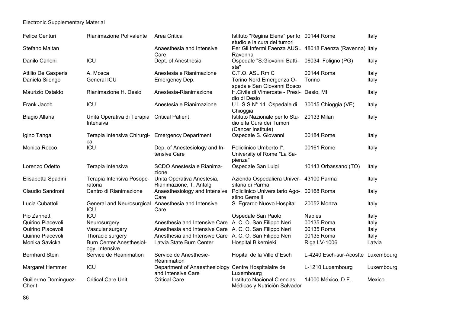| <b>Felice Centuri</b>          | Rianimazione Polivalente                               | Area Critica                                            | Istituto "Regina Elena" per lo 00144 Rome<br>studio e la cura dei tumori               |                                    | Italy      |
|--------------------------------|--------------------------------------------------------|---------------------------------------------------------|----------------------------------------------------------------------------------------|------------------------------------|------------|
| Stefano Maitan                 |                                                        | Anaesthesia and Intensive                               | Per Gli Infermi Faenza AUSL 48018 Faenza (Ravenna) Italy                               |                                    |            |
| Danilo Carloni                 | ICU                                                    | Care<br>Dept. of Anesthesia                             | Ravenna<br>Ospedale "S.Giovanni Batti-<br>sta"                                         | 06034 Foligno (PG)                 | Italy      |
| <b>Attilio De Gasperis</b>     | A. Mosca                                               | Anestesia e Rianimazione                                | C.T.O. ASL Rm C                                                                        | 00144 Roma                         | Italy      |
| Daniela Silengo                | General ICU                                            | Emergency Dep.                                          | Torino Nord Emergenza O-                                                               | Torino                             | Italy      |
| Maurizio Ostaldo               | Rianimazione H. Desio                                  | Anestesia-Rianimazione                                  | spedale San Giovanni Bosco<br>H.Civile di Vimercate - Presi- Desio, MI<br>dio di Desio |                                    | Italy      |
| Frank Jacob                    | ICU                                                    | Anestesia e Rianimazione                                | U.L.S.S N° 14 Ospedale di<br>Chioggia                                                  | 30015 Chioggia (VE)                | Italy      |
| <b>Biagio Allaria</b>          | Unità Operativa di Terapia<br>Intensiva                | <b>Critical Patient</b>                                 | Istituto Nazionale per lo Stu-<br>dio e la Cura dei Tumori<br>(Cancer Institute)       | 20133 Milan                        | Italy      |
| Igino Tanga                    | Terapia Intensiva Chirurgi- Emergency Department<br>ca |                                                         | Ospedale S. Giovanni                                                                   | 00184 Rome                         | Italy      |
| Monica Rocco                   | <b>ICU</b>                                             | Dep. of Anestesiology and In-<br>tensive Care           | Policlinico Umberto I°,<br>University of Rome "La Sa-<br>pienza"                       | 00161 Rome                         | Italy      |
| Lorenzo Odetto                 | Terapia Intensiva                                      | SCDO Anestesia e Rianima-<br>zione                      | Ospedale San Luigi                                                                     | 10143 Orbassano (TO)               | Italy      |
| Elisabetta Spadini             | Terapia Intensiva Posope-<br>ratoria                   | Unita Operativa Anestesia,<br>Rianimazione, T. Antalg   | Azienda Ospedaliera Univer- 43100 Parma<br>sitaria di Parma                            |                                    | Italy      |
| Claudio Sandroni               | Centro di Rianimazione                                 | Anaesthesiology and Intensive<br>Care                   | Policlinico Universitario Ago- 00168 Roma<br>stino Gemelli                             |                                    | Italy      |
| Lucia Cubattoli                | General and Neurosurgical<br>ICU                       | Anaesthesia and Intensive<br>Care                       | S. Egrardo Nuovo Hospital                                                              | 20052 Monza                        | Italy      |
| Pio Zannetti                   | ICU                                                    |                                                         | Ospedale San Paolo                                                                     | <b>Naples</b>                      | Italy      |
| Quirino Piacevoli              | Neurosurgery                                           | Anesthesia and Intensive Care A. C. O. San Filippo Neri |                                                                                        | 00135 Roma                         | Italy      |
| Quirino Piacevoli              | Vascular surgery                                       | Anesthesia and Intensive Care A. C. O. San Filippo Neri |                                                                                        | 00135 Roma                         | Italy      |
| Quirino Piacevoli              | Thoracic surgery                                       | Anesthesia and Intensive Care A. C. O. San Filippo Neri |                                                                                        | 00135 Roma                         | Italy      |
| Monika Savicka                 | <b>Burn Center Anesthesiol-</b><br>ogy, Intensive      | Latvia State Burn Center                                | Hospital Bikernieki                                                                    | Riga LV-1006                       | Latvia     |
| <b>Bernhard Stein</b>          | Service de Reanimation                                 | Service de Anesthesie-<br>Réanimation                   | Hopital de la Ville d'Esch                                                             | L-4240 Esch-sur-Acostte Luxembourg |            |
| Margaret Hemmer                | ICU                                                    | Department of Anaesthesiology<br>and Intensive Care     | Centre Hospitalaire de<br>Luxembourg                                                   | L-1210 Luxembourg                  | Luxembourg |
| Guillermo Dominguez-<br>Cherit | <b>Critical Care Unit</b>                              | <b>Critical Care</b>                                    | Instituto Nacional Ciencias<br>Médicas y Nutrición Salvador                            | 14000 México, D.F.                 | Mexico     |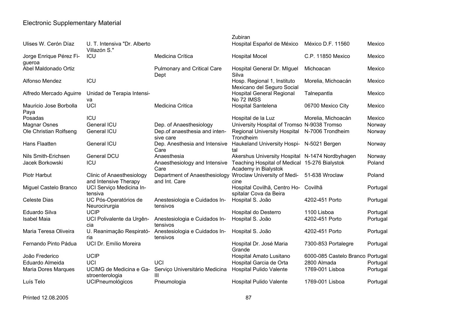|                                   |                                                           |                                                | Zubiran                                                               |                                  |          |
|-----------------------------------|-----------------------------------------------------------|------------------------------------------------|-----------------------------------------------------------------------|----------------------------------|----------|
| Ulises W. Cerón Díaz              | U. T. Intensiva "Dr. Alberto<br>Villazón S."              |                                                | Hospital Español de México                                            | México D.F. 11560                | Mexico   |
| Jorge Enrique Pérez Fi-<br>gueroa | ICU                                                       | Medicina Crítica                               | <b>Hospital Mocel</b>                                                 | C.P. 11850 Mexico                | Mexico   |
| Abel Maldonado Ortiz              |                                                           | Pulmonary and Critical Care<br>Dept            | Hospital General Dr. Miguel<br>Silva                                  | Michoacan                        | Mexico   |
| Alfonso Mendez                    | ICU                                                       |                                                | Hosp. Regional 1, Instituto<br>Mexicano del Seguro Social             | Morelia, Michoacán               | Mexico   |
| Alfredo Mercado Aguirre           | Unidad de Terapia Intensi-<br>va                          |                                                | <b>Hospital General Regional</b><br>No 72 IMSS                        | Talnepantla                      | Mexico   |
| Mauricio Jose Borbolla<br>Paya    | <b>UCI</b>                                                | Medicina Critica                               | Hospital Santelena                                                    | 06700 Mexico City                | Mexico   |
| Posadas                           | ICU                                                       |                                                | Hospital de la Luz                                                    | Morelia, Michoacán               | Mexico   |
| <b>Magnar Osnes</b>               | General ICU                                               | Dep. of Anaesthesiology                        | University Hospital of Tromso N-9038 Tromso                           |                                  | Norway   |
| Ole Christian Rolfseng            | General ICU                                               | Dep.of anaesthesia and inten-<br>sive care     | <b>Regional University Hospital</b><br>Trondheim                      | N-7006 Trondheim                 | Norway   |
| Hans Flaatten                     | General ICU                                               | Dep. Anesthesia and Intensive<br>Care          | Haukeland University Hospi- N-5021 Bergen<br>tal                      |                                  | Norway   |
| Nils Smith-Erichsen               | General DCU                                               | Anaesthesia                                    | Akershus University Hospital N-1474 Nordbyhagen                       |                                  | Norway   |
| Jacek Borkowski                   | ICU                                                       | Anaesthesiology and Intensive<br>Care          | Teaching Hospital of Medical 15-276 Bialystok<br>Academy in Bialystok |                                  | Poland   |
| Piotr Harbut                      | <b>Clinic of Anaesthesiology</b><br>and Intensive Therapy | Department of Anaesthesiology<br>and Int. Care | Wroclaw University of Medi-<br>cine                                   | 51-638 Wroclaw                   | Poland   |
| Miguel Castelo Branco             | UCI Serviço Medicina In-<br>tensiva                       |                                                | Hospital Covilhã, Centro Ho- Covilhã<br>spitalar Cova da Beira        |                                  | Portugal |
| <b>Celeste Dias</b>               | UC Pós-Operatórios de<br>Neurocirurgia                    | Anestesiologia e Cuidados In-<br>tensivos      | Hospital S. João                                                      | 4202-451 Porto                   | Portugal |
| Eduardo Silva                     | <b>UCIP</b>                                               |                                                | Hospital do Desterro                                                  | 1100 Lisboa                      | Portugal |
| <b>Isabel Maia</b>                | UCI Polivalente da Urgên-<br>cia                          | Anestesiologia e Cuidados In-<br>tensivos      | Hospital S. João                                                      | 4202-451 Porto                   | Portugal |
| Maria Teresa Oliveira             | U. Reanimação Respirató-<br>ria                           | Anestesiologia e Cuidados In-<br>tensivos      | Hospital S. João                                                      | 4202-451 Porto                   | Portugal |
| Fernando Pinto Pádua              | UCI Dr. Emílio Moreira                                    |                                                | Hospital Dr. José Maria<br>Grande                                     | 7300-853 Portalegre              | Portugal |
| João Frederico                    | <b>UCIP</b>                                               |                                                | Hospital Amato Lusitano                                               | 6000-085 Castelo Branco Portugal |          |
| Eduardo Almeida                   | <b>UCI</b>                                                | UCI                                            | Hospital Garcia de Orta                                               | 2800 Almada                      | Portugal |
| <b>Maria Dores Marques</b>        | UCIMG de Medicina e Ga-<br>stroenterologia                | Serviço Universitário Medicina<br>III          | Hospital Pulido Valente                                               | 1769-001 Lisboa                  | Portugal |
| Luís Telo                         | <b>UCIPneumológicos</b>                                   | Pneumologia                                    | <b>Hospital Pulido Valente</b>                                        | 1769-001 Lisboa                  | Portugal |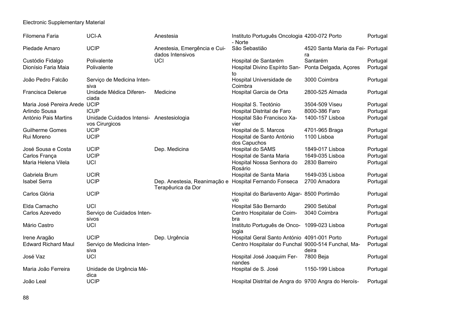| Filomena Faria                | UCI-A                                                      | Anestesia                                          | Instituto Português Oncologia 4200-072 Porto<br>- Norte |                                         | Portugal |
|-------------------------------|------------------------------------------------------------|----------------------------------------------------|---------------------------------------------------------|-----------------------------------------|----------|
| Piedade Amaro                 | <b>UCIP</b>                                                | Anestesia, Emergência e Cui-<br>dados Intensivos   | São Sebastião                                           | 4520 Santa Maria da Fei- Portugal<br>ra |          |
| Custódio Fidalgo              | Polivalente                                                | UCI                                                | Hospital de Santarém                                    | Santarém                                | Portugal |
| Dionísio Faria Maia           | Polivalente                                                |                                                    | Hospital Divino Espírito San-<br>to                     | Ponta Delgada, Açores                   | Portugal |
| João Pedro Falcão             | Serviço de Medicina Inten-<br>siva                         |                                                    | Hospital Universidade de<br>Coimbra                     | 3000 Coimbra                            | Portugal |
| <b>Francisca Delerue</b>      | Unidade Médica Diferen-<br>ciada                           | Medicine                                           | Hospital Garcia de Orta                                 | 2800-525 Almada                         | Portugal |
| Maria José Pereira Arede UCIP |                                                            |                                                    | Hospital S. Teotónio                                    | 3504-509 Viseu                          | Portugal |
| Arlindo Sousa                 | <b>ICUP</b>                                                |                                                    | Hospital Distrital de Faro                              | 8000-386 Faro                           | Portugal |
| António Pais Martins          | Unidade Cuidados Intensi- Anestesiologia<br>vos Cirurgicos |                                                    | Hospital São Francisco Xa-<br>vier                      | 1400-157 Lisboa                         | Portugal |
| <b>Guilherme Gomes</b>        | <b>UCIP</b>                                                |                                                    | Hospital de S. Marcos                                   | 4701-965 Braga                          | Portugal |
| Rui Moreno                    | <b>UCIP</b>                                                |                                                    | Hospital de Santo António<br>dos Capuchos               | 1100 Lisboa                             | Portugal |
| José Sousa e Costa            | <b>UCIP</b>                                                | Dep. Medicina                                      | Hospital do SAMS                                        | 1849-017 Lisboa                         | Portugal |
| Carlos França                 | <b>UCIP</b>                                                |                                                    | Hospital de Santa Maria                                 | 1649-035 Lisboa                         | Portugal |
| Maria Helena Vilela           | <b>UCI</b>                                                 |                                                    | Hospital Nossa Senhora do<br>Rosário                    | 2830 Barreiro                           | Portugal |
| Gabriela Brum                 | <b>UCIR</b>                                                |                                                    | Hospital de Santa Maria                                 | 1649-035 Lisboa                         | Portugal |
| <b>Isabel Serra</b>           | <b>UCIP</b>                                                | Dep. Anestesia, Reanimação e<br>Terapêurica da Dor | Hospital Fernando Fonseca                               | 2700 Amadora                            | Portugal |
| Carlos Glória                 | <b>UCIP</b>                                                |                                                    | Hospital do Barlavento Algar- 8500 Portimão<br>vio      |                                         | Portugal |
| Elda Camacho                  | <b>UCI</b>                                                 |                                                    | Hospital São Bernardo                                   | 2900 Setúbal                            | Portugal |
| Carlos Azevedo                | Serviço de Cuidados Inten-<br>sivos                        |                                                    | Centro Hospitalar de Coim-<br>bra                       | 3040 Coimbra                            | Portugal |
| Mário Castro                  | UCI                                                        |                                                    | Instituto Português de Onco- 1099-023 Lisboa<br>logia   |                                         | Portugal |
| Irene Aragão                  | <b>UCIP</b>                                                | Dep. Urgência                                      | Hospital Geral Santo António 4091-001 Porto             |                                         | Portugal |
| <b>Edward Richard Maul</b>    | Serviço de Medicina Inten-<br>siva                         |                                                    | Centro Hospitalar do Funchal 9000-514 Funchal, Ma-      | deira                                   | Portugal |
| José Vaz                      | UCI                                                        |                                                    | Hospital José Joaquim Fer-<br>nandes                    | 7800 Beja                               | Portugal |
| Maria João Ferreira           | Unidade de Urgência Mé-<br>dica                            |                                                    | Hospital de S. José                                     | 1150-199 Lisboa                         | Portugal |
| João Leal                     | <b>UCIP</b>                                                |                                                    | Hospital Distrital de Angra do 9700 Angra do Heroís-    |                                         | Portugal |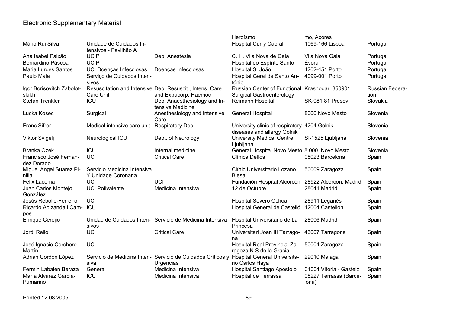|                            |                                                  |                                                             | Heroísmo                                                  | mo, Açores                      |                 |
|----------------------------|--------------------------------------------------|-------------------------------------------------------------|-----------------------------------------------------------|---------------------------------|-----------------|
| Mário Rui Silva            | Unidade de Cuidados In-<br>tensivos - Pavilhão A |                                                             | <b>Hospital Curry Cabral</b>                              | 1069-166 Lisboa                 | Portugal        |
| Ana Isabel Paixão          | <b>UCIP</b>                                      | Dep. Anestesia                                              | C. H. Vila Nova de Gaia                                   | Vila Nova Gaia                  | Portugal        |
| Bernardino Páscoa          | <b>UCIP</b>                                      |                                                             | Hospital do Espírito Santo                                | Évora                           | Portugal        |
| <b>Maria Lurdes Santos</b> | UCI Doenças Infecciosas                          | Doenças Infecciosas                                         | Hospital S. João                                          | 4202-451 Porto                  | Portugal        |
| Paulo Maia                 | Serviço de Cuidados Inten-                       |                                                             | Hospital Geral de Santo An-                               | 4099-001 Porto                  | Portugal        |
|                            | sivos                                            |                                                             | tónio                                                     |                                 |                 |
| Igor Borisovitch Zabolot-  |                                                  | Resuscitation and Intensive Dep. Resuscit., Intens. Care    | Russian Center of Functional Krasnodar, 350901            |                                 | Russian Federa- |
| skikh                      | Care Unit                                        | and Extracorp. Haemoc                                       | <b>Surgical Gastroenterology</b>                          |                                 | tion            |
| <b>Stefan Trenkler</b>     | ICU                                              | Dep. Anaesthesiology and In-                                | Reimann Hospital                                          | SK-081 81 Presov                | Slovakia        |
|                            |                                                  | tensive Medicine                                            |                                                           |                                 |                 |
| Lucka Kosec                | Surgical                                         | Anesthesiology and Intensive                                | <b>General Hospital</b>                                   | 8000 Novo Mesto                 | Slovenia        |
|                            |                                                  | Care                                                        |                                                           |                                 |                 |
| <b>Franc Sifrer</b>        | Medical intensive care unit                      | Respiratory Dep.                                            | University clinic of respiratory 4204 Golnik              |                                 | Slovenia        |
|                            |                                                  |                                                             | diseases and allergy Golnik                               |                                 |                 |
| Viktor Svigelj             | Neurological ICU                                 | Dept. of Neurology                                          | <b>University Medical Centre</b>                          | SI-1525 Ljubljana               | Slovenia        |
| <b>Branka Ozek</b>         | ICU                                              | Internal medicine                                           | Ljubljana<br>General Hospital Novo Mesto 8 000 Novo Mesto |                                 | Slovenia        |
| Francisco José Fernán-     | UCI                                              | <b>Critical Care</b>                                        | Clínica Delfos                                            | 08023 Barcelona                 |                 |
| dez Dorado                 |                                                  |                                                             |                                                           |                                 | Spain           |
| Miguel Angel Suarez Pi-    | Servicio Medicina Intensiva                      |                                                             | Clínic Universitario Lozano                               | 50009 Zaragoza                  | Spain           |
| nilla                      | Y Unidade Coronaria                              |                                                             | <b>Blesa</b>                                              |                                 |                 |
| Felix Lacoma               | <b>UCI</b>                                       | UCI                                                         | Fundación Hospital Alcorcón 28922 Alcorcon, Madrid        |                                 | Spain           |
| Juan Carlos Montejo        | <b>UCI Polivalente</b>                           | Medicina Intensiva                                          | 12 de Octubre                                             | 28041 Madrid                    | Spain           |
| González                   |                                                  |                                                             |                                                           |                                 |                 |
| Jesús Rebollo-Ferreiro     | <b>UCI</b>                                       |                                                             | <b>Hospital Severo Ochoa</b>                              | 28911 Leganés                   | Spain           |
| Ricardo Abizanda i Cam-    | ICU                                              |                                                             | Hospital General de Castelló                              | 12004 Castellón                 | Spain           |
| pos                        |                                                  |                                                             |                                                           |                                 |                 |
| Enrique Cereijo            |                                                  | Unidad de Cuidados Inten- Servicio de Medicina Intensiva    | Hospital Universitario de La                              | 28006 Madrid                    | Spain           |
|                            | sivos                                            |                                                             | Princesa                                                  |                                 |                 |
| Jordi Rello                | <b>UCI</b>                                       | <b>Critical Care</b>                                        | Universitari Joan III Tarrago-                            | 43007 Tarragona                 | Spain           |
|                            |                                                  |                                                             | na                                                        |                                 |                 |
| José Ignacio Corchero      | <b>UCI</b>                                       |                                                             | Hospital Real Provincial Za-                              | 50004 Zaragoza                  | Spain           |
| Martín                     |                                                  |                                                             | ragoza N S de la Gracia                                   |                                 |                 |
| Adrián Cordón López        | siva                                             | Servicio de Medicina Inten- Servicio de Cuidados Críticos y | <b>Hospital General Universita-</b>                       | 29010 Malaga                    | Spain           |
| Fermin Labaien Beraza      | General                                          | Urgencias<br>Medicina Intensiva                             | rio Carlos Haya                                           | 01004 Vitoria - Gasteiz         |                 |
| María Alvarez García-      | ICU                                              |                                                             | Hospital Santiago Apostolo<br>Hospital de Terrassa        |                                 | Spain           |
| Pumarino                   |                                                  | Medicina Intensiva                                          |                                                           | 08227 Terrassa (Barce-<br>lona) | Spain           |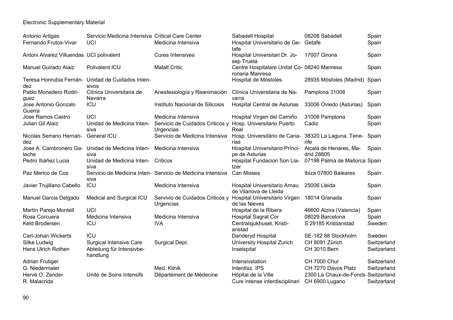| Antonio Artigas                          | Servicio Medicina Intensiva Critical Care Center                        |                                                                         | Sabadell Hospital                                                 | 08208 Sabadell                       | Spain                      |
|------------------------------------------|-------------------------------------------------------------------------|-------------------------------------------------------------------------|-------------------------------------------------------------------|--------------------------------------|----------------------------|
| Fernando Frutos-Vivar                    | <b>UCI</b>                                                              | Medicina Intensiva                                                      | Hospital Universitario de Ge- Getafe<br>tafe                      |                                      | Spain                      |
| Antoni Alvarez Villuendas UCI polivalent |                                                                         | <b>Cures Intensives</b>                                                 | Hospital Universitari Dr. Jo-<br>sep Trueta                       | 17007 Girona                         | Spain                      |
| Manuel Guirado Alaiz                     | Polivalent ICU                                                          | <b>Malalt Critic</b>                                                    | Centre Hospitalare Unitat Co- 08240 Manresa<br>ronaria Manresa    |                                      | Spain                      |
| dez                                      | Teresa Honrubia Fernán- Unidad de Cuidados Inten-<br>sivos              |                                                                         | Hospital de Móstoles                                              | 28935 Móstoles (Madrid) Spain        |                            |
| Pablo Monedero Rodri-<br>quez            | Clínica Universitaria de<br>Navarra                                     | Anestesiología y Reanimación                                            | Clínica Universitaria de Na-<br>varra                             | Pamplona 31008                       | Spain                      |
| Jose Antonio Gonzalo<br>Guerra           | ICU                                                                     | Instituto Nacional de Silicosis                                         | Hospital Central de Asturias                                      | 33006 Oviedo (Asturias)              | Spain                      |
| Jose Ramos Castro                        | <b>UCI</b>                                                              | Medicina Intensiva                                                      | Hospital Virgen del Camiño                                        | 31008 Pamplona                       | Spain                      |
| Julian Gil Alaiz                         | Unidad de Medicina Inten-<br>siva                                       | Servicio de Cuidados Criticos y Hosp. Universitario Puerto<br>Urgencias | Real                                                              | Cadiz                                | Spain                      |
| Nicolas Serrano Hernan-<br>dez           | General ICU                                                             | Servicio de Medicina Intensiva                                          | Hosp. Universitário de Cana- 38320 La Laguna, Tene- Spain<br>rias | rife                                 |                            |
| Jose A. Cambronero Ga-<br>lache          | Unidad de Medicina Inten-<br>siva                                       | Medicina Intensiva                                                      | Hospital Universitario Prínci-<br>pe de Asturias                  | Alcalá de Henares, Ma-<br>drid 28805 | Spain                      |
| Pedro Ibáñez Lucia                       | Unidad de Medicina Inten-<br>siva                                       | Criticos                                                                | Hospital Fundacion Son Lla-<br>tzer                               | 07198 Palma de Mallorca Spain        |                            |
| Paz Merico de Cos                        | siva                                                                    | Servicio de Medicina Inten- Servicio de Medicina Intensiva              | <b>Can Misses</b>                                                 | Ibiza 07800 Baleares                 | Spain                      |
| Javier Trujillano Cabello                | ICU                                                                     | Medicina Intensiva                                                      | Hospital Universitario Arnau<br>de Vilanova de Lleida             | 25006 Lleida                         | Spain                      |
| Manuel Garcia Delgado                    | Medical and Surgical ICU                                                | Servivio de Cuidados Criticos y<br>Urgencias                            | Hospital Universitario Virgen<br>de las Nieves                    | 18014 Granada                        | Spain                      |
| Martín Parejo Montell                    | <b>UCI</b>                                                              |                                                                         | Hospital de la Ribera                                             | 46600 Alzira (Valencia)              | Spain                      |
| Rosa Corcuera                            | Medicina Intensiva                                                      | Medicina Intensiva                                                      | <b>Hospital Sagrat Cor</b>                                        | 08029 Barcelona                      | Spain                      |
| Keld Brodersen                           | ICU                                                                     | <b>IVA</b>                                                              | Centralsjukhuset, Kristi-<br>anstad                               | S 29185 Kristianstad                 | Sweden                     |
| Carl-Johan Wickerts                      | ICU                                                                     |                                                                         | Danderyd Hospital                                                 | SE-182 88 Stockholm                  | Sweden                     |
| Silke Ludwig<br>Hans Ulrich Rothen       | <b>Surgical Intensive Care</b><br>Abteilung für Intensivbe-<br>handlung | Surgical Dept.                                                          | University Hospital Zurich<br>Inselspital                         | CH 8091 Zürich<br>CH 3010 Bern       | Switzerland<br>Switzerland |
| <b>Adrian Frutiger</b>                   |                                                                         |                                                                         | Intensivstation                                                   | <b>CH 7000 Chur</b>                  | Switzerland                |
| G. Niedermaier                           |                                                                         | Med. Klinik                                                             | Interdisz. IPS                                                    | CH 7270 Davos Platz                  | Switzerland                |
| Hervé O. Zender                          | Unité de Soins Intensifs                                                | Département de Médecine                                                 | Hôpital de la Ville                                               | 2300 La Chaux-de-Fonds Switzerland   |                            |
| R. Malacrida                             |                                                                         |                                                                         | Cure intense interdisciplinari                                    | CH 6900 Lugano                       | Switzerland                |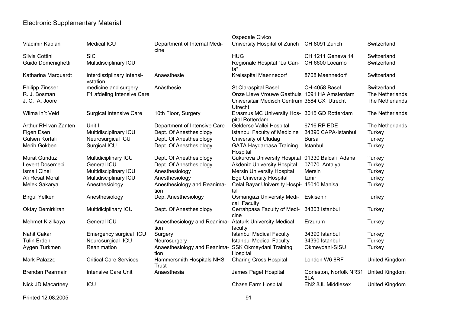|                         |                                        |                                      | Ospedale Civico                                                 |                                |                       |
|-------------------------|----------------------------------------|--------------------------------------|-----------------------------------------------------------------|--------------------------------|-----------------------|
| Vladimir Kaplan         | <b>Medical ICU</b>                     | Department of Internal Medi-<br>cine | University Hospital of Zurich                                   | CH 8091 Zürich                 | Switzerland           |
| Silvia Cottini          | <b>SIC</b>                             |                                      | <b>HUG</b>                                                      | <b>CH 1211 Geneva 14</b>       | Switzerland           |
| Guido Domenighetti      | Multidisciplinary ICU                  |                                      | Regionale Hospital "La Cari-<br>ta"                             | CH 6600 Locarno                | Switzerland           |
| Katharina Marquardt     | Interdisziplinary Intensi-<br>vstation | Anaesthesie                          | Kreisspital Maennedorf                                          | 8708 Maennedorf                | Switzerland           |
| Philipp Zinsser         | medicine and surgery                   | Anästhesie                           | <b>St.Claraspital Basel</b>                                     | CH-4058 Basel                  | Switzerland           |
| R. J. Bosman            | F1 afdeling Intensive Care             |                                      | Onze Lieve Vrouwe Gasthuis 1091 HA Amsterdam                    |                                | The Netherlands       |
| J. C. A. Joore          |                                        |                                      | Universitair Medisch Centrum 3584 CX Utrecht<br><b>Utrecht</b>  |                                | The Netherlands       |
| Wilma in't Veld         | <b>Surgical Intensive Care</b>         | 10th Floor, Surgery                  | Erasmus MC University Hos- 3015 GD Rotterdam<br>pital Rotterdam |                                | The Netherlands       |
| Arthur RH van Zanten    | Unit I                                 | Department of Intensive Care         | Gelderse Vallei Hospital                                        | 6716 RP EDE                    | The Netherlands       |
| Figen Esen              | Multidisciplinary ICU                  | Dept. Of Anesthesiology              | <b>Istanbul Faculty of Medicine</b>                             | 34390 CAPA-Istanbul            | Turkey                |
| Gulsen Korfali          | Neurosurgical ICU                      | Dept. Of Anesthesiology              | University of Uludag                                            | <b>Bursa</b>                   | Turkey                |
| Merih Gokben            | Surgical ICU                           | Dept. Of Anesthesiology              | <b>GATA Haydarpasa Training</b><br>Hospital                     | Istanbul                       | Turkey                |
| <b>Murat Gunduz</b>     | Multidiciplinary ICU                   | Dept. Of Anesthesiology              | <b>Cukurova University Hospital</b>                             | 01330 Balcali Adana            | Turkey                |
| Levent Dosemeci         | <b>General ICU</b>                     | Dept. Of Anesthesiology              | <b>Akdeniz University Hospital</b>                              | 07070 Antalya                  | Turkey                |
| <b>Ismail Cinel</b>     | Multidisciplinary ICU                  | Anesthesiology                       | <b>Mersin University Hospital</b>                               | Mersin                         | Turkey                |
| Ali Resat Moral         | Multidisciplinary ICU                  | Anesthesiology                       | <b>Ege University Hospital</b>                                  | Izmir                          | Turkey                |
| Melek Sakarya           | Anesthesiology                         | Anesthesiology and Reanima-<br>tion  | Celal Bayar University Hospi-<br>tal                            | 45010 Manisa                   | Turkey                |
| <b>Birgul Yelken</b>    | Anesthesiology                         | Dep. Anesthesiology                  | <b>Osmangazi University Medi-</b><br>cal Faculty                | Eskisehir                      | Turkey                |
| <b>Oktay Demirkiran</b> | Multidiciplinary ICU                   | Dept. Of Anesthesiology              | Cerrahpasa Faculty of Medi-<br>cine                             | 34303 Istanbul                 | Turkey                |
| Mehmet Kizilkaya        | <b>General ICU</b>                     | Anaesthesiology and Reanima-<br>tion | <b>Ataturk University Medical</b><br>faculty                    | Erzurum                        | Turkey                |
| Nahit Cakar             | Emergency surgical ICU                 | Surgery                              | <b>Istanbul Medical Faculty</b>                                 | 34390 Istanbul                 | Turkey                |
| <b>Tulin Erden</b>      | Neurosurgical ICU                      | Neurosurgery                         | <b>Istanbul Medical Faculty</b>                                 | 34390 Istanbul                 | Turkey                |
| Aygen Turkmen           | Reanimation                            | Anaesthesiology and Reanima-         | <b>SSK Okmeydani Training</b>                                   | Okmeydani-SISU                 | Turkey                |
|                         |                                        | tion                                 | Hospital                                                        |                                |                       |
| Mark Palazzo            | <b>Critical Care Services</b>          | Hammersmith Hospitals NHS<br>Trust   | <b>Charing Cross Hospital</b>                                   | London W6 8RF                  | United Kingdom        |
| <b>Brendan Pearmain</b> | <b>Intensive Care Unit</b>             | Anaesthesia                          | James Paget Hospital                                            | Gorleston, Norfolk NR31<br>6LA | <b>United Kingdom</b> |
| Nick JD Macartney       | ICU                                    |                                      | Chase Farm Hospital                                             | EN2 8JL Middlesex              | United Kingdom        |

Printed 12.08.2005